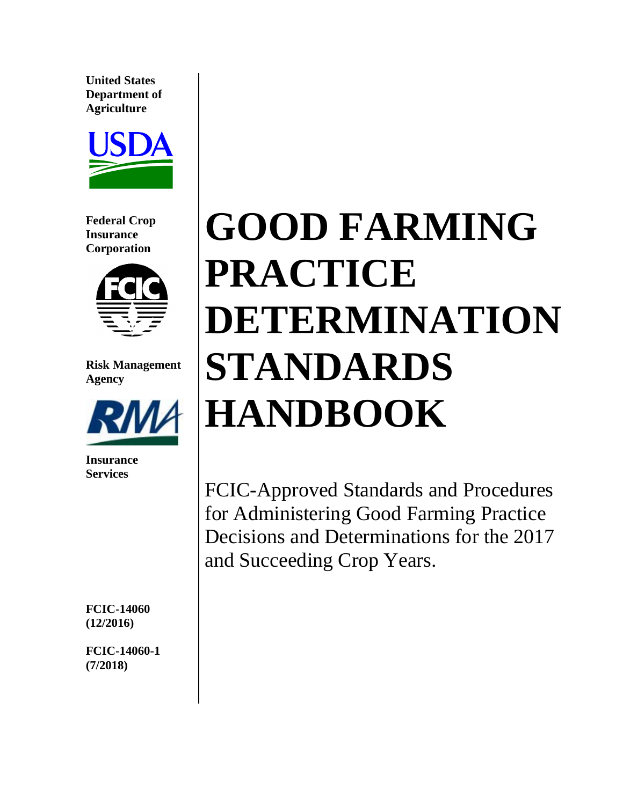**United States Department of Agriculture** 



**Federal Crop Insurance Corporation** 



**Risk Management Agency** 



**Insurance Services** 

**FCIC-14060 (12/2016)** 

**FCIC-14060-1 (7/2018)** 

# **GOOD FARMING PRACTICE DETERMINATION STANDARDS HANDBOOK**

 Decisions and Determinations for the 2017 and Succeeding Crop Years. FCIC-Approved Standards and Procedures for Administering Good Farming Practice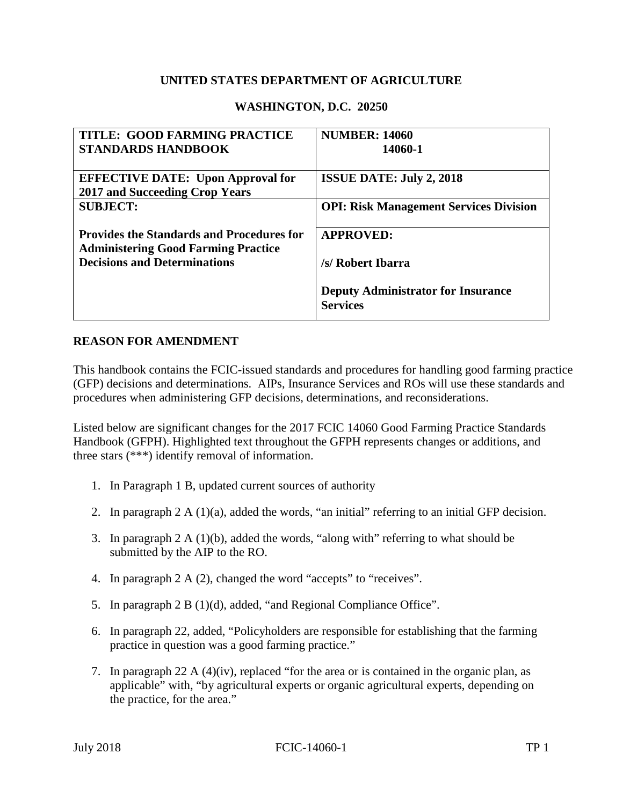#### **UNITED STATES DEPARTMENT OF AGRICULTURE**

#### **WASHINGTON, D.C. 20250**

| TITLE: GOOD FARMING PRACTICE                     | <b>NUMBER: 14060</b>                          |
|--------------------------------------------------|-----------------------------------------------|
| <b>STANDARDS HANDBOOK</b>                        | 14060-1                                       |
|                                                  |                                               |
| <b>EFFECTIVE DATE: Upon Approval for</b>         | <b>ISSUE DATE: July 2, 2018</b>               |
| <b>2017 and Succeeding Crop Years</b>            |                                               |
| <b>SUBJECT:</b>                                  | <b>OPI: Risk Management Services Division</b> |
|                                                  |                                               |
| <b>Provides the Standards and Procedures for</b> | <b>APPROVED:</b>                              |
| <b>Administering Good Farming Practice</b>       |                                               |
| <b>Decisions and Determinations</b>              | /s/ Robert Ibarra                             |
|                                                  |                                               |
|                                                  | <b>Deputy Administrator for Insurance</b>     |
|                                                  | <b>Services</b>                               |
|                                                  |                                               |

#### **REASON FOR AMENDMENT**

 (GFP) decisions and determinations. AIPs, Insurance Services and ROs will use these standards and procedures when administering GFP decisions, determinations, and reconsiderations. This handbook contains the FCIC-issued standards and procedures for handling good farming practice

 Listed below are significant changes for the 2017 FCIC 14060 Good Farming Practice Standards Handbook (GFPH). Highlighted text throughout the GFPH represents changes or additions, and three stars (\*\*\*) identify removal of information.

- 1. In Paragraph 1 B, updated current sources of authority
- 2. In paragraph 2 A (1)(a), added the words, "an initial" referring to an initial GFP decision.
- 3. In paragraph 2 A (1)(b), added the words, "along with" referring to what should be submitted by the AIP to the RO.
- 4. In paragraph 2 A (2), changed the word "accepts" to "receives".
- 5. In paragraph 2 B (1)(d), added, "and Regional Compliance Office".
- practice in question was a good farming practice." 6. In paragraph 22, added, "Policyholders are responsible for establishing that the farming
- 7. In paragraph 22 A  $(4)(iv)$ , replaced "for the area or is contained in the organic plan, as applicable" with, "by agricultural experts or organic agricultural experts, depending on the practice, for the area."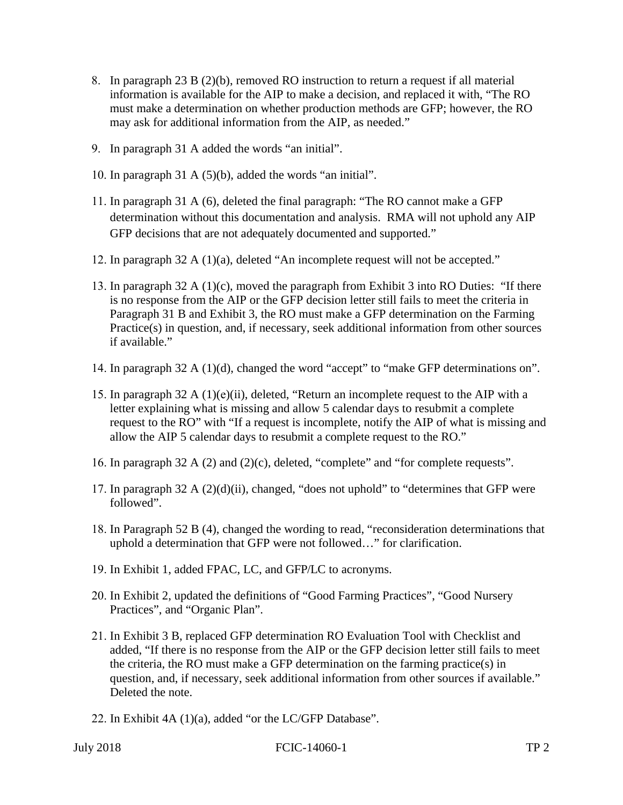- <span id="page-2-0"></span>8. In paragraph 23 B (2)(b), removed RO instruction to return a request if all material information is available for the AIP to make a decision, and replaced it with, "The RO must make a determination on whether production methods are GFP; however, the RO may ask for additional information from the AIP, as needed."
- 9. In paragraph 31 A added the words "an initial".
- 10. In paragraph 31 A (5)(b), added the words "an initial".
- 11. In paragraph 31 A (6), deleted the final paragraph: "The RO cannot make a GFP determination without this documentation and analysis. RMA will not uphold any AIP GFP decisions that are not adequately documented and supported."
- 12. In paragraph 32 A (1)(a), deleted "An incomplete request will not be accepted."
- 13. In paragraph 32 A (1)(c), moved the paragraph from Exhibit 3 into RO Duties: "If there is no response from the AIP or the GFP decision letter still fails to meet the criteria in Paragraph 31 B and Exhibit 3, the RO must make a GFP determination on the Farming Practice(s) in question, and, if necessary, seek additional information from other sources if available."
- 14. In paragraph 32 A (1)(d), changed the word "accept" to "make GFP determinations on".
- 15. In paragraph 32 A (1)(e)(ii), deleted, "Return an incomplete request to the AIP with a letter explaining what is missing and allow 5 calendar days to resubmit a complete request to the RO" with "If a request is incomplete, notify the AIP of what is missing and allow the AIP 5 calendar days to resubmit a complete request to the RO."
- 16. In paragraph 32 A (2) and (2)(c), deleted, "complete" and "for complete requests".
- 17. In paragraph 32 A  $(2)(d)(ii)$ , changed, "does not uphold" to "determines that GFP were followed".
- 18. In Paragraph 52 B (4), changed the wording to read, "reconsideration determinations that uphold a determination that GFP were not followed…" for clarification.
- 19. In Exhibit 1, added FPAC, LC, and GFP/LC to acronyms.
- 20. In Exhibit 2, updated the definitions of "Good Farming Practices", "Good Nursery Practices", and "Organic Plan".
- 21. In Exhibit 3 B, replaced GFP determination RO Evaluation Tool with Checklist and added, "If there is no response from the AIP or the GFP decision letter still fails to meet the criteria, the RO must make a GFP determination on the farming practice(s) in question, and, if necessary, seek additional information from other sources if available." Deleted the note.
- 22. In Exhibit 4A (1)(a), added "or the LC/GFP Database".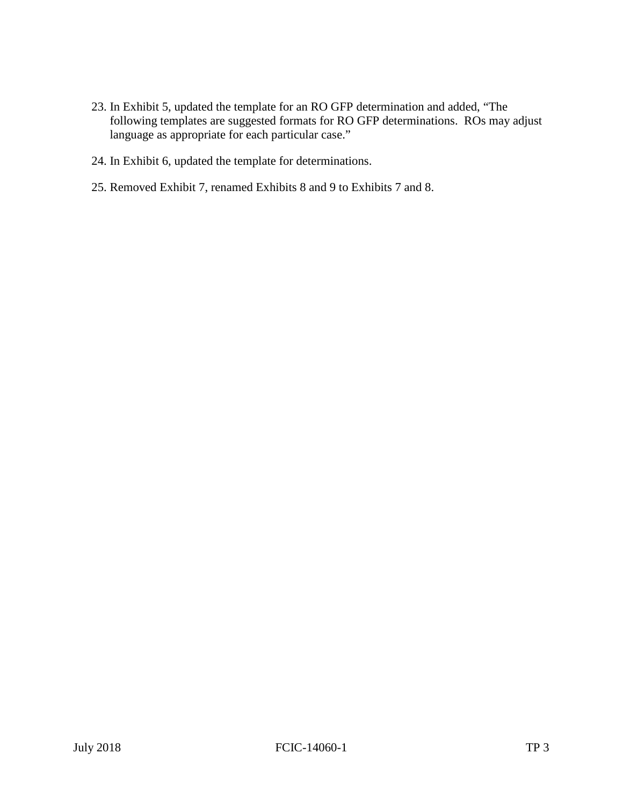- following templates are suggested formats for RO GFP determinations. ROs may adjust language as appropriate for each particular case." 23. In Exhibit 5, updated the template for an RO GFP determination and added, "The
- language as appropriate for each particular case." 24. In Exhibit 6, updated the template for determinations.
- 25. Removed Exhibit 7, renamed Exhibits 8 and 9 to Exhibits 7 and 8.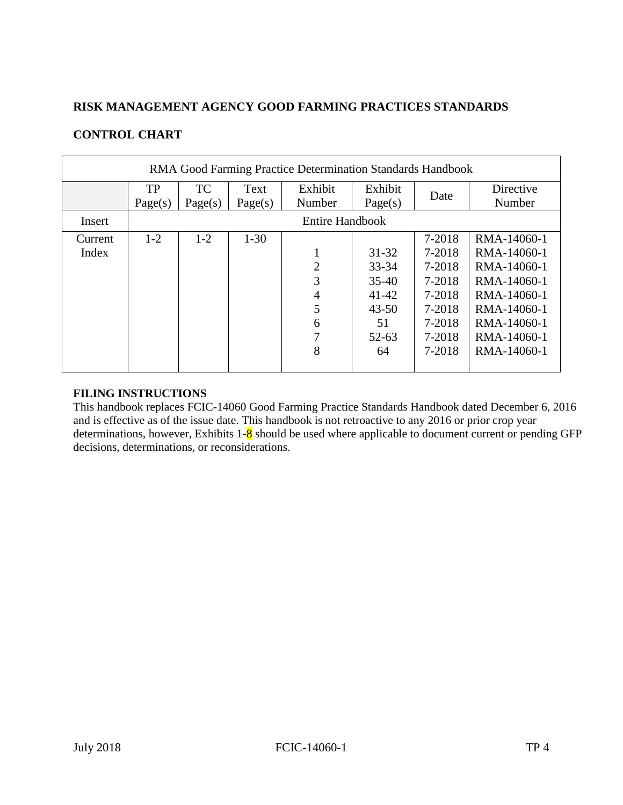#### **RISK MANAGEMENT AGENCY GOOD FARMING PRACTICES STANDARDS**

#### **CONTROL CHART**

| RMA Good Farming Practice Determination Standards Handbook |                      |                      |                 |                                              |                                                                            |                                                                              |                                                                                                                      |
|------------------------------------------------------------|----------------------|----------------------|-----------------|----------------------------------------------|----------------------------------------------------------------------------|------------------------------------------------------------------------------|----------------------------------------------------------------------------------------------------------------------|
|                                                            | <b>TP</b><br>Page(s) | <b>TC</b><br>Page(s) | Text<br>Page(s) | Exhibit<br>Number                            | Exhibit<br>Page(s)                                                         | Date                                                                         | Directive<br>Number                                                                                                  |
| Insert                                                     |                      |                      |                 | <b>Entire Handbook</b>                       |                                                                            |                                                                              |                                                                                                                      |
| Current<br>Index                                           | $1 - 2$              | $1 - 2$              | $1-30$          | 1<br>$\overline{2}$<br>3<br>4<br>5<br>6<br>7 | $31 - 32$<br>33-34<br>$35-40$<br>$41 - 42$<br>$43 - 50$<br>51<br>$52 - 63$ | 7-2018<br>7-2018<br>7-2018<br>7-2018<br>7-2018<br>7-2018<br>7-2018<br>7-2018 | RMA-14060-1<br>RMA-14060-1<br>RMA-14060-1<br>RMA-14060-1<br>RMA-14060-1<br>RMA-14060-1<br>RMA-14060-1<br>RMA-14060-1 |
|                                                            |                      |                      |                 | 8                                            | 64                                                                         | 7-2018                                                                       | RMA-14060-1                                                                                                          |

#### **FILING INSTRUCTIONS**

determinations, however, Exhibits  $1-\frac{8}{9}$  should be used where applicable to document current or pending GFP This handbook replaces FCIC-14060 Good Farming Practice Standards Handbook dated December 6, 2016 and is effective as of the issue date. This handbook is not retroactive to any 2016 or prior crop year decisions, determinations, or reconsiderations.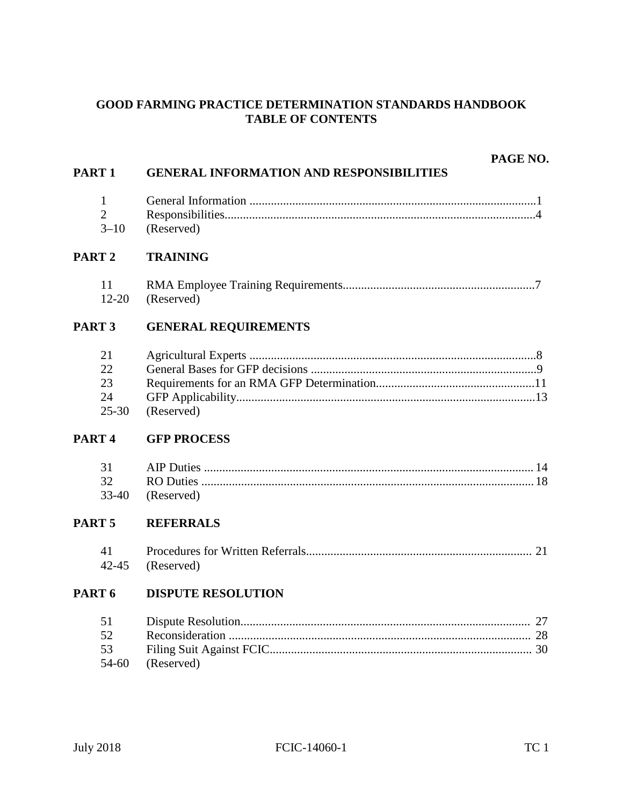#### **GOOD FARMING PRACTICE DETERMINATION STANDARDS HANDBOOK TABLE OF CONTENTS**

|                   | PAGE NO.                                        |
|-------------------|-------------------------------------------------|
| PART <sub>1</sub> | <b>GENERAL INFORMATION AND RESPONSIBILITIES</b> |
| $\mathbf{1}$      |                                                 |
| $\overline{2}$    |                                                 |
| $3 - 10$          | (Reserved)                                      |
| PART <sub>2</sub> | <b>TRAINING</b>                                 |
| 11                |                                                 |
| $12 - 20$         | (Reserved)                                      |
| PART <sub>3</sub> | <b>GENERAL REQUIREMENTS</b>                     |
| 21                |                                                 |
| 22                |                                                 |
| 23                |                                                 |
| 24                |                                                 |
| $25 - 30$         | (Reserved)                                      |
| PART <sub>4</sub> | <b>GFP PROCESS</b>                              |
| 31                |                                                 |
| 32                |                                                 |
| 33-40             | (Reserved)                                      |
| PART <sub>5</sub> | <b>REFERRALS</b>                                |
| 41                |                                                 |
| $42 - 45$         | (Reserved)                                      |
| PART <sub>6</sub> | <b>DISPUTE RESOLUTION</b>                       |
| 51                | 27                                              |
| 52                |                                                 |
| 53                |                                                 |
| 54-60             | (Reserved)                                      |
|                   |                                                 |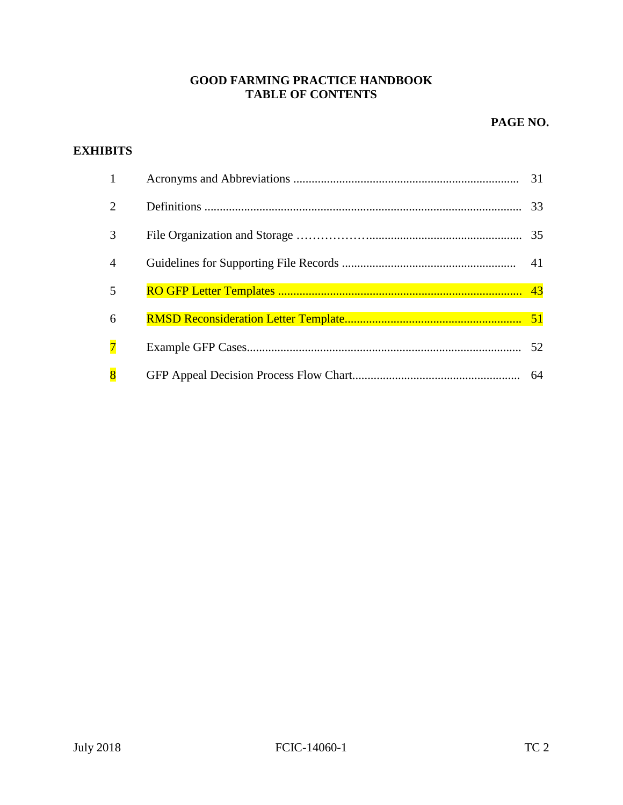#### **GOOD FARMING PRACTICE HANDBOOK TABLE OF CONTENTS**

#### **PAGE NO.**

#### **EXHIBITS**

| $\mathbf{1}$                |    |
|-----------------------------|----|
| $\mathcal{D}_{\mathcal{L}}$ |    |
| 3                           |    |
| $\overline{4}$              |    |
| 5                           |    |
| 6                           |    |
| $\overline{7}$              |    |
| $\overline{8}$              | 64 |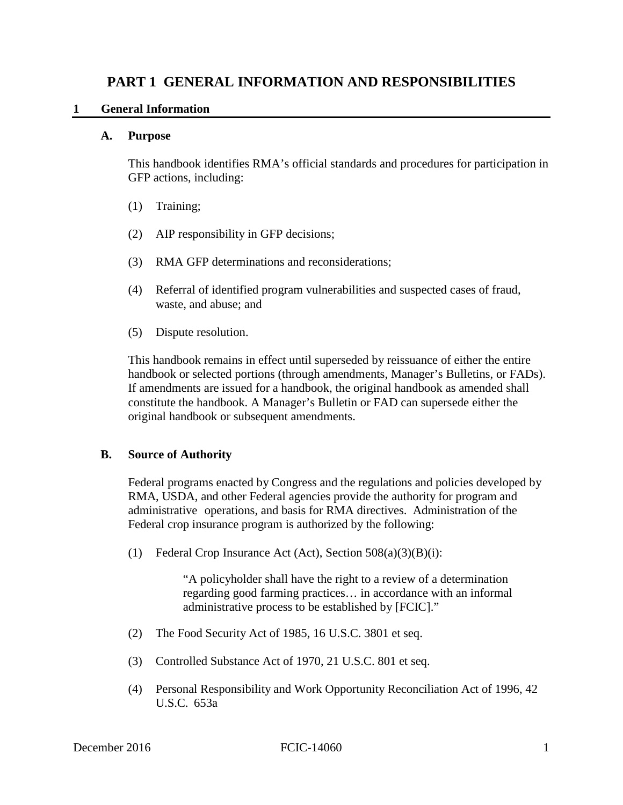## **PART 1 GENERAL INFORMATION AND RESPONSIBILITIES**<br>1 **General Information**

#### $\mathbf{1}$ **General Information**

#### $\mathbf{A}$ . **A. Purpose**

This handbook identifies RMA's official standards and procedures for participation in GFP actions, including:

- $(1)$ Training;
- (2) AIP responsibility in GFP decisions;
- (3) RMA GFP determinations and reconsiderations;
- (4) Referral of identified program vulnerabilities and suspected cases of fraud, waste, and abuse; and
- (5) Dispute resolution.

 constitute the handbook. A Manager's Bulletin or FAD can supersede either the This handbook remains in effect until superseded by reissuance of either the entire handbook or selected portions (through amendments, Manager's Bulletins, or FADs). If amendments are issued for a handbook, the original handbook as amended shall original handbook or subsequent amendments.

#### **B. Source of Authority**

 Federal programs enacted by Congress and the regulations and policies developed by RMA, USDA, and other Federal agencies provide the authority for program and administrative operations, and basis for RMA directives. Administration of the Federal crop insurance program is authorized by the following:

(1) Federal Crop Insurance Act (Act), Section 508(a)(3)(B)(i):

 regarding good farming practices… in accordance with an informal "A policyholder shall have the right to a review of a determination administrative process to be established by [FCIC]."

- $(2)$ The Food Security Act of 1985, 16 U.S.C. 3801 et seq.
- (3) Controlled Substance Act of 1970, 21 U.S.C. 801 et seq.
- (4) Personal Responsibility and Work Opportunity Reconciliation Act of 1996, 42 U.S.C. 653a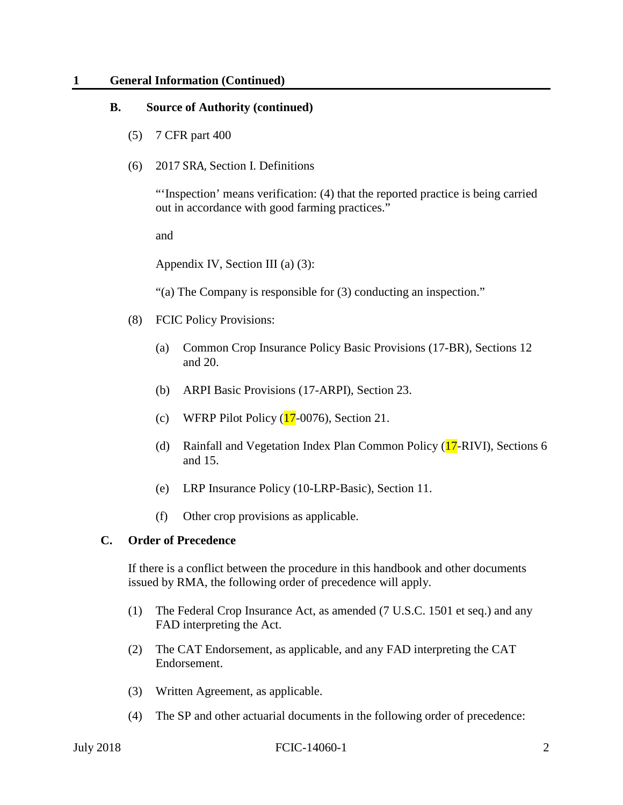#### **1 General Information (Continued)**

#### **B. Source of Authority (continued)**

- (5) 7 CFR part 400
- (6) 2017 SRA, Section I. Definitions

 out in accordance with good farming practices." and "'Inspection' means verification: (4) that the reported practice is being carried

Appendix IV, Section III (a) (3):

"(a) The Company is responsible for  $(3)$  conducting an inspection."

- (8) FCIC Policy Provisions:
	- (a) Common Crop Insurance Policy Basic Provisions (17-BR), Sections 12 and 20.
	- (b) ARPI Basic Provisions (17-ARPI), Section 23.
	- $\frac{17}{1}$ (c) WFRP Pilot Policy  $(17-0076)$ , Section 21.
	- $\sqrt{17}$ -I (d) Rainfall and Vegetation Index Plan Common Policy (17-RIVI), Sections 6 and 15.
	- $(e)$ LRP Insurance Policy (10-LRP-Basic), Section 11.
	- (f) Other crop provisions as applicable.

#### **C. Order of Precedence**

If there is a conflict between the procedure in this handbook and other documents issued by RMA, the following order of precedence will apply.

- (1) The Federal Crop Insurance Act, as amended (7 U.S.C. 1501 et seq.) and any FAD interpreting the Act.
- (2) The CAT Endorsement, as applicable, and any FAD interpreting the CAT Endorsement.
- (3) Written Agreement, as applicable.
- (4) The SP and other actuarial documents in the following order of precedence: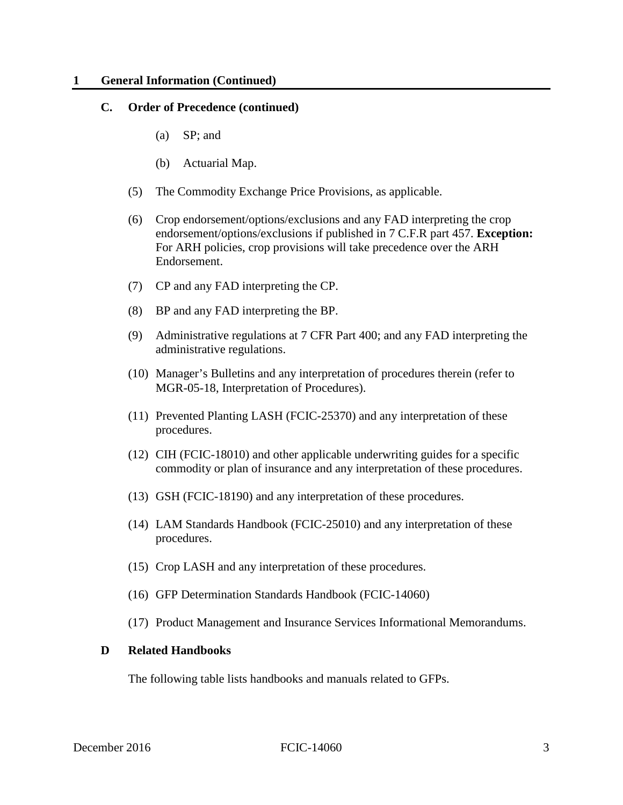#### **1 1 General Information (Continued)**

#### **C. Order of Precedence (continued)**

- (a) SP; and
- (b) Actuarial Map.
- (5) The Commodity Exchange Price Provisions, as applicable.
- (6) Crop endorsement/options/exclusions and any FAD interpreting the crop endorsement/options/exclusions if published in 7 C.F.R part 457. **Exception:**  For ARH policies, crop provisions will take precedence over the ARH Endorsement.
- (7) CP and any FAD interpreting the CP.
- (8) BP and any FAD interpreting the BP.
- administrative regulations. (9) Administrative regulations at 7 CFR Part 400; and any FAD interpreting the
- (10) Manager's Bulletins and any interpretation of procedures therein (refer to MGR-05-18, Interpretation of Procedures).
- (11) Prevented Planting LASH (FCIC-25370) and any interpretation of these procedures.
- (12) CIH (FCIC-18010) and other applicable underwriting guides for a specific commodity or plan of insurance and any interpretation of these procedures.
- (13) GSH (FCIC-18190) and any interpretation of these procedures.
- (14) LAM Standards Handbook (FCIC-25010) and any interpretation of these procedures.
- (15) Crop LASH and any interpretation of these procedures.
- (16) GFP Determination Standards Handbook (FCIC-14060)
- (17) Product Management and Insurance Services Informational Memorandums.

#### **D Related Handbooks**

The following table lists handbooks and manuals related to GFPs.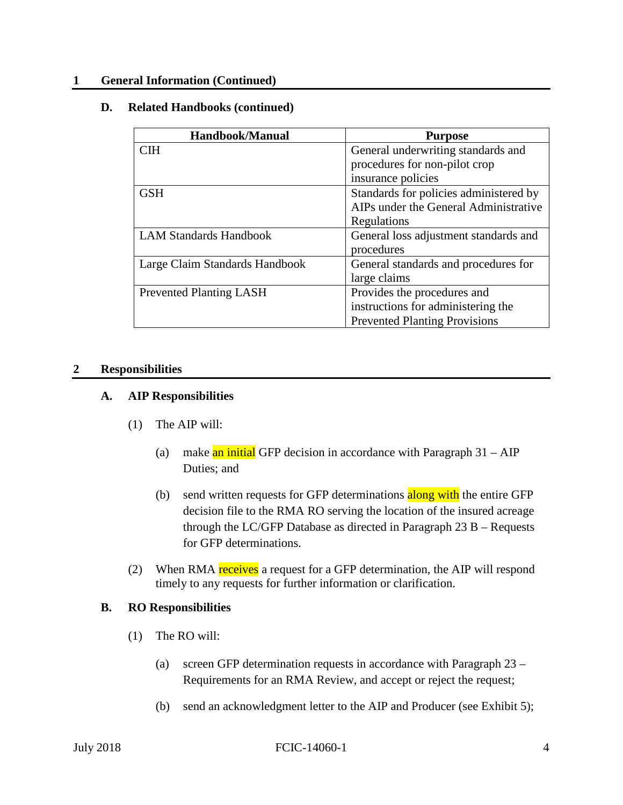#### **1 General Information (Continued)**

#### **D. Related Handbooks (continued)**

| Handbook/Manual                | <b>Purpose</b>                         |
|--------------------------------|----------------------------------------|
| <b>CIH</b>                     | General underwriting standards and     |
|                                | procedures for non-pilot crop          |
|                                | insurance policies                     |
| <b>GSH</b>                     | Standards for policies administered by |
|                                | AIPs under the General Administrative  |
|                                | Regulations                            |
| <b>LAM Standards Handbook</b>  | General loss adjustment standards and  |
|                                | procedures                             |
| Large Claim Standards Handbook | General standards and procedures for   |
|                                | large claims                           |
| <b>Prevented Planting LASH</b> | Provides the procedures and            |
|                                | instructions for administering the     |
|                                | <b>Prevented Planting Provisions</b>   |

#### **2 Responsibilities**

#### **A. AIP Responsibilities**

- (1) The AIP will:
- ll:<br><mark>an in</mark><br>s; and (a) make an initial GFP decision in accordance with Paragraph 31 – AIP Duties; and
	- <mark>along</mark><br>tion c<br>Parag (b) send written requests for GFP determinations along with the entire GFP decision file to the RMA RO serving the location of the insured acreage through the LC/GFP Database as directed in Paragraph 23 B – Requests for GFP determinations.
- P dete<br>
<u>recei</u><br> *r*equ (2) When RMA receives a request for a GFP determination, the AIP will respond timely to any requests for further information or clarification.

#### **B. RO Responsibilities**

- (1) The RO will:
	- Requirements for an RMA Review, and accept or reject the request; (a) screen GFP determination requests in accordance with Paragraph 23 –
	- (b) send an acknowledgment letter to the AIP and Producer (see Exhibit 5);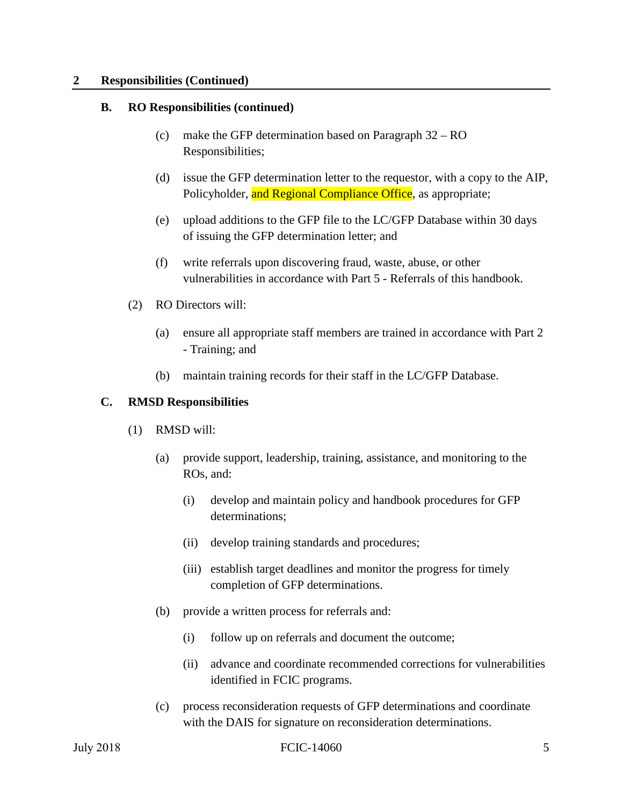#### **2 Responsibilities (Continued)**

#### **B. RO Responsibilities (continued)**

- (c) make the GFP determination based on Paragraph 32 RO Responsibilities;
- (d) issue the GFP determination letter to the requestor, with a copy to the AIP, Policyholder, and Regional Compliance Office, as appropriate;
- (e) upload additions to the GFP file to the LC/GFP Database within 30 days of issuing the GFP determination letter; and
- (f) write referrals upon discovering fraud, waste, abuse, or other vulnerabilities in accordance with Part 5 - Referrals of this handbook.
- (2) RO Directors will:
	- (a) ensure all appropriate staff members are trained in accordance with Part 2 - Training; and
	- (b) maintain training records for their staff in the LC/GFP Database.

#### **C. RMSD Responsibilities**

- (1) RMSD will:
	- (a) provide support, leadership, training, assistance, and monitoring to the ROs, and:
		- (i) develop and maintain policy and handbook procedures for GFP determinations;
		- (ii) develop training standards and procedures;
		- (iii) establish target deadlines and monitor the progress for timely completion of GFP determinations.
	- (b) provide a written process for referrals and:
		- (i) follow up on referrals and document the outcome;
		- (ii) advance and coordinate recommended corrections for vulnerabilities identified in FCIC programs.
	- (c) process reconsideration requests of GFP determinations and coordinate with the DAIS for signature on reconsideration determinations.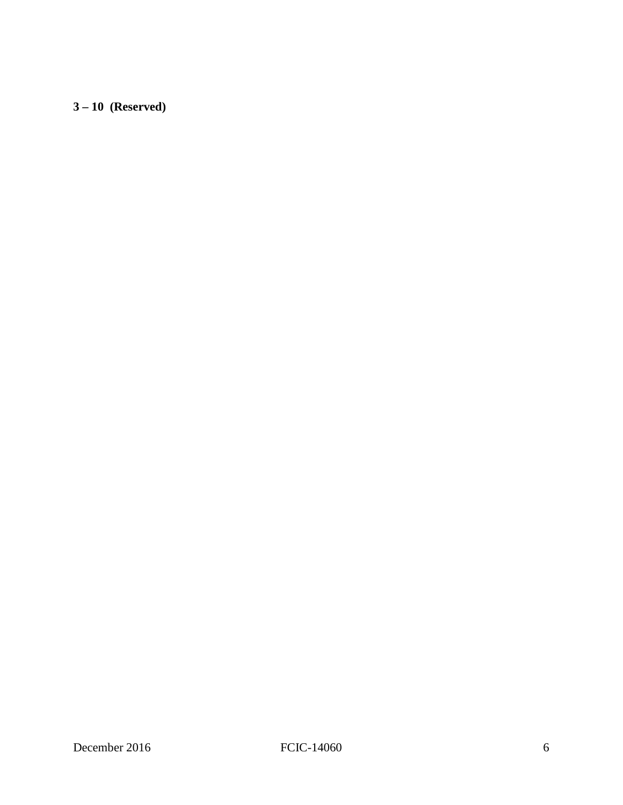**3 – 10 (Reserved)**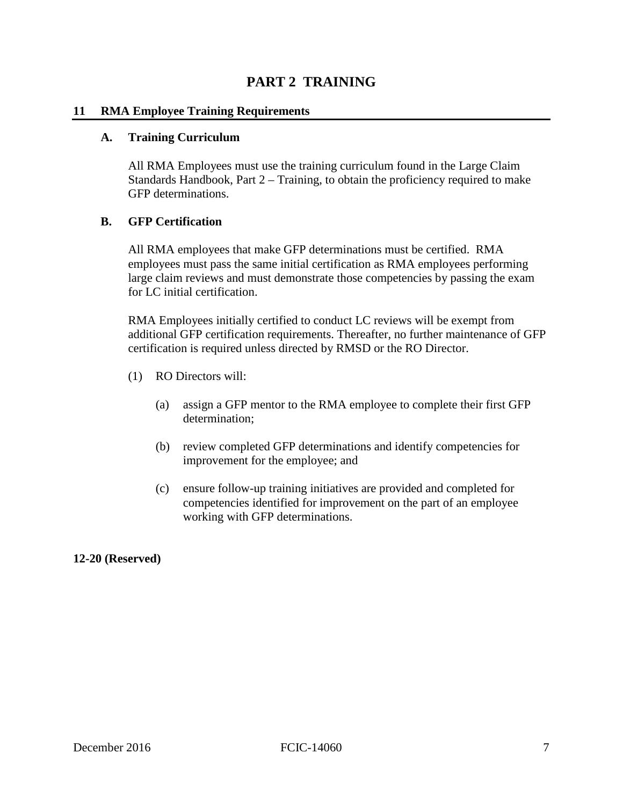## **PART 2 TRAINING**

#### **11 RMA Employee Training Requirements**

#### **A. Training Curriculum**

All RMA Employees must use the training curriculum found in the Large Claim Standards Handbook, Part 2 – Training, to obtain the proficiency required to make GFP determinations.

#### **B. GFP Certification**

 large claim reviews and must demonstrate those competencies by passing the exam All RMA employees that make GFP determinations must be certified. RMA employees must pass the same initial certification as RMA employees performing for LC initial certification.

RMA Employees initially certified to conduct LC reviews will be exempt from additional GFP certification requirements. Thereafter, no further maintenance of GFP certification is required unless directed by RMSD or the RO Director.

- (1) RO Directors will:
	- (a) assign a GFP mentor to the RMA employee to complete their first GFP determination;
	- (b) review completed GFP determinations and identify competencies for improvement for the employee; and
	- competencies identified for improvement on the part of an employee (c) ensure follow-up training initiatives are provided and completed for working with GFP determinations.

**12-20 (Reserved)**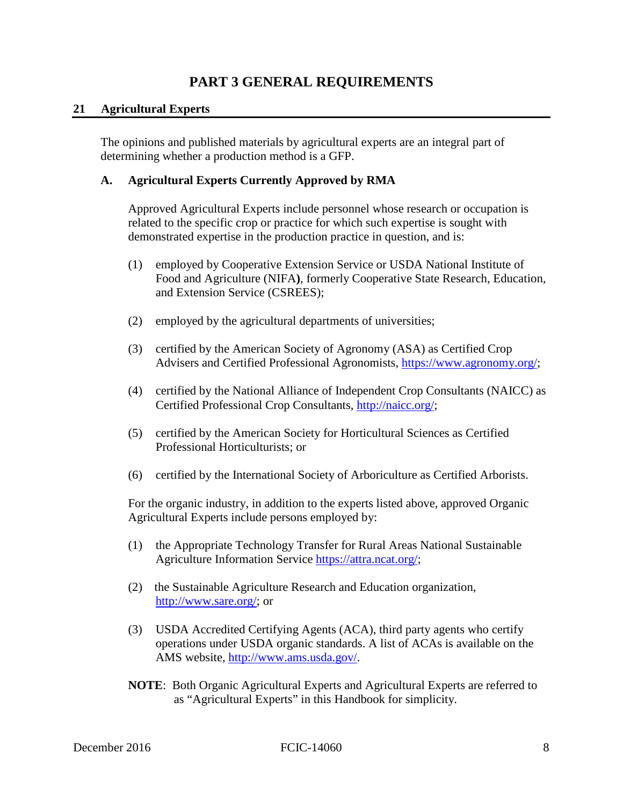### **PART 3 GENERAL REQUIREMENTS**

#### **21 Agricultural Experts**

The opinions and published materials by agricultural experts are an integral part of determining whether a production method is a GFP.

#### **A. Agricultural Experts Currently Approved by RMA**

Approved Agricultural Experts include personnel whose research or occupation is related to the specific crop or practice for which such expertise is sought with demonstrated expertise in the production practice in question, and is:

- (1) employed by Cooperative Extension Service or USDA National Institute of Food and Agriculture (NIFA**)**, formerly Cooperative State Research, Education, and Extension Service (CSREES);
- (2) employed by the agricultural departments of universities;
- (3) certified by the American Society of Agronomy (ASA) as Certified Crop Advisers and Certified Professional Agronomists, [https://www.agronomy.org/;](https://www.agronomy.org/)
- (4) certified by the National Alliance of Independent Crop Consultants (NAICC) as Certified Professional Crop Consultants, [http://naicc.org/;](http://naicc.org/)
- (5) certified by the American Society for Horticultural Sciences as Certified Professional Horticulturists; or
- (6) certified by the International Society of Arboriculture as Certified Arborists.

For the organic industry, in addition to the experts listed above, approved Organic Agricultural Experts include persons employed by:

- (1) the Appropriate Technology Transfer for Rural Areas National Sustainable Agriculture Information Service [https://attra.ncat.org/;](https://attra.ncat.org/)
- (2) the Sustainable Agriculture Research and Education organization, [http://www.sare.org/;](http://www.sare.org/) or
- operations under USDA organic standards. A list of ACAs is available on the (3) USDA Accredited Certifying Agents (ACA), third party agents who certify AMS website, [http://www.ams.usda.gov/.](http://www.ams.usda.gov/AMSv1.0/getfile?dDocName=STELPRDC5100382)
- **NOTE**: Both Organic Agricultural Experts and Agricultural Experts are referred to as "Agricultural Experts" in this Handbook for simplicity.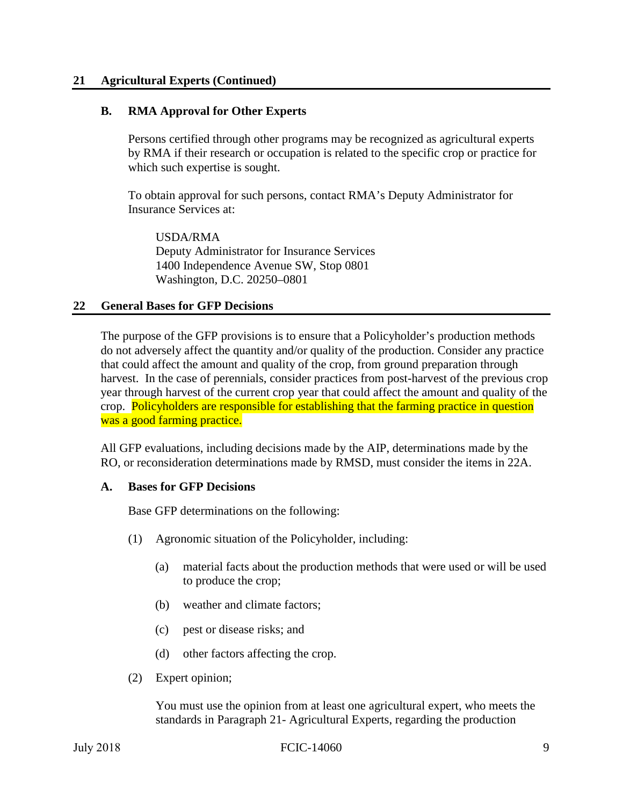#### **21 Agricultural Experts (Continued)**

#### **B. RMA Approval for Other Experts**

Persons certified through other programs may be recognized as agricultural experts by RMA if their research or occupation is related to the specific crop or practice for which such expertise is sought.

To obtain approval for such persons, contact RMA's Deputy Administrator for Insurance Services at:

USDA/RMA Deputy Administrator for Insurance Services 1400 Independence Avenue SW, Stop 0801 Washington, D.C. 20250–0801

#### **22 General Bases for GFP Decisions**

The purpose of the GFP provisions is to ensure that a Policyholder's production methods do not adversely affect the quantity and/or quality of the production. Consider any practice that could affect the amount and quality of the crop, from ground preparation through harvest. In the case of perennials, consider practices from post-harvest of the previous crop year through harvest of the current crop year that could affect the amount and quality of the crop. Policyholders are responsible for establishing that the farming practice in question was a good farming practice.

 All GFP evaluations, including decisions made by the AIP, determinations made by the RO, or reconsideration determinations made by RMSD, must consider the items in 22A.

#### **A. Bases for GFP Decisions**

Base GFP determinations on the following:

- (1) Agronomic situation of the Policyholder, including:
	- (a) material facts about the production methods that were used or will be used to produce the crop;
	- (b) weather and climate factors;
	- (c) pest or disease risks; and
	- (d) other factors affecting the crop.
- (2) Expert opinion;

 standards in Paragraph 21- Agricultural Experts, regarding the production You must use the opinion from at least one agricultural expert, who meets the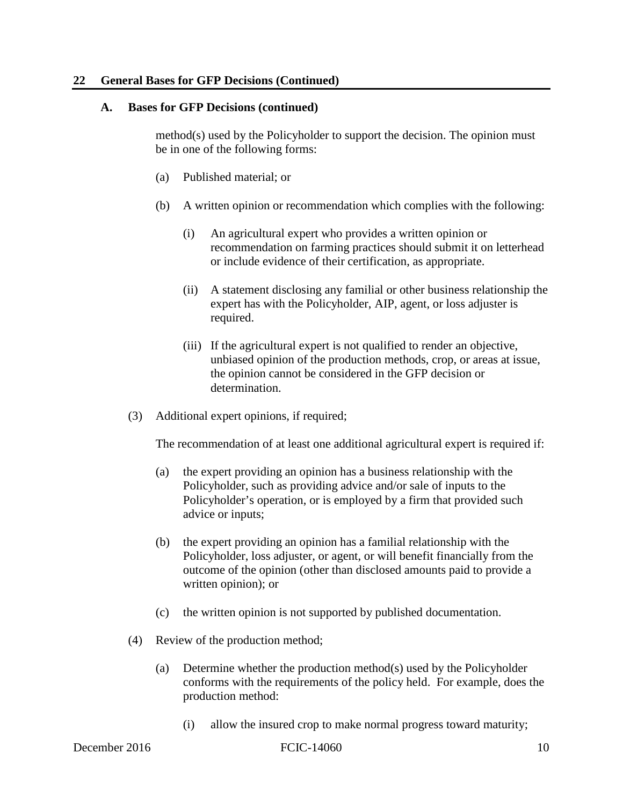#### **22 General Bases for GFP Decisions (Continued)**

#### **A. Bases for GFP Decisions (continued)**

method(s) used by the Policyholder to support the decision. The opinion must be in one of the following forms:

- (a) Published material; or
- (b) A written opinion or recommendation which complies with the following:
	- (i) An agricultural expert who provides a written opinion or recommendation on farming practices should submit it on letterhead or include evidence of their certification, as appropriate.
	- (ii) A statement disclosing any familial or other business relationship the expert has with the Policyholder, AIP, agent, or loss adjuster is required.
	- (iii) If the agricultural expert is not qualified to render an objective, unbiased opinion of the production methods, crop, or areas at issue, the opinion cannot be considered in the GFP decision or determination.
- (3) Additional expert opinions, if required;

The recommendation of at least one additional agricultural expert is required if:

- (a) the expert providing an opinion has a business relationship with the Policyholder, such as providing advice and/or sale of inputs to the Policyholder's operation, or is employed by a firm that provided such advice or inputs;
- (b) the expert providing an opinion has a familial relationship with the Policyholder, loss adjuster, or agent, or will benefit financially from the outcome of the opinion (other than disclosed amounts paid to provide a written opinion); or
- (c) the written opinion is not supported by published documentation.
- (4) Review of the production method;
	- (a) Determine whether the production method(s) used by the Policyholder conforms with the requirements of the policy held. For example, does the production method:
		- (i) allow the insured crop to make normal progress toward maturity;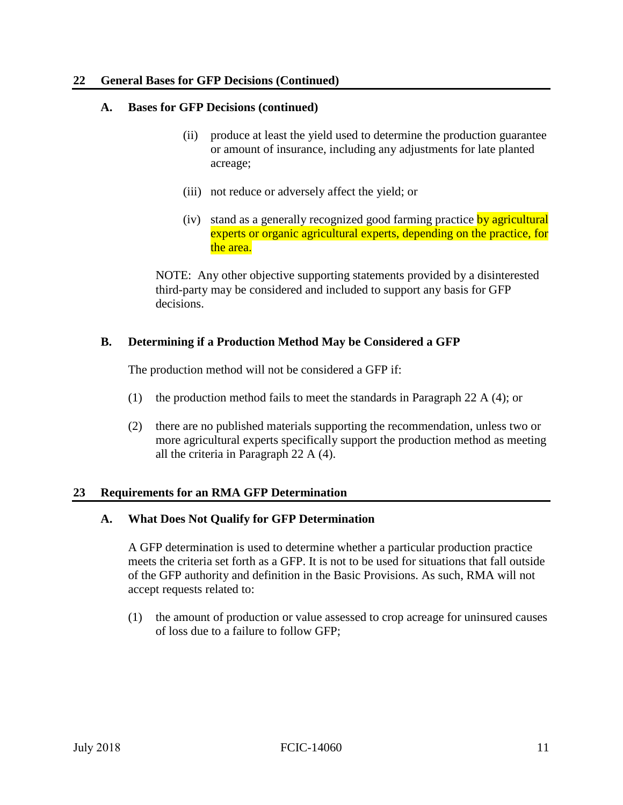#### **22 General Bases for GFP Decisions (Continued)**

#### **A. Bases for GFP Decisions (continued)**

- (ii) produce at least the yield used to determine the production guarantee or amount of insurance, including any adjustments for late planted acreage;
- (iii) not reduce or adversely affect the yield; or
- (iv) stand as a generally recognized good farming practice by agricultural experts or organic agricultural experts, depending on the practice, for the area.

NOTE: Any other objective supporting statements provided by a disinterested third-party may be considered and included to support any basis for GFP decisions.

#### **B. Determining if a Production Method May be Considered a GFP**

The production method will not be considered a GFP if:

- (1) the production method fails to meet the standards in Paragraph 22 A (4); or
- (2) there are no published materials supporting the recommendation, unless two or more agricultural experts specifically support the production method as meeting all the criteria in Paragraph 22 A (4).

#### **23 Requirements for an RMA GFP Determination**

#### **A. What Does Not Qualify for GFP Determination**

A GFP determination is used to determine whether a particular production practice meets the criteria set forth as a GFP. It is not to be used for situations that fall outside of the GFP authority and definition in the Basic Provisions. As such, RMA will not accept requests related to:

(1) the amount of production or value assessed to crop acreage for uninsured causes of loss due to a failure to follow GFP;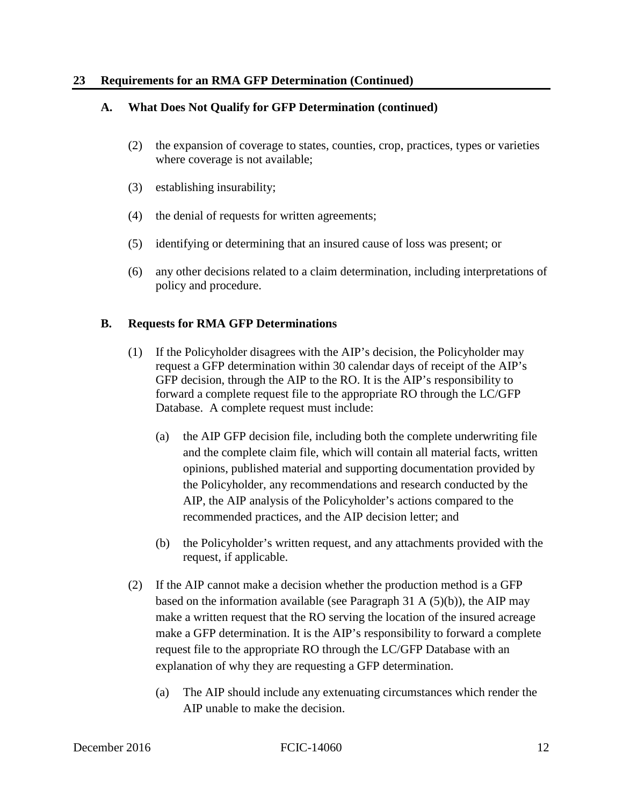#### **23 Requirements for an RMA GFP Determination (Continued)**

#### **A. What Does Not Qualify for GFP Determination (continued)**

- (2) the expansion of coverage to states, counties, crop, practices, types or varieties where coverage is not available;
- (3) establishing insurability;
- (4) the denial of requests for written agreements;
- (5) identifying or determining that an insured cause of loss was present; or
- (6) any other decisions related to a claim determination, including interpretations of policy and procedure.

#### **B. Requests for RMA GFP Determinations**

- Database. A complete request must include: (1) If the Policyholder disagrees with the AIP's decision, the Policyholder may request a GFP determination within 30 calendar days of receipt of the AIP's GFP decision, through the AIP to the RO. It is the AIP's responsibility to forward a complete request file to the appropriate RO through the LC/GFP
	- (a) the AIP GFP decision file, including both the complete underwriting file and the complete claim file, which will contain all material facts, written opinions, published material and supporting documentation provided by the Policyholder, any recommendations and research conducted by the AIP, the AIP analysis of the Policyholder's actions compared to the recommended practices, and the AIP decision letter; and
	- (b) the Policyholder's written request, and any attachments provided with the request, if applicable.
- (2) If the AIP cannot make a decision whether the production method is a GFP based on the information available (see Paragraph 31 A  $(5)(b)$ ), the AIP may make a written request that the RO serving the location of the insured acreage make a GFP determination. It is the AIP's responsibility to forward a complete request file to the appropriate RO through the LC/GFP Database with an explanation of why they are requesting a GFP determination.
	- (a) The AIP should include any extenuating circumstances which render the AIP unable to make the decision.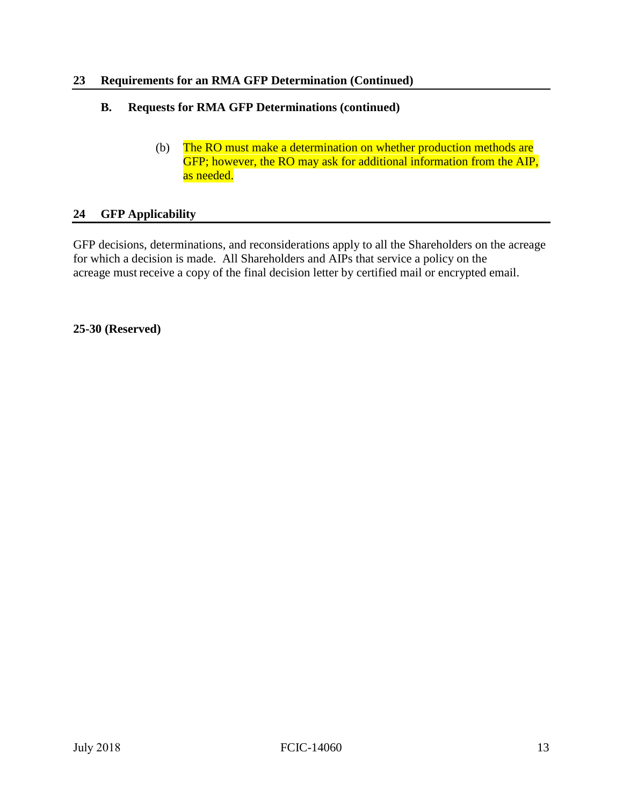#### **23 Requirements for an RMA GFP Determination (Continued)**

#### **B. Requests for RMA GFP Determinations (continued)**

(b) The RO must make a determination on whether production methods are GFP; however, the RO may ask for additional information from the AIP, as needed.

#### **24 GFP Applicability**

 for which a decision is made. All Shareholders and AIPs that service a policy on the GFP decisions, determinations, and reconsiderations apply to all the Shareholders on the acreage acreage must receive a copy of the final decision letter by certified mail or encrypted email.

#### **25-30 (Reserved)**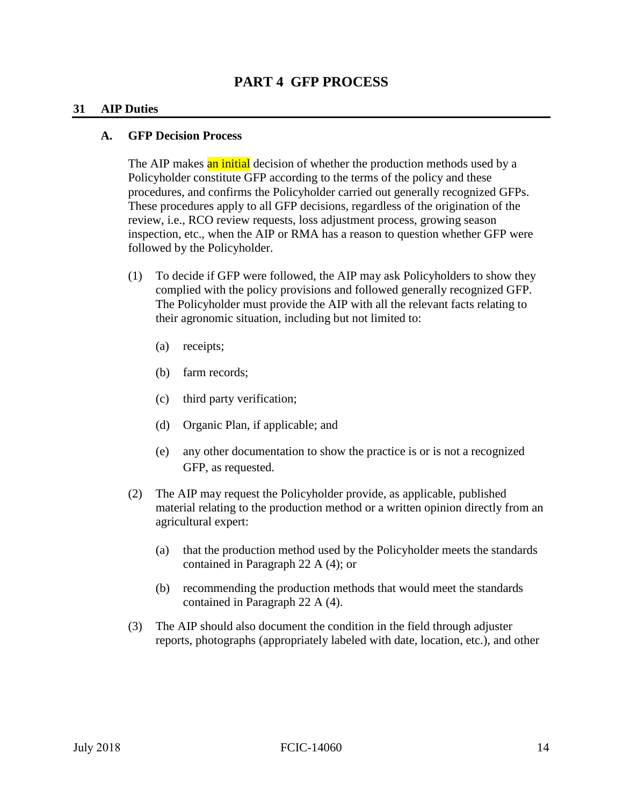#### **31 AIP Duties**

#### **A. GFP Decision Process**

The AIP makes an initial decision of whether the production methods used by a - Policyholder constitute GFP according to the terms of the policy and these procedures, and confirms the Policyholder carried out generally recognized GFPs. These procedures apply to all GFP decisions, regardless of the origination of the review, i.e., RCO review requests, loss adjustment process, growing season inspection, etc., when the AIP or RMA has a reason to question whether GFP were followed by the Policyholder.

- (1) To decide if GFP were followed, the AIP may ask Policyholders to show they complied with the policy provisions and followed generally recognized GFP. The Policyholder must provide the AIP with all the relevant facts relating to their agronomic situation, including but not limited to:
	- (a) receipts;
	- (b) farm records;
	- (c) third party verification;
	- (d) Organic Plan, if applicable; and
	- (e) any other documentation to show the practice is or is not a recognized GFP, as requested.
- (2) The AIP may request the Policyholder provide, as applicable, published material relating to the production method or a written opinion directly from an agricultural expert:
	- (a) that the production method used by the Policyholder meets the standards contained in Paragraph 22 A (4); or
	- (b) recommending the production methods that would meet the standards contained in Paragraph 22 A (4).
- (3) The AIP should also document the condition in the field through adjuster reports, photographs (appropriately labeled with date, location, etc.), and other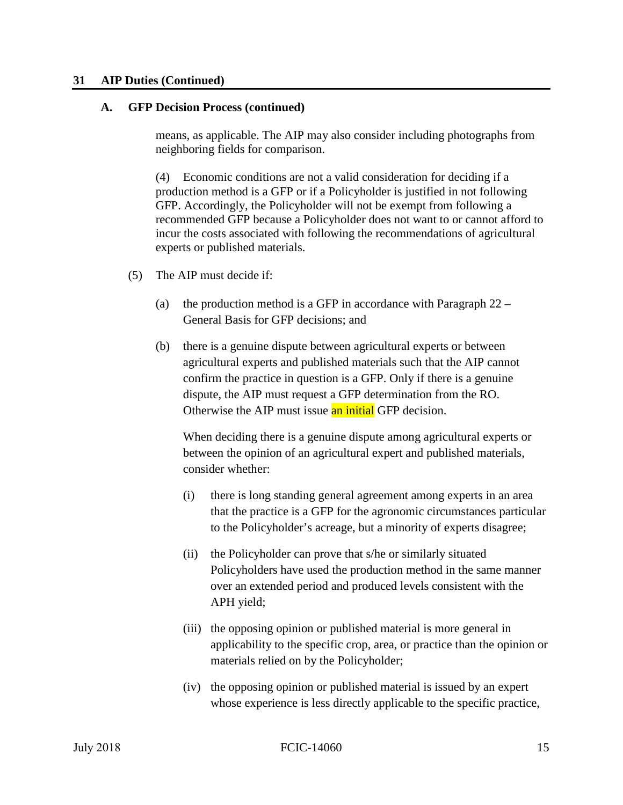#### **31 AIP Duties (Continued)**

#### **A. GFP Decision Process (continued)**

means, as applicable. The AIP may also consider including photographs from neighboring fields for comparison.

 GFP. Accordingly, the Policyholder will not be exempt from following a (4) Economic conditions are not a valid consideration for deciding if a production method is a GFP or if a Policyholder is justified in not following recommended GFP because a Policyholder does not want to or cannot afford to incur the costs associated with following the recommendations of agricultural experts or published materials.

- (5) The AIP must decide if:
	- (a) the production method is a GFP in accordance with Paragraph  $22 -$ General Basis for GFP decisions; and
	- on is a<br>a GF<br><mark>an in</mark><br>ine d (b) there is a genuine dispute between agricultural experts or between agricultural experts and published materials such that the AIP cannot confirm the practice in question is a GFP. Only if there is a genuine dispute, the AIP must request a GFP determination from the RO. Otherwise the AIP must issue an initial GFP decision.

When deciding there is a genuine dispute among agricultural experts or between the opinion of an agricultural expert and published materials, consider whether:

- (i) there is long standing general agreement among experts in an area that the practice is a GFP for the agronomic circumstances particular to the Policyholder's acreage, but a minority of experts disagree;
- (ii) the Policyholder can prove that s/he or similarly situated Policyholders have used the production method in the same manner over an extended period and produced levels consistent with the APH yield;
- (iii) the opposing opinion or published material is more general in applicability to the specific crop, area, or practice than the opinion or materials relied on by the Policyholder;
- (iv) the opposing opinion or published material is issued by an expert whose experience is less directly applicable to the specific practice,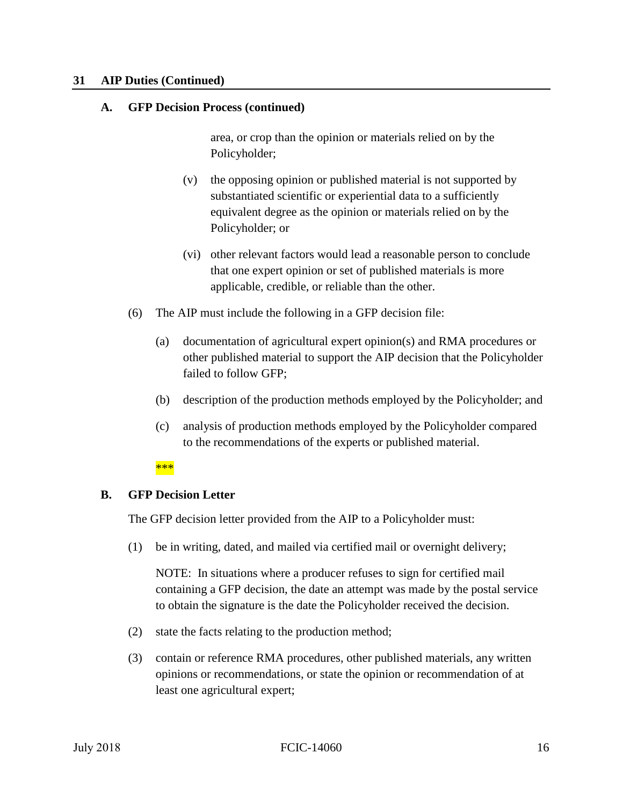#### <span id="page-22-0"></span>**31 AIP Duties (Continued)**

#### **A. GFP Decision Process (continued)**

area, or crop than the opinion or materials relied on by the Policyholder;

- (v) the opposing opinion or published material is not supported by substantiated scientific or experiential data to a sufficiently equivalent degree as the opinion or materials relied on by the Policyholder; or
- (vi) other relevant factors would lead a reasonable person to conclude that one expert opinion or set of published materials is more applicable, credible, or reliable than the other.
- (6) The AIP must include the following in a GFP decision file:
	- other published material to support the AIP decision that the Policyholder (a) documentation of agricultural expert opinion(s) and RMA procedures or failed to follow GFP;
	- (b) description of the production methods employed by the Policyholder; and
	- (c) analysis of production methods employed by the Policyholder compared to the recommendations of the experts or published material.

#### \*\*\*

# **B.** GFP Decision Letter

The GFP decision letter provided from the AIP to a Policyholder must:

(1) be in writing, dated, and mailed via certified mail or overnight delivery;

 NOTE: In situations where a producer refuses to sign for certified mail containing a GFP decision, the date an attempt was made by the postal service to obtain the signature is the date the Policyholder received the decision.

- (2) state the facts relating to the production method;
- (3) contain or reference RMA procedures, other published materials, any written opinions or recommendations, or state the opinion or recommendation of at least one agricultural expert;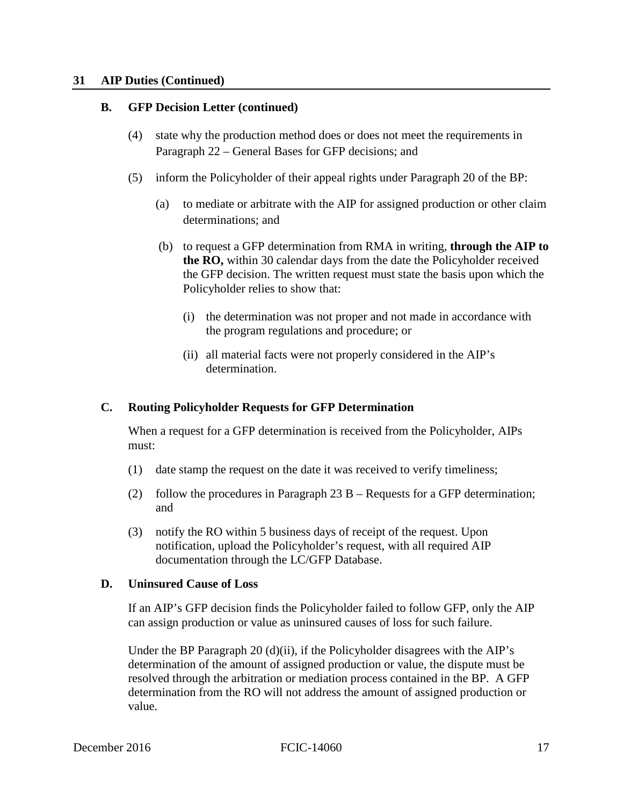#### **31 AIP Duties (Continued)**

#### **B. GFP Decision Letter (continued)**

- (4) state why the production method does or does not meet the requirements in Paragraph 22 – General Bases for GFP decisions; and
- (5) inform the Policyholder of their appeal rights under Paragraph 20 of the BP:
	- (a) to mediate or arbitrate with the AIP for assigned production or other claim determinations; and
	- (b) to request a GFP determination from RMA in writing, **through the AIP to the RO,** within 30 calendar days from the date the Policyholder received the GFP decision. The written request must state the basis upon which the Policyholder relies to show that:
		- (i) the determination was not proper and not made in accordance with the program regulations and procedure; or
		- (ii) all material facts were not properly considered in the AIP's determination.

#### **C. Routing Policyholder Requests for GFP Determination**

When a request for a GFP determination is received from the Policyholder, AIPs must:

- (1) date stamp the request on the date it was received to verify timeliness;
- (2) follow the procedures in Paragraph  $23 B -$  Requests for a GFP determination; and
- (3) notify the RO within 5 business days of receipt of the request. Upon notification, upload the Policyholder's request, with all required AIP documentation through the LC/GFP Database.

#### **D. Uninsured Cause of Loss**

 If an AIP's GFP decision finds the Policyholder failed to follow GFP, only the AIP can assign production or value as uninsured causes of loss for such failure.

 resolved through the arbitration or mediation process contained in the BP. A GFP Under the BP Paragraph 20 (d)(ii), if the Policyholder disagrees with the AIP's determination of the amount of assigned production or value, the dispute must be determination from the RO will not address the amount of assigned production or value.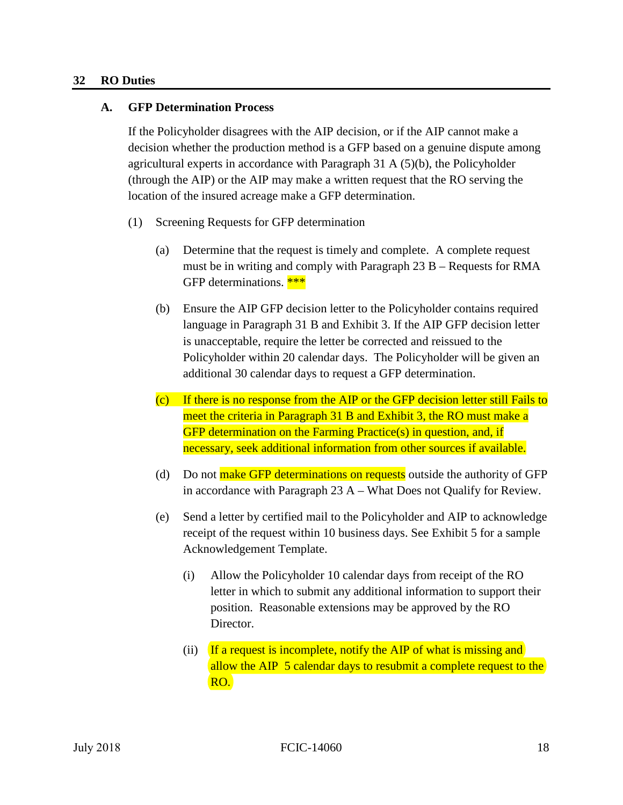#### **32 RO Duties**

#### **A. GFP Determination Process**

 decision whether the production method is a GFP based on a genuine dispute among If the Policyholder disagrees with the AIP decision, or if the AIP cannot make a agricultural experts in accordance with Paragraph 31 A (5)(b), the Policyholder (through the AIP) or the AIP may make a written request that the RO serving the location of the insured acreage make a GFP determination.

- (1) Screening Requests for GFP determination
	- must be in writing and comply with Paragraph 23 B Requests for RMA<br>GFP determinations. \*\*\*<br>Ensure the AIP GFP decision letter to the Policyholder contains required (a) Determine that the request is timely and complete. A complete request GFP determinations. \*\*\*
	- (b) Ensure the AIP GFP decision letter to the Policyholder contains required language in Paragraph 31 B and Exhibit 3. If the AIP GFP decision letter is unacceptable, require the letter be corrected and reissued to the Policyholder within 20 calendar days. The Policyholder will be given an additional 30 calendar days to request a GFP determination.
	- (c) If there is no response from the AIP or the GFP decision letter still Fails to meet the criteria in Paragraph 31 B and Exhibit 3, the RO must make a GFP determination on the Farming Practice(s) in question, and, if necessary, seek additional information from other sources if available.
	- (d) Do not make GFP determinations on requests outside the authority of GFP in accordance with Paragraph 23 A – What Does not Qualify for Review.
	- (e) Send a letter by certified mail to the Policyholder and AIP to acknowledge receipt of the request within 10 business days. See Exhibit 5 for a sample Acknowledgement Template.
		- (i) Allow the Policyholder 10 calendar days from receipt of the RO letter in which to submit any additional information to support their position. Reasonable extensions may be approved by the RO Director.
		- (ii) If a request is incomplete, notify the AIP of what is missing and allow the AIP 5 calendar days to resubmit a complete request to the RO.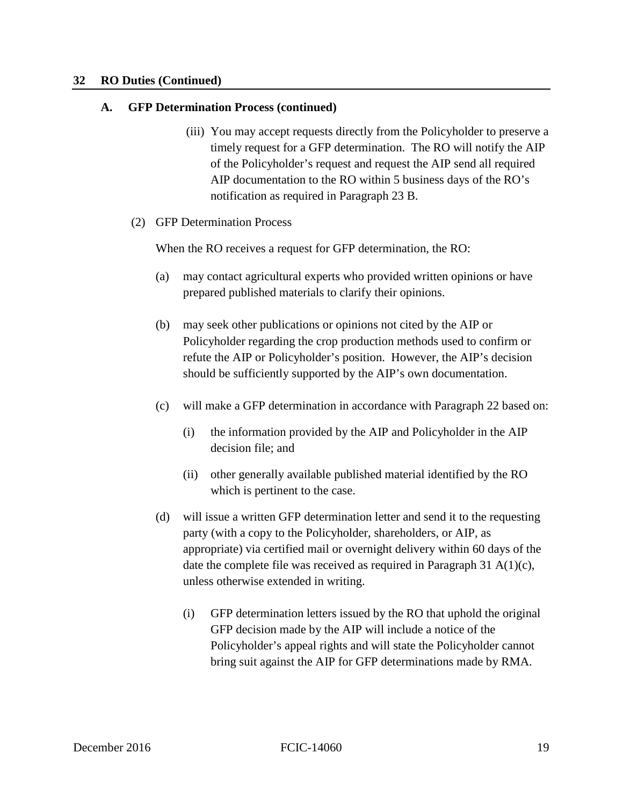#### **A. GFP Determination Process (continued)**

- (iii) You may accept requests directly from the Policyholder to preserve a timely request for a GFP determination. The RO will notify the AIP of the Policyholder's request and request the AIP send all required AIP documentation to the RO within 5 business days of the RO's notification as required in Paragraph 23 B.
- (2) GFP Determination Process

When the RO receives a request for GFP determination, the RO:

- (a) may contact agricultural experts who provided written opinions or have prepared published materials to clarify their opinions.
- (b) may seek other publications or opinions not cited by the AIP or Policyholder regarding the crop production methods used to confirm or refute the AIP or Policyholder's position. However, the AIP's decision should be sufficiently supported by the AIP's own documentation.
- (c) will make a GFP determination in accordance with Paragraph 22 based on:
	- (i) the information provided by the AIP and Policyholder in the AIP decision file; and
	- (ii) other generally available published material identified by the RO which is pertinent to the case.
- date the complete file was received as required in Paragraph 31 A(1)(c), (d) will issue a written GFP determination letter and send it to the requesting party (with a copy to the Policyholder, shareholders, or AIP, as appropriate) via certified mail or overnight delivery within 60 days of the unless otherwise extended in writing.
	- (i) GFP determination letters issued by the RO that uphold the original GFP decision made by the AIP will include a notice of the Policyholder's appeal rights and will state the Policyholder cannot bring suit against the AIP for GFP determinations made by RMA.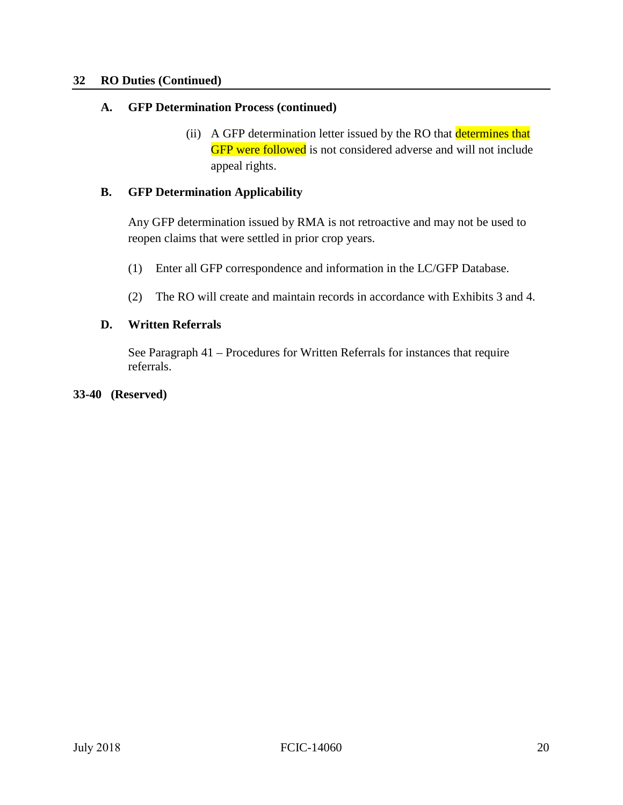#### **A. GFP Determination Process (continued)**

(ii) A GFP determination letter issued by the RO that determines that GFP were followed is not considered adverse and will not include appeal rights.

#### **B. GFP Determination Applicability**

Any GFP determination issued by RMA is not retroactive and may not be used to reopen claims that were settled in prior crop years.

- (1) Enter all GFP correspondence and information in the LC/GFP Database.
- (2) The RO will create and maintain records in accordance with Exhibits 3 and 4.

#### **D. Written Referrals**

See Paragraph 41 – Procedures for Written Referrals for instances that require referrals.

#### **33-40 (Reserved)**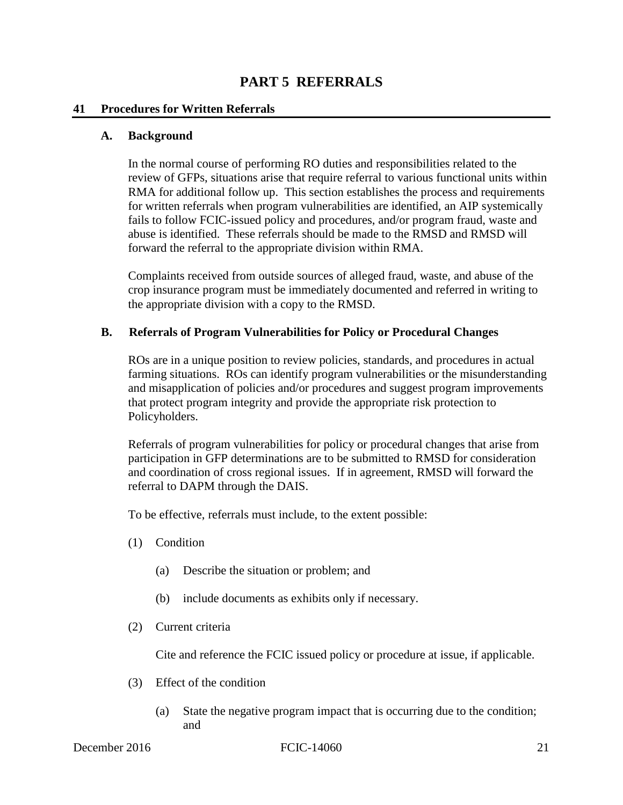#### **PART 5 REFERRALS**

#### **41 Procedures for Written Referrals**

#### **A. Background**

In the normal course of performing RO duties and responsibilities related to the review of GFPs, situations arise that require referral to various functional units within RMA for additional follow up. This section establishes the process and requirements for written referrals when program vulnerabilities are identified, an AIP systemically fails to follow FCIC-issued policy and procedures, and/or program fraud, waste and abuse is identified. These referrals should be made to the RMSD and RMSD will forward the referral to the appropriate division within RMA.

 Complaints received from outside sources of alleged fraud, waste, and abuse of the crop insurance program must be immediately documented and referred in writing to the appropriate division with a copy to the RMSD.

#### **B. Referrals of Program Vulnerabilities for Policy or Procedural Changes**

ROs are in a unique position to review policies, standards, and procedures in actual farming situations. ROs can identify program vulnerabilities or the misunderstanding and misapplication of policies and/or procedures and suggest program improvements that protect program integrity and provide the appropriate risk protection to Policyholders.

Referrals of program vulnerabilities for policy or procedural changes that arise from participation in GFP determinations are to be submitted to RMSD for consideration and coordination of cross regional issues. If in agreement, RMSD will forward the referral to DAPM through the DAIS.

To be effective, referrals must include, to the extent possible:

- (1) Condition
	- (a) Describe the situation or problem; and
	- (b) include documents as exhibits only if necessary.
- (2) Current criteria

Cite and reference the FCIC issued policy or procedure at issue, if applicable.

- (3) Effect of the condition
	- (a) State the negative program impact that is occurring due to the condition; and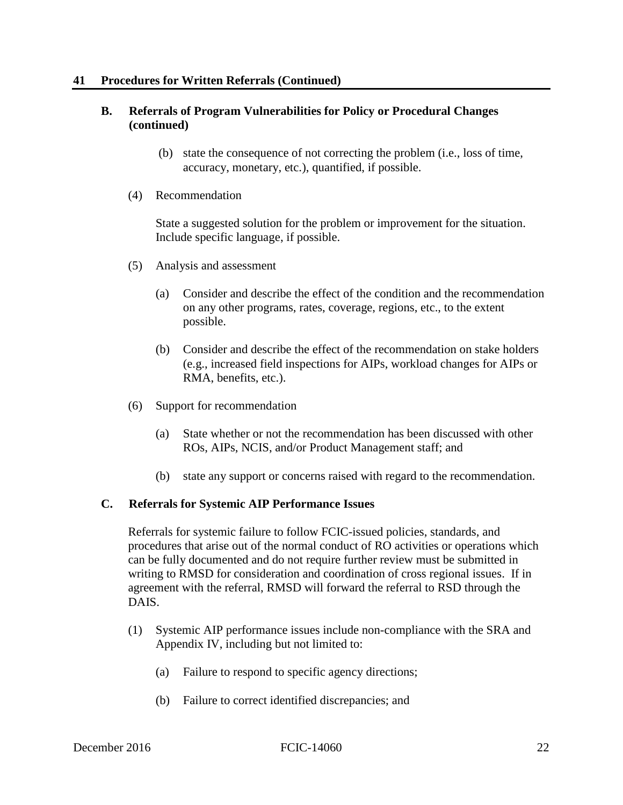#### **B. Referrals of Program Vulnerabilities for Policy or Procedural Changes (continued)**

- (b) state the consequence of not correcting the problem (i.e., loss of time, accuracy, monetary, etc.), quantified, if possible.
- (4) Recommendation

State a suggested solution for the problem or improvement for the situation. Include specific language, if possible.

- (5) Analysis and assessment
	- (a) Consider and describe the effect of the condition and the recommendation on any other programs, rates, coverage, regions, etc., to the extent possible.
	- (b) Consider and describe the effect of the recommendation on stake holders (e.g., increased field inspections for AIPs, workload changes for AIPs or RMA, benefits, etc.).
- (6) Support for recommendation
	- (a) State whether or not the recommendation has been discussed with other ROs, AIPs, NCIS, and/or Product Management staff; and
	- (b) state any support or concerns raised with regard to the recommendation.

#### **C. Referrals for Systemic AIP Performance Issues**

Referrals for systemic failure to follow FCIC-issued policies, standards, and procedures that arise out of the normal conduct of RO activities or operations which can be fully documented and do not require further review must be submitted in writing to RMSD for consideration and coordination of cross regional issues. If in agreement with the referral, RMSD will forward the referral to RSD through the DAIS.

- (1) Systemic AIP performance issues include non-compliance with the SRA and Appendix IV, including but not limited to:
	- (a) Failure to respond to specific agency directions;
	- (b) Failure to correct identified discrepancies; and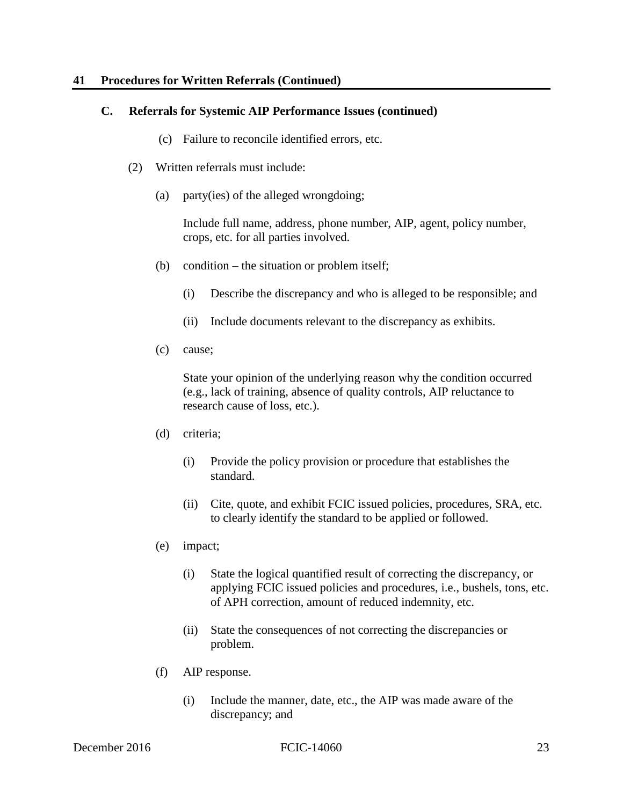#### **41 Procedures for Written Referrals (Continued)**

#### **C. Referrals for Systemic AIP Performance Issues (continued)**

- (c) Failure to reconcile identified errors, etc.
- (2) Written referrals must include:
	- (a) party(ies) of the alleged wrongdoing;

Include full name, address, phone number, AIP, agent, policy number, crops, etc. for all parties involved.

- (b) condition the situation or problem itself;
	- (i) Describe the discrepancy and who is alleged to be responsible; and
	- (ii) Include documents relevant to the discrepancy as exhibits.
- (c) cause;

 State your opinion of the underlying reason why the condition occurred (e.g., lack of training, absence of quality controls, AIP reluctance to research cause of loss, etc.).

- (d) criteria;
	- (i) Provide the policy provision or procedure that establishes the standard.
	- (ii) Cite, quote, and exhibit FCIC issued policies, procedures, SRA, etc. to clearly identify the standard to be applied or followed.
- (e) impact;
	- (i) State the logical quantified result of correcting the discrepancy, or applying FCIC issued policies and procedures, i.e., bushels, tons, etc. of APH correction, amount of reduced indemnity, etc.
	- (ii) State the consequences of not correcting the discrepancies or problem.
- (f) AIP response.
	- (i) Include the manner, date, etc., the AIP was made aware of the discrepancy; and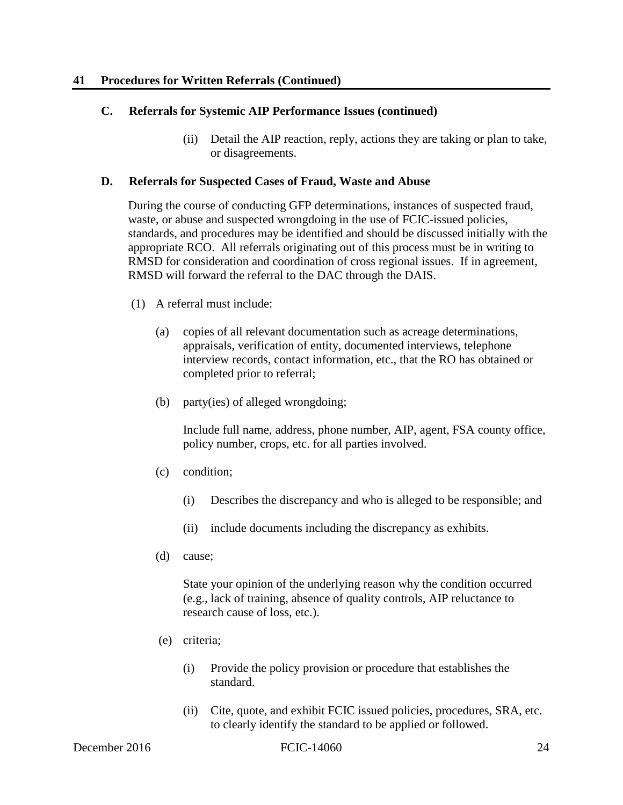#### **C. Referrals for Systemic AIP Performance Issues (continued)**

(ii) Detail the AIP reaction, reply, actions they are taking or plan to take, or disagreements.

#### **D. Referrals for Suspected Cases of Fraud, Waste and Abuse**

During the course of conducting GFP determinations, instances of suspected fraud, waste, or abuse and suspected wrongdoing in the use of FCIC-issued policies, standards, and procedures may be identified and should be discussed initially with the appropriate RCO. All referrals originating out of this process must be in writing to RMSD for consideration and coordination of cross regional issues. If in agreement, RMSD will forward the referral to the DAC through the DAIS.

- (1) A referral must include:
	- completed prior to referral; (a) copies of all relevant documentation such as acreage determinations, appraisals, verification of entity, documented interviews, telephone interview records, contact information, etc., that the RO has obtained or
	- (b) party(ies) of alleged wrongdoing;

Include full name, address, phone number, AIP, agent, FSA county office, policy number, crops, etc. for all parties involved.

- (c) condition;
	- (i) Describes the discrepancy and who is alleged to be responsible; and
	- (ii) include documents including the discrepancy as exhibits.
- (d) cause;

 (e.g., lack of training, absence of quality controls, AIP reluctance to research cause of loss, etc.). State your opinion of the underlying reason why the condition occurred

- (e) criteria;
	- (i) Provide the policy provision or procedure that establishes the standard.
	- (ii) Cite, quote, and exhibit FCIC issued policies, procedures, SRA, etc. to clearly identify the standard to be applied or followed.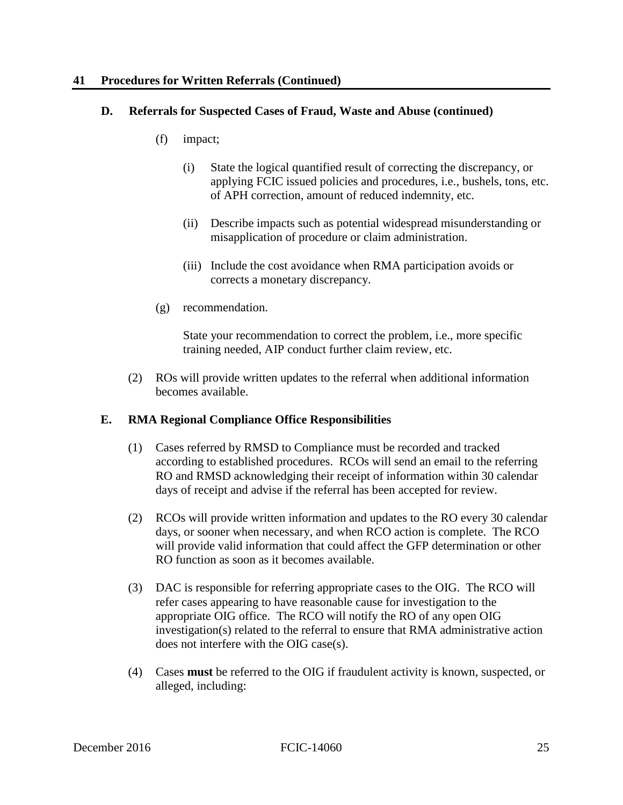#### **41 Procedures for Written Referrals (Continued)**

#### **D. Referrals for Suspected Cases of Fraud, Waste and Abuse (continued)**

- $(f)$ impact;
	- applying FCIC issued policies and procedures, i.e., bushels, tons, etc. (i) State the logical quantified result of correcting the discrepancy, or of APH correction, amount of reduced indemnity, etc.
	- (ii) Describe impacts such as potential widespread misunderstanding or misapplication of procedure or claim administration.
	- (iii) Include the cost avoidance when RMA participation avoids or corrects a monetary discrepancy.
- recommendation.

(g) recommendation. State your recommendation to correct the problem, i.e., more specific training needed, AIP conduct further claim review, etc.

(2) ROs will provide written updates to the referral when additional information becomes available.

#### **E. RMA Regional Compliance Office Responsibilities**

- (1) Cases referred by RMSD to Compliance must be recorded and tracked days of receipt and advise if the referral has been accepted for review. according to established procedures. RCOs will send an email to the referring RO and RMSD acknowledging their receipt of information within 30 calendar
- (2) RCOs will provide written information and updates to the RO every 30 calendar days, or sooner when necessary, and when RCO action is complete. The RCO will provide valid information that could affect the GFP determination or other RO function as soon as it becomes available.
- (3) DAC is responsible for referring appropriate cases to the OIG. The RCO will refer cases appearing to have reasonable cause for investigation to the appropriate OIG office. The RCO will notify the RO of any open OIG investigation(s) related to the referral to ensure that RMA administrative action does not interfere with the OIG case(s).
- (4) Cases **must** be referred to the OIG if fraudulent activity is known, suspected, or alleged, including: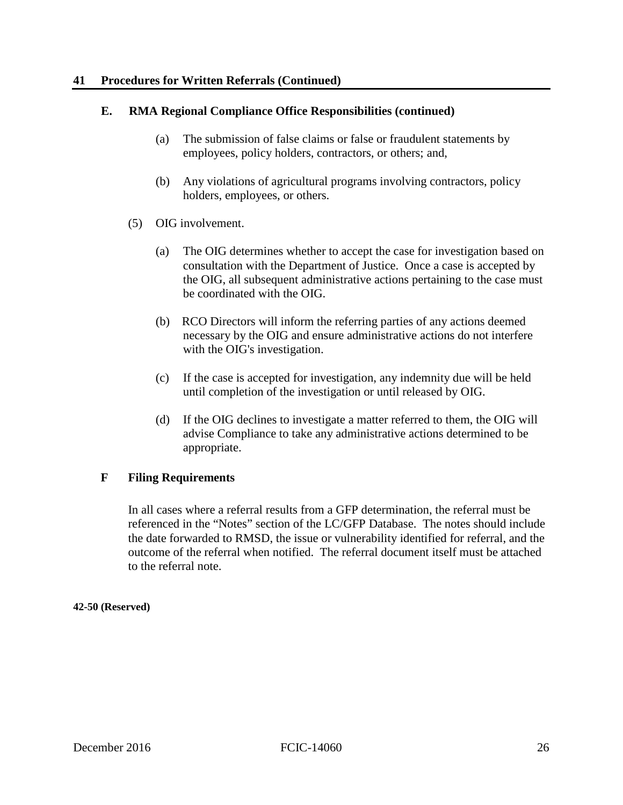#### **41 Procedures for Written Referrals (Continued)**

#### **E. RMA Regional Compliance Office Responsibilities (continued)**

- (a) The submission of false claims or false or fraudulent statements by employees, policy holders, contractors, or others; and,
- (b) Any violations of agricultural programs involving contractors, policy holders, employees, or others.
- (5) OIG involvement.
	- (a) The OIG determines whether to accept the case for investigation based on consultation with the Department of Justice. Once a case is accepted by the OIG, all subsequent administrative actions pertaining to the case must be coordinated with the OIG.
	- (b) RCO Directors will inform the referring parties of any actions deemed necessary by the OIG and ensure administrative actions do not interfere with the OIG's investigation.
	- (c) If the case is accepted for investigation, any indemnity due will be held until completion of the investigation or until released by OIG.
	- (d) If the OIG declines to investigate a matter referred to them, the OIG will advise Compliance to take any administrative actions determined to be appropriate.

#### **F Filing Requirements**

 referenced in the "Notes" section of the LC/GFP Database. The notes should include In all cases where a referral results from a GFP determination, the referral must be the date forwarded to RMSD, the issue or vulnerability identified for referral, and the outcome of the referral when notified. The referral document itself must be attached to the referral note.

#### **42-50 (Reserved)**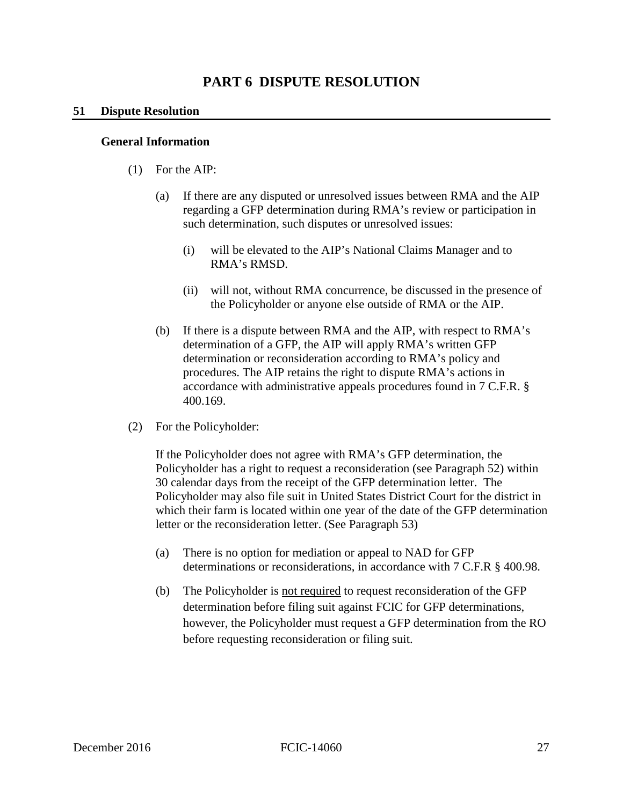## **PART 6 DISPUTE RESOLUTION**

#### **51 Dispute Resolution**

#### **General Information**

- (1) For the AIP:
	- $(a)$ If there are any disputed or unresolved issues between RMA and the AIP regarding a GFP determination during RMA's review or participation in such determination, such disputes or unresolved issues:
		- (i) will be elevated to the AIP's National Claims Manager and to RMA's RMSD.
		- the Policyholder or anyone else outside of RMA or the AIP. (ii) will not, without RMA concurrence, be discussed in the presence of
	- $(b)$ If there is a dispute between RMA and the AIP, with respect to  $RMA's$ determination of a GFP, the AIP will apply RMA's written GFP determination or reconsideration according to RMA's policy and procedures. The AIP retains the right to dispute RMA's actions in accordance with administrative appeals procedures found in 7 C.F.R. § 400.169.
- (2) For the Policyholder:

 If the Policyholder does not agree with RMA's GFP determination, the Policyholder has a right to request a reconsideration (see Paragraph 52) within Policyholder may also file suit in United States District Court for the district in which their farm is located within one year of the date of the GFP determination letter or the reconsideration letter. (See Paragraph 53) 30 calendar days from the receipt of the GFP determination letter. The

- (a) There is no option for mediation or appeal to NAD for GFP determinations or reconsiderations, in accordance with 7 C.F.R § 400.98.
- (b) The Policyholder is not required to request reconsideration of the GFP determination before filing suit against FCIC for GFP determinations, however, the Policyholder must request a GFP determination from the RO before requesting reconsideration or filing suit.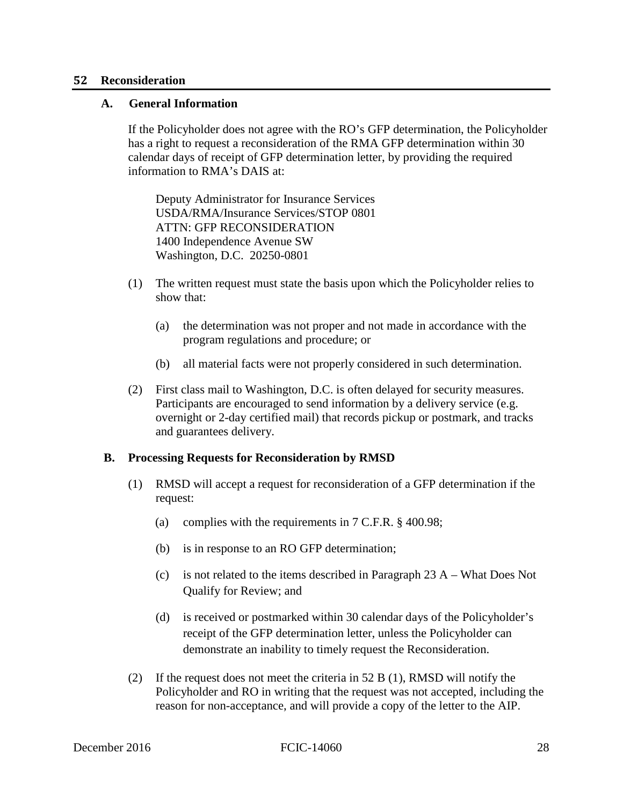#### <span id="page-34-0"></span> **52 Reconsideration**

#### **A. General Information**

 calendar days of receipt of GFP determination letter, by providing the required information to RMA's DAIS at: If the Policyholder does not agree with the RO's GFP determination, the Policyholder has a right to request a reconsideration of the RMA GFP determination within 30

 ATTN: GFP RECONSIDERATION 1400 Independence Avenue SW Deputy Administrator for Insurance Services USDA/RMA/Insurance Services/STOP 0801 Washington, D.C. 20250-0801

- (1) The written request must state the basis upon which the Policyholder relies to show that:
	- (a) the determination was not proper and not made in accordance with the program regulations and procedure; or
	- (b) all material facts were not properly considered in such determination.
- (2) First class mail to Washington, D.C. is often delayed for security measures. Participants are encouraged to send information by a delivery service (e.g. overnight or 2-day certified mail) that records pickup or postmark, and tracks and guarantees delivery.

#### **B. Processing Requests for Reconsideration by RMSD**

- (1) RMSD will accept a request for reconsideration of a GFP determination if the request:
	- (a) complies with the requirements in 7 C.F.R. § 400.98;
	- (b) is in response to an RO GFP determination;
	- (c) is not related to the items described in Paragraph 23 A What Does Not Qualify for Review; and
	- (d) is received or postmarked within 30 calendar days of the Policyholder's receipt of the GFP determination letter, unless the Policyholder can demonstrate an inability to timely request the Reconsideration.
- (2) If the request does not meet the criteria in 52 B (1), RMSD will notify the reason for non-acceptance, and will provide a copy of the letter to the AIP. Policyholder and RO in writing that the request was not accepted, including the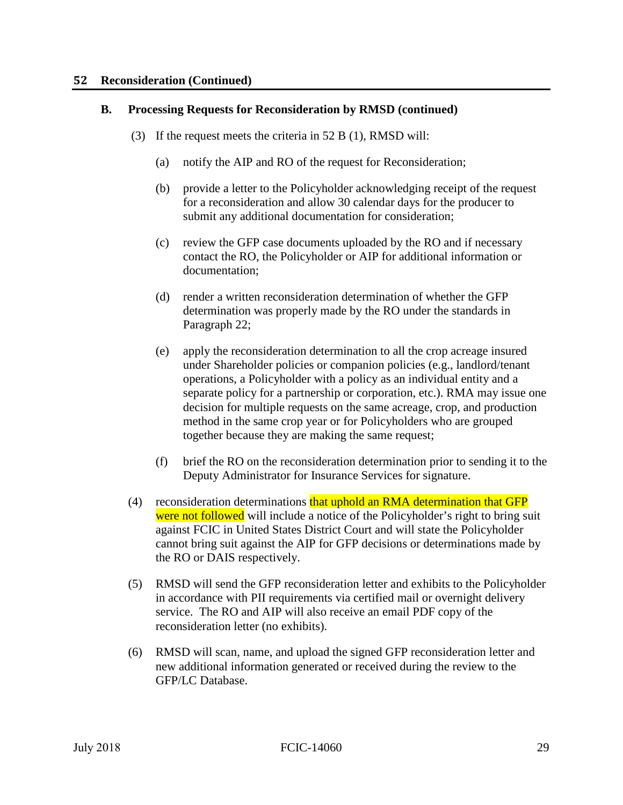#### **52 Reconsideration (Continued)**

#### **B. Processing Requests for Reconsideration by RMSD (continued)**

- (3) If the request meets the criteria in 52 B (1), RMSD will:
	- (a) notify the AIP and RO of the request for Reconsideration;
	- (b) provide a letter to the Policyholder acknowledging receipt of the request for a reconsideration and allow 30 calendar days for the producer to submit any additional documentation for consideration;
	- (c) review the GFP case documents uploaded by the RO and if necessary contact the RO, the Policyholder or AIP for additional information or documentation;
	- (d) render a written reconsideration determination of whether the GFP determination was properly made by the RO under the standards in Paragraph 22;
	- method in the same crop year or for Policyholders who are grouped (e) apply the reconsideration determination to all the crop acreage insured under Shareholder policies or companion policies (e.g., landlord/tenant operations, a Policyholder with a policy as an individual entity and a separate policy for a partnership or corporation, etc.). RMA may issue one decision for multiple requests on the same acreage, crop, and production together because they are making the same request;
	- (f) brief the RO on the reconsideration determination prior to sending it to the Deputy Administrator for Insurance Services for signature.
- (4) reconsideration determinations that uphold an RMA determination that GFP cannot bring suit against the AIP for GFP decisions or determinations made by the RO or DAIS respectively. were not followed will include a notice of the Policyholder's right to bring suit against FCIC in United States District Court and will state the Policyholder
- (5) RMSD will send the GFP reconsideration letter and exhibits to the Policyholder in accordance with PII requirements via certified mail or overnight delivery service. The RO and AIP will also receive an email PDF copy of the reconsideration letter (no exhibits).
- (6) RMSD will scan, name, and upload the signed GFP reconsideration letter and new additional information generated or received during the review to the GFP/LC Database.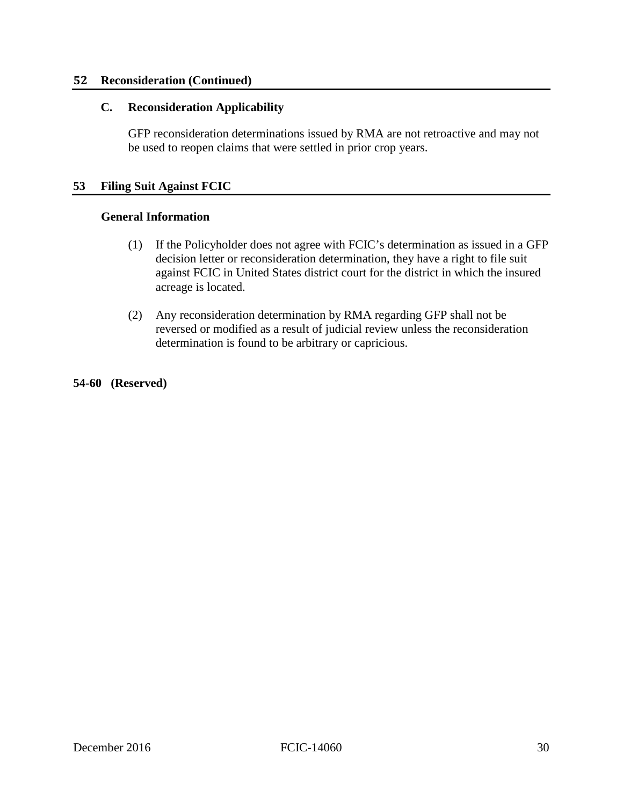#### **52 Reconsideration (Continued)**

#### **C. Reconsideration Applicability**

 be used to reopen claims that were settled in prior crop years. GFP reconsideration determinations issued by RMA are not retroactive and may not

#### **53 Filing Suit Against FCIC**

#### **General Information**

- (1) If the Policyholder does not agree with FCIC's determination as issued in a GFP decision letter or reconsideration determination, they have a right to file suit against FCIC in United States district court for the district in which the insured acreage is located.
- (2) Any reconsideration determination by RMA regarding GFP shall not be reversed or modified as a result of judicial review unless the reconsideration determination is found to be arbitrary or capricious.

**54-60 (Reserved)**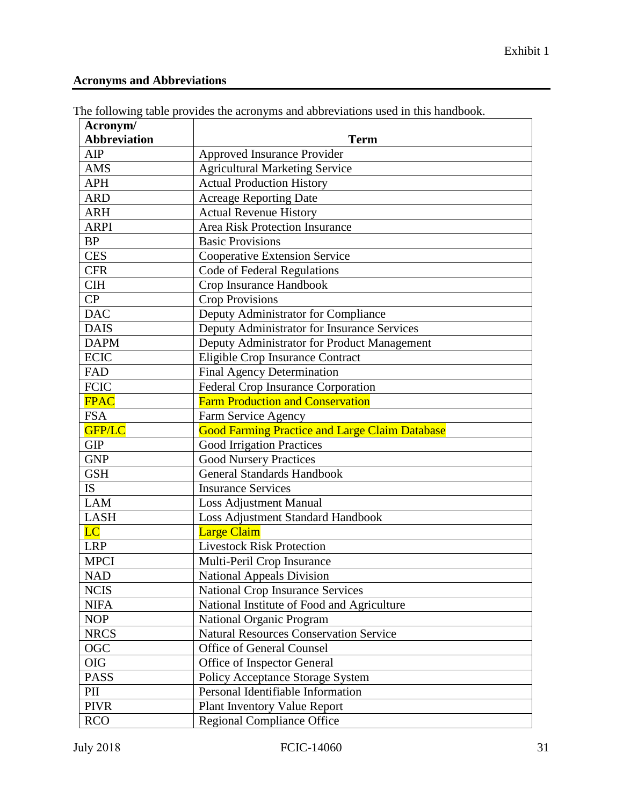#### **Acronyms and Abbreviations**

| Acronym/               |                                                       |
|------------------------|-------------------------------------------------------|
| <b>Abbreviation</b>    | <b>Term</b>                                           |
| AIP                    | Approved Insurance Provider                           |
| <b>AMS</b>             | <b>Agricultural Marketing Service</b>                 |
| <b>APH</b>             | <b>Actual Production History</b>                      |
| <b>ARD</b>             | <b>Acreage Reporting Date</b>                         |
| <b>ARH</b>             | <b>Actual Revenue History</b>                         |
| <b>ARPI</b>            | <b>Area Risk Protection Insurance</b>                 |
| <b>BP</b>              | <b>Basic Provisions</b>                               |
| <b>CES</b>             | Cooperative Extension Service                         |
| <b>CFR</b>             | Code of Federal Regulations                           |
| <b>CIH</b>             | Crop Insurance Handbook                               |
| CP                     | <b>Crop Provisions</b>                                |
| <b>DAC</b>             | Deputy Administrator for Compliance                   |
| <b>DAIS</b>            | Deputy Administrator for Insurance Services           |
| <b>DAPM</b>            | Deputy Administrator for Product Management           |
| <b>ECIC</b>            | Eligible Crop Insurance Contract                      |
| FAD                    | Final Agency Determination                            |
| <b>FCIC</b>            | Federal Crop Insurance Corporation                    |
| <b>FPAC</b>            | <b>Farm Production and Conservation</b>               |
| <b>FSA</b>             | Farm Service Agency                                   |
| GFP/LC                 | <b>Good Farming Practice and Large Claim Database</b> |
| <b>GIP</b>             | <b>Good Irrigation Practices</b>                      |
| <b>GNP</b>             | <b>Good Nursery Practices</b>                         |
| <b>GSH</b>             | <b>General Standards Handbook</b>                     |
| <b>IS</b>              | <b>Insurance Services</b>                             |
| <b>LAM</b>             | <b>Loss Adjustment Manual</b>                         |
| <b>LASH</b>            | Loss Adjustment Standard Handbook                     |
| $\overline{\text{LC}}$ | <b>Large Claim</b>                                    |
| <b>LRP</b>             | <b>Livestock Risk Protection</b>                      |
| <b>MPCI</b>            | Multi-Peril Crop Insurance                            |
| <b>NAD</b>             | National Appeals Division                             |
| <b>NCIS</b>            | <b>National Crop Insurance Services</b>               |
| <b>NIFA</b>            | National Institute of Food and Agriculture            |
| <b>NOP</b>             | National Organic Program                              |
| <b>NRCS</b>            | <b>Natural Resources Conservation Service</b>         |
| OGC                    | Office of General Counsel                             |
| <b>OIG</b>             | Office of Inspector General                           |
| <b>PASS</b>            | Policy Acceptance Storage System                      |
| $\rm{PII}$             | Personal Identifiable Information                     |
| <b>PIVR</b>            | <b>Plant Inventory Value Report</b>                   |
| <b>RCO</b>             | <b>Regional Compliance Office</b>                     |

The following table provides the acronyms and abbreviations used in this handbook.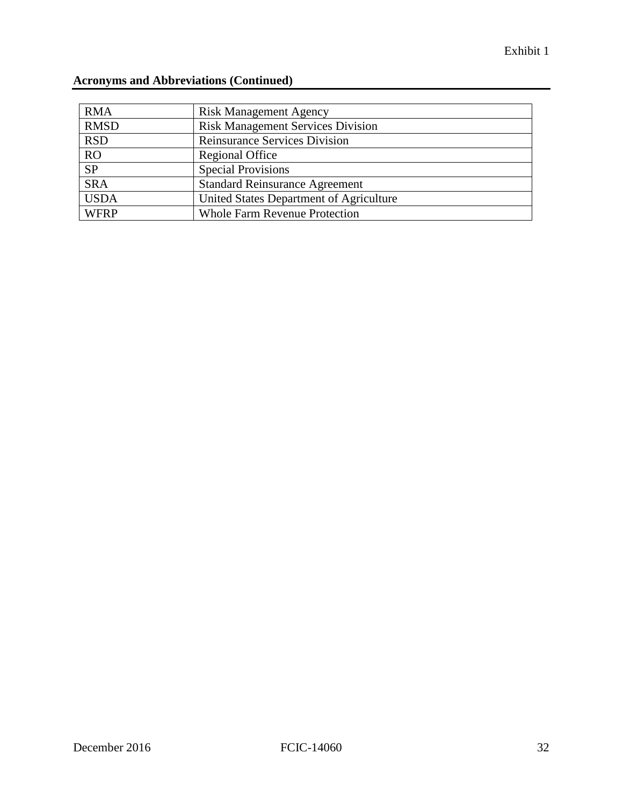| <b>RMA</b>  | <b>Risk Management Agency</b>            |
|-------------|------------------------------------------|
| <b>RMSD</b> | <b>Risk Management Services Division</b> |
| <b>RSD</b>  | <b>Reinsurance Services Division</b>     |
| <b>RO</b>   | Regional Office                          |
| <b>SP</b>   | <b>Special Provisions</b>                |
| <b>SRA</b>  | <b>Standard Reinsurance Agreement</b>    |
| <b>USDA</b> | United States Department of Agriculture  |
| <b>WFRP</b> | <b>Whole Farm Revenue Protection</b>     |

## **Acronyms and Abbreviations (Continued)**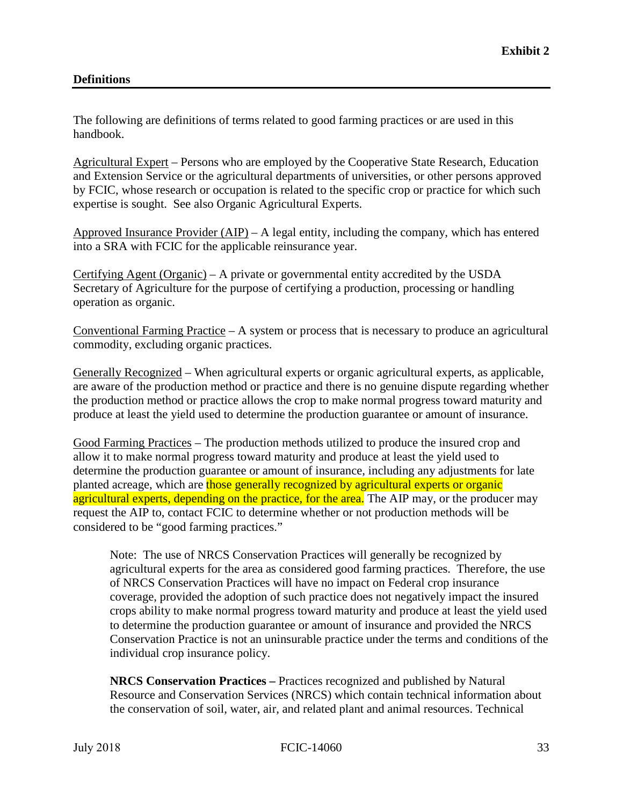#### **Definitions**

The following are definitions of terms related to good farming practices or are used in this handbook.

 by FCIC, whose research or occupation is related to the specific crop or practice for which such Agricultural Expert – Persons who are employed by the Cooperative State Research, Education and Extension Service or the agricultural departments of universities, or other persons approved expertise is sought. See also Organic Agricultural Experts.

Approved Insurance Provider  $(AIP) - A$  legal entity, including the company, which has entered into a SRA with FCIC for the applicable reinsurance year.

Certifying Agent (Organic) – A private or governmental entity accredited by the USDA Secretary of Agriculture for the purpose of certifying a production, processing or handling operation as organic.

Conventional Farming Practice  $- A$  system or process that is necessary to produce an agricultural commodity, excluding organic practices.

 are aware of the production method or practice and there is no genuine dispute regarding whether Generally Recognized – When agricultural experts or organic agricultural experts, as applicable, the production method or practice allows the crop to make normal progress toward maturity and produce at least the yield used to determine the production guarantee or amount of insurance.

 allow it to make normal progress toward maturity and produce at least the yield used to Good Farming Practices – The production methods utilized to produce the insured crop and determine the production guarantee or amount of insurance, including any adjustments for late planted acreage, which are those generally recognized by agricultural experts or organic agricultural experts, depending on the practice, for the area. The AIP may, or the producer may request the AIP to, contact FCIC to determine whether or not production methods will be considered to be "good farming practices."

 agricultural experts for the area as considered good farming practices. Therefore, the use crops ability to make normal progress toward maturity and produce at least the yield used Note: The use of NRCS Conservation Practices will generally be recognized by of NRCS Conservation Practices will have no impact on Federal crop insurance coverage, provided the adoption of such practice does not negatively impact the insured to determine the production guarantee or amount of insurance and provided the NRCS Conservation Practice is not an uninsurable practice under the terms and conditions of the individual crop insurance policy.

 **NRCS Conservation Practices –** Practices recognized and published by Natural the conservation of soil, water, air, and related plant and animal resources. Technical Resource and Conservation Services (NRCS) which contain technical information about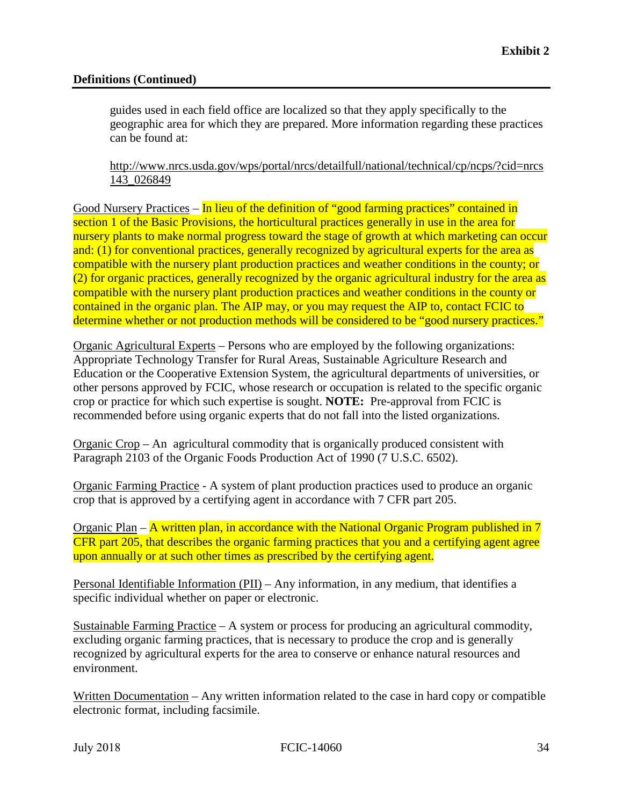#### **Definitions (Continued)**

 guides used in each field office are localized so that they apply specifically to the geographic area for which they are prepared. More information regarding these practices can be found at:

[http://www.nrcs.usda.gov/wps/portal/nrcs/detailfull/national/technical/cp/ncps/?cid=nrcs](http://www.nrcs.usda.gov/wps/portal/nrcs/detailfull/national/technical/cp/ncps/?cid=nrcs143_026849)  [143\\_026849](http://www.nrcs.usda.gov/wps/portal/nrcs/detailfull/national/technical/cp/ncps/?cid=nrcs143_026849) 

 nursery plants to make normal progress toward the stage of growth at which marketing can occur and: (1) for conventional practices, generally recognized by agricultural experts for the area as Good Nursery Practices – In lieu of the definition of "good farming practices" contained in section 1 of the Basic Provisions, the horticultural practices generally in use in the area for compatible with the nursery plant production practices and weather conditions in the county; or (2) for organic practices, generally recognized by the organic agricultural industry for the area as compatible with the nursery plant production practices and weather conditions in the county or contained in the organic plan. The AIP may, or you may request the AIP to, contact FCIC to determine whether or not production methods will be considered to be "good nursery practices."

 crop or practice for which such expertise is sought. **NOTE:** Pre-approval from FCIC is Organic Agricultural Experts – Persons who are employed by the following organizations: Appropriate Technology Transfer for Rural Areas, Sustainable Agriculture Research and Education or the Cooperative Extension System, the agricultural departments of universities, or other persons approved by FCIC, whose research or occupation is related to the specific organic recommended before using organic experts that do not fall into the listed organizations.

Organic Crop – An agricultural commodity that is organically produced consistent with Paragraph 2103 of the Organic Foods Production Act of 1990 (7 U.S.C. 6502).

 crop that is approved by a certifying agent in accordance with 7 CFR part 205. Organic Farming Practice - A system of plant production practices used to produce an organic

 CFR part 205, that describes the organic farming practices that you and a certifying agent agree Organic Plan – A written plan, in accordance with the National Organic Program published in 7 upon annually or at such other times as prescribed by the certifying agent.

Personal Identifiable Information (PII) – Any information, in any medium, that identifies a specific individual whether on paper or electronic.

Sustainable Farming Practice – A system or process for producing an agricultural commodity, excluding organic farming practices, that is necessary to produce the crop and is generally recognized by agricultural experts for the area to conserve or enhance natural resources and environment.

Written Documentation – Any written information related to the case in hard copy or compatible electronic format, including facsimile.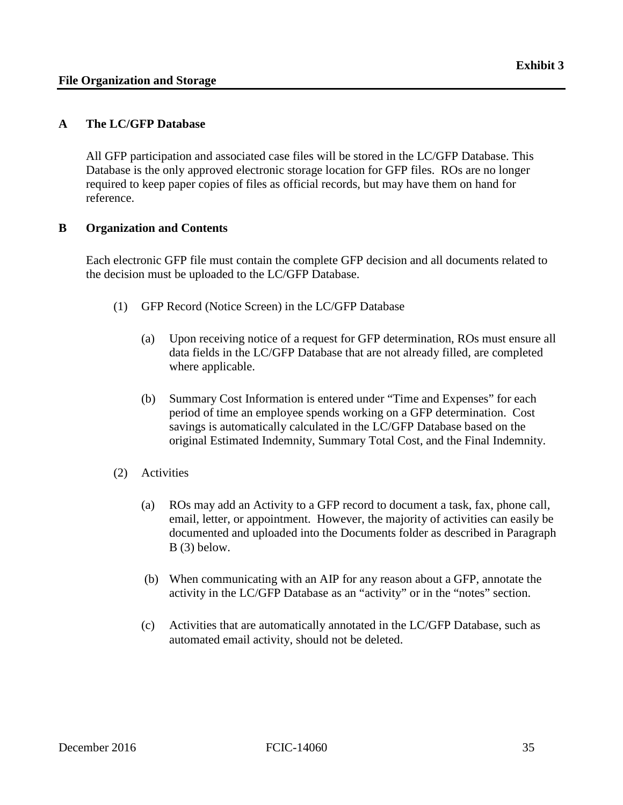#### <span id="page-41-0"></span> **A The LC/GFP Database**

All GFP participation and associated case files will be stored in the LC/GFP Database. This Database is the only approved electronic storage location for GFP files. ROs are no longer required to keep paper copies of files as official records, but may have them on hand for reference.

#### **B Organization and Contents**

Each electronic GFP file must contain the complete GFP decision and all documents related to the decision must be uploaded to the LC/GFP Database.

- (1) GFP Record (Notice Screen) in the LC/GFP Database
	- (a) Upon receiving notice of a request for GFP determination, ROs must ensure all data fields in the LC/GFP Database that are not already filled, are completed where applicable.
	- (b) Summary Cost Information is entered under "Time and Expenses" for each period of time an employee spends working on a GFP determination. Cost savings is automatically calculated in the LC/GFP Database based on the original Estimated Indemnity, Summary Total Cost, and the Final Indemnity.
- (2) Activities
	- (a) ROs may add an Activity to a GFP record to document a task, fax, phone call, email, letter, or appointment. However, the majority of activities can easily be documented and uploaded into the Documents folder as described in Paragraph B (3) below.
	- (b) When communicating with an AIP for any reason about a GFP, annotate the activity in the LC/GFP Database as an "activity" or in the "notes" section.
	- (c) Activities that are automatically annotated in the LC/GFP Database, such as automated email activity, should not be deleted.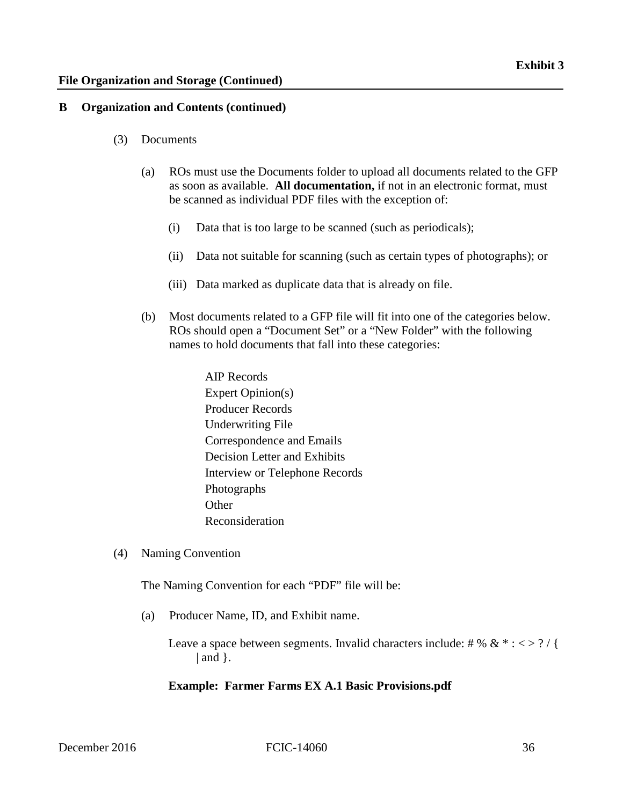#### **B Organization and Contents (continued)**

- (3) Documents
	- (a) ROs must use the Documents folder to upload all documents related to the GFP as soon as available. **All documentation,** if not in an electronic format, must be scanned as individual PDF files with the exception of:
		- (i) Data that is too large to be scanned (such as periodicals);
		- (ii) Data not suitable for scanning (such as certain types of photographs); or
		- (iii) Data marked as duplicate data that is already on file.
	- (b) Most documents related to a GFP file will fit into one of the categories below. ROs should open a "Document Set" or a "New Folder" with the following names to hold documents that fall into these categories:
		- AIP Records Expert Opinion(s) Producer Records Underwriting File Correspondence and Emails Decision Letter and Exhibits Interview or Telephone Records Photographs **Other** Reconsideration
- (4) Naming Convention

The Naming Convention for each "PDF" file will be:

(a) Producer Name, ID, and Exhibit name.

Leave a space between segments. Invalid characters include: # % &  $* : \langle \rangle$  ?  $|$  and  $|$ .

#### **Example: Farmer Farms EX A.1 Basic Provisions.pdf**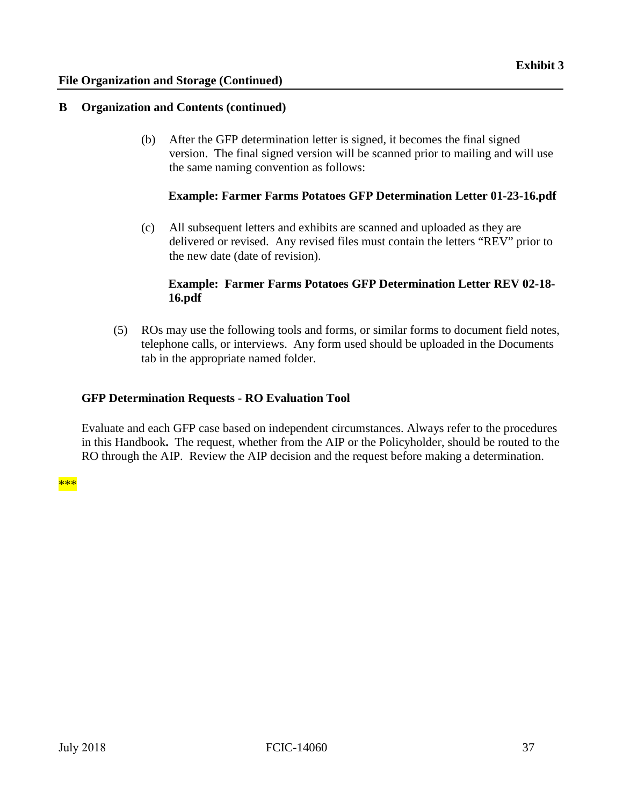#### **B Organization and Contents (continued)**

(b) After the GFP determination letter is signed, it becomes the final signed version. The final signed version will be scanned prior to mailing and will use the same naming convention as follows:

#### **Example: Farmer Farms Potatoes GFP Determination Letter 01-23-16.pdf**

(c) All subsequent letters and exhibits are scanned and uploaded as they are delivered or revised. Any revised files must contain the letters "REV" prior to the new date (date of revision).

#### **Example: Farmer Farms Potatoes GFP Determination Letter REV 02-18- 16.pdf**

(5) ROs may use the following tools and forms, or similar forms to document field notes, telephone calls, or interviews. Any form used should be uploaded in the Documents tab in the appropriate named folder.

#### **GFP Determination Requests - RO Evaluation Tool**

 Evaluate and each GFP case based on independent circumstances. Always refer to the procedures in this Handbook**.** The request, whether from the AIP or the Policyholder, should be routed to the RO through the AIP. Review the AIP decision and the request before making a determination.

\*\*\*<br><mark>\*\*\*</mark> \*\*\*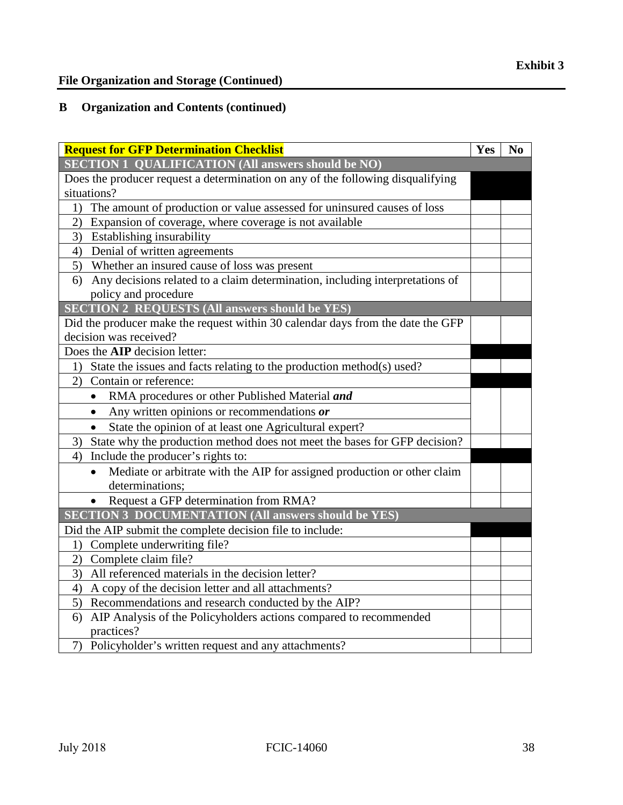#### **B Organization and Contents (continued)**

| <b>Request for GFP Determination Checklist</b>                                                             | Yes | N <sub>0</sub> |
|------------------------------------------------------------------------------------------------------------|-----|----------------|
| <b>SECTION 1 QUALIFICATION (All answers should be NO)</b>                                                  |     |                |
| Does the producer request a determination on any of the following disqualifying                            |     |                |
| situations?                                                                                                |     |                |
| 1) The amount of production or value assessed for uninsured causes of loss                                 |     |                |
| 2) Expansion of coverage, where coverage is not available                                                  |     |                |
| 3) Establishing insurability                                                                               |     |                |
| 4) Denial of written agreements                                                                            |     |                |
| 5) Whether an insured cause of loss was present                                                            |     |                |
| Any decisions related to a claim determination, including interpretations of<br>6)<br>policy and procedure |     |                |
| <b>SECTION 2 REQUESTS (All answers should be YES)</b>                                                      |     |                |
| Did the producer make the request within 30 calendar days from the date the GFP                            |     |                |
| decision was received?                                                                                     |     |                |
| Does the <b>AIP</b> decision letter:                                                                       |     |                |
| 1) State the issues and facts relating to the production method(s) used?                                   |     |                |
| 2) Contain or reference:                                                                                   |     |                |
| RMA procedures or other Published Material and<br>$\bullet$                                                |     |                |
| Any written opinions or recommendations or<br>$\bullet$                                                    |     |                |
| State the opinion of at least one Agricultural expert?                                                     |     |                |
| 3) State why the production method does not meet the bases for GFP decision?                               |     |                |
| 4) Include the producer's rights to:                                                                       |     |                |
| Mediate or arbitrate with the AIP for assigned production or other claim<br>$\bullet$                      |     |                |
| determinations;                                                                                            |     |                |
| Request a GFP determination from RMA?                                                                      |     |                |
| <b>SECTION 3 DOCUMENTATION (All answers should be YES)</b>                                                 |     |                |
| Did the AIP submit the complete decision file to include:                                                  |     |                |
| Complete underwriting file?<br>1)                                                                          |     |                |
| Complete claim file?<br>2)                                                                                 |     |                |
| All referenced materials in the decision letter?<br>3)                                                     |     |                |
| 4) A copy of the decision letter and all attachments?                                                      |     |                |
| 5) Recommendations and research conducted by the AIP?                                                      |     |                |
| 6) AIP Analysis of the Policyholders actions compared to recommended                                       |     |                |
| practices?                                                                                                 |     |                |
| 7) Policyholder's written request and any attachments?                                                     |     |                |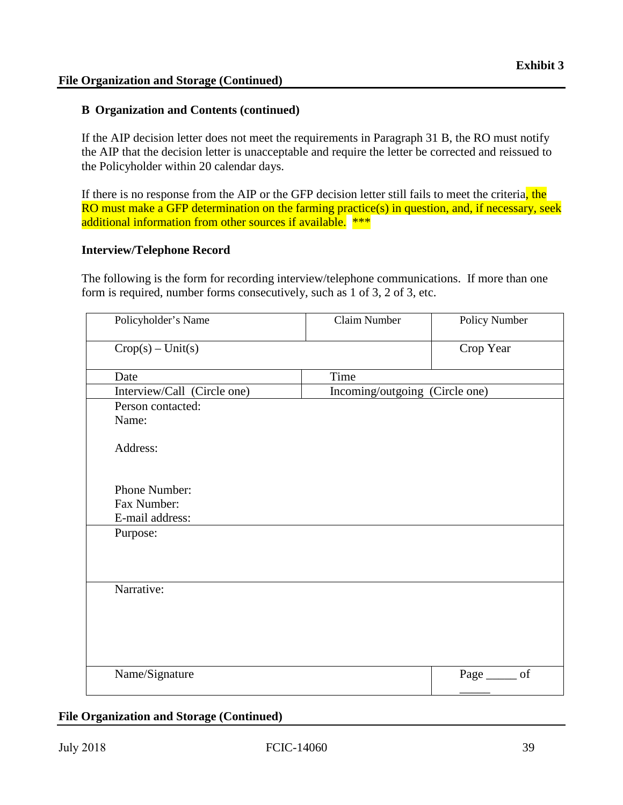#### **B Organization and Contents (continued)**

If the AIP decision letter does not meet the requirements in Paragraph 31 B, the RO must notify the AIP that the decision letter is unacceptable and require the letter be corrected and reissued to the Policyholder within 20 calendar days.

If there is no response from the AIP or the GFP decision letter still fails to meet the criteria, the RO must make a GFP determination on the farming practice(s) in question, and, if necessary, seek additional information from other sources if available. \*\*\*

#### **Interview/Telephone Record**

The following is the form for recording interview/telephone communications. If more than one form is required, number forms consecutively, such as 1 of 3, 2 of 3, etc.

| Policyholder's Name         | <b>Claim Number</b>            | Policy Number      |
|-----------------------------|--------------------------------|--------------------|
| $Crop(s) - Unit(s)$         |                                | Crop Year          |
| Date                        | Time                           |                    |
| Interview/Call (Circle one) | Incoming/outgoing (Circle one) |                    |
| Person contacted:           |                                |                    |
| Name:                       |                                |                    |
| Address:                    |                                |                    |
| Phone Number:               |                                |                    |
| Fax Number:                 |                                |                    |
| E-mail address:             |                                |                    |
| Purpose:                    |                                |                    |
|                             |                                |                    |
|                             |                                |                    |
| Narrative:                  |                                |                    |
|                             |                                |                    |
|                             |                                |                    |
|                             |                                |                    |
|                             |                                |                    |
| Name/Signature              |                                | of<br>Page _______ |

#### **File Organization and Storage (Continued)**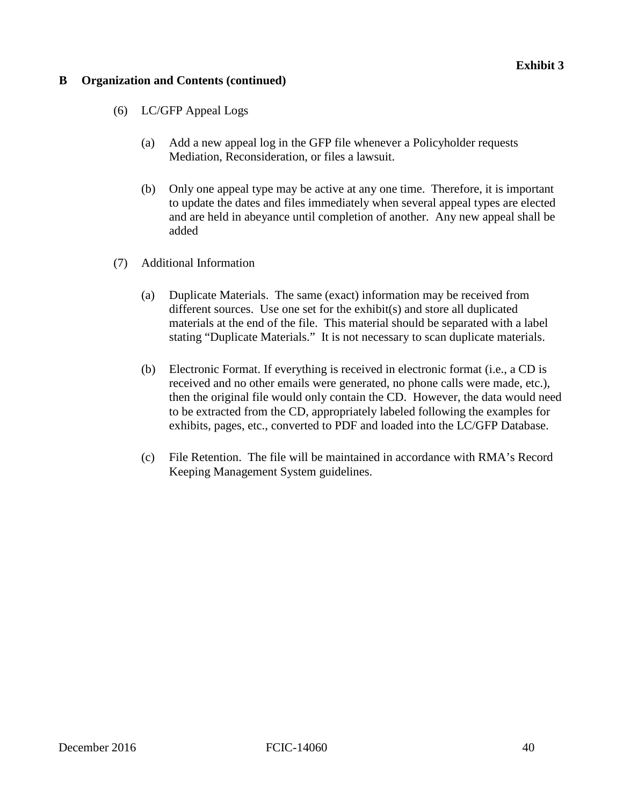#### **Exhibit 3**

#### **B Organization and Contents (continued)**

- (6) LC/GFP Appeal Logs
	- (a) Add a new appeal log in the GFP file whenever a Policyholder requests Mediation, Reconsideration, or files a lawsuit.
	- (b) Only one appeal type may be active at any one time. Therefore, it is important to update the dates and files immediately when several appeal types are elected and are held in abeyance until completion of another. Any new appeal shall be added
- (7) Additional Information
	- (a) Duplicate Materials. The same (exact) information may be received from different sources. Use one set for the exhibit(s) and store all duplicated materials at the end of the file. This material should be separated with a label stating "Duplicate Materials." It is not necessary to scan duplicate materials.
	- (b) Electronic Format. If everything is received in electronic format (i.e., a CD is received and no other emails were generated, no phone calls were made, etc.), then the original file would only contain the CD. However, the data would need to be extracted from the CD, appropriately labeled following the examples for exhibits, pages, etc., converted to PDF and loaded into the LC/GFP Database.
	- (c) File Retention. The file will be maintained in accordance with RMA's Record Keeping Management System guidelines.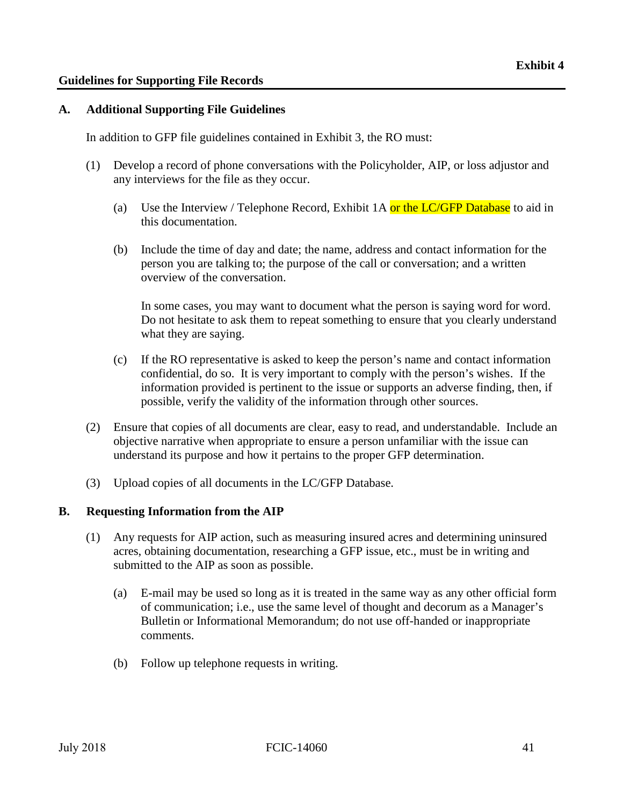#### <span id="page-47-0"></span>**Guidelines for Supporting File Records**

#### **A. Additional Supporting File Guidelines**

In addition to GFP file guidelines contained in Exhibit 3, the RO must:

- (1) Develop a record of phone conversations with the Policyholder, AIP, or loss adjustor and any interviews for the file as they occur.
	- (a) Use the Interview / Telephone Record, Exhibit 1A or the LC/GFP Database to aid in this documentation.
	- (b) Include the time of day and date; the name, address and contact information for the person you are talking to; the purpose of the call or conversation; and a written overview of the conversation.

In some cases, you may want to document what the person is saying word for word. Do not hesitate to ask them to repeat something to ensure that you clearly understand what they are saying.

- (c) If the RO representative is asked to keep the person's name and contact information confidential, do so. It is very important to comply with the person's wishes. If the information provided is pertinent to the issue or supports an adverse finding, then, if possible, verify the validity of the information through other sources.
- (2) Ensure that copies of all documents are clear, easy to read, and understandable. Include an objective narrative when appropriate to ensure a person unfamiliar with the issue can understand its purpose and how it pertains to the proper GFP determination.
- (3) Upload copies of all documents in the LC/GFP Database.

#### **B. Requesting Information from the AIP**

- (1) Any requests for AIP action, such as measuring insured acres and determining uninsured acres, obtaining documentation, researching a GFP issue, etc., must be in writing and submitted to the AIP as soon as possible.
	- (a) E-mail may be used so long as it is treated in the same way as any other official form of communication; i.e., use the same level of thought and decorum as a Manager's Bulletin or Informational Memorandum; do not use off-handed or inappropriate comments.
	- (b) Follow up telephone requests in writing.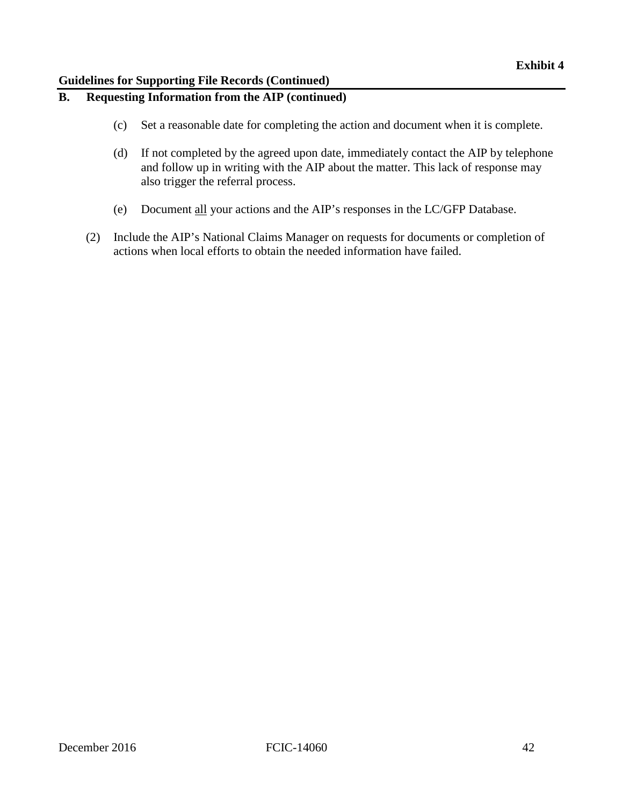#### **Guidelines for Supporting File Records (Continued)**

## **B. Requesting Information from the AIP (continued)**

- (c) Set a reasonable date for completing the action and document when it is complete.
- (d) If not completed by the agreed upon date, immediately contact the AIP by telephone and follow up in writing with the AIP about the matter. This lack of response may also trigger the referral process.
- (e) Document all your actions and the AIP's responses in the LC/GFP Database.
- (2) Include the AIP's National Claims Manager on requests for documents or completion of actions when local efforts to obtain the needed information have failed.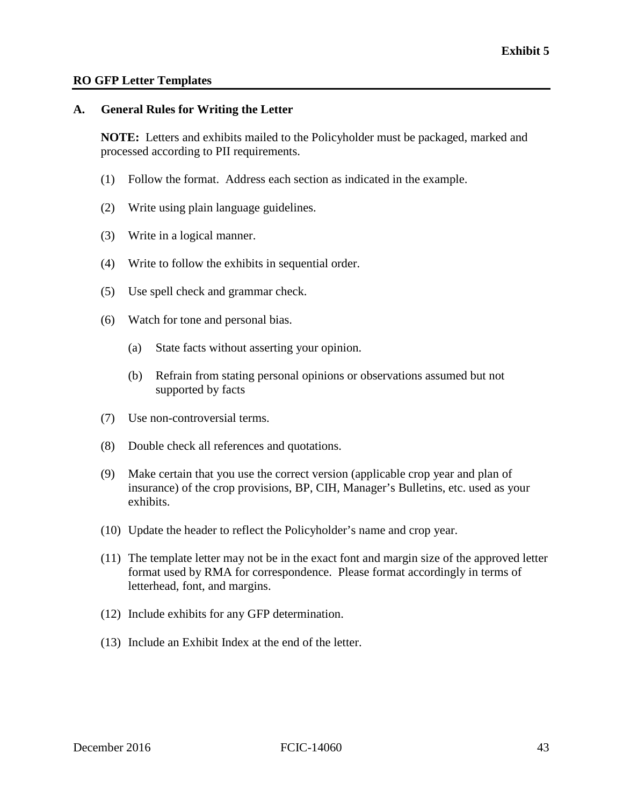#### **RO GFP Letter Templates**

#### **A. General Rules for Writing the Letter**

**NOTE:** Letters and exhibits mailed to the Policyholder must be packaged, marked and processed according to PII requirements.

- (1) Follow the format. Address each section as indicated in the example.
- (2) Write using plain language guidelines.
- (3) Write in a logical manner.
- (4) Write to follow the exhibits in sequential order.
- (5) Use spell check and grammar check.
- (6) Watch for tone and personal bias.
	- (a) State facts without asserting your opinion.
	- (b) Refrain from stating personal opinions or observations assumed but not supported by facts
- (7) Use non-controversial terms.
- (8) Double check all references and quotations.
- (9) Make certain that you use the correct version (applicable crop year and plan of insurance) of the crop provisions, BP, CIH, Manager's Bulletins, etc. used as your exhibits.
- (10) Update the header to reflect the Policyholder's name and crop year.
- (11) The template letter may not be in the exact font and margin size of the approved letter format used by RMA for correspondence. Please format accordingly in terms of letterhead, font, and margins.
- (12) Include exhibits for any GFP determination.
- (13) Include an Exhibit Index at the end of the letter.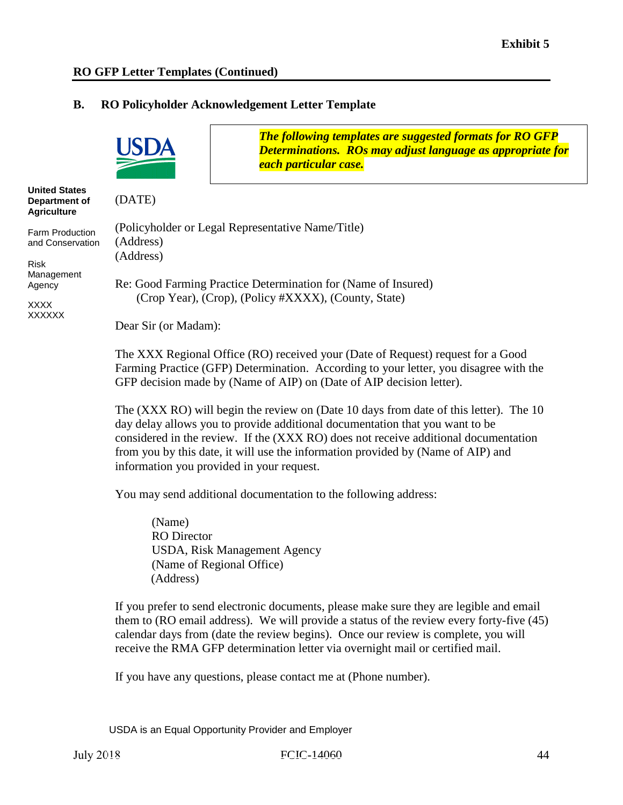**Agriculture** 

Management Agency XXXX XXXXXX

Risk

#### **B. RO Policyholder Acknowledgement Letter Template**



from you by this date, it will use the information provided by (Name of AIP) and information you provided in your request.

You may send additional documentation to the following address:

(Name) RO Director USDA, Risk Management Agency (Name of Regional Office) (Address)

If you prefer to send electronic documents, please make sure they are legible and email them to (RO email address). We will provide a status of the review every forty-five (45) calendar days from (date the review begins). Once our review is complete, you will receive the RMA GFP determination letter via overnight mail or certified mail.

If you have any questions, please contact me at (Phone number).

USDA is an Equal Opportunity Provider and Employer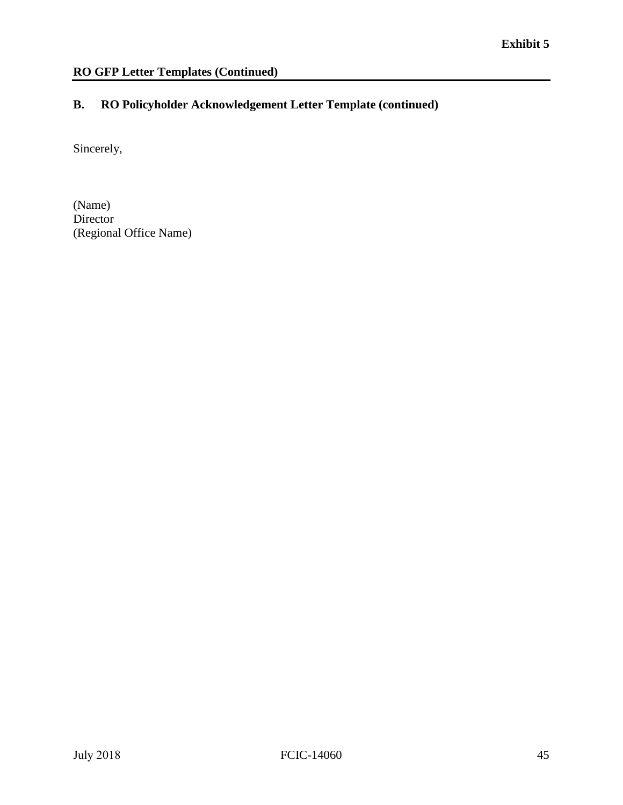#### **B. RO Policyholder Acknowledgement Letter Template (continued)**

Sincerely,

(Name) Director (Regional Office Name)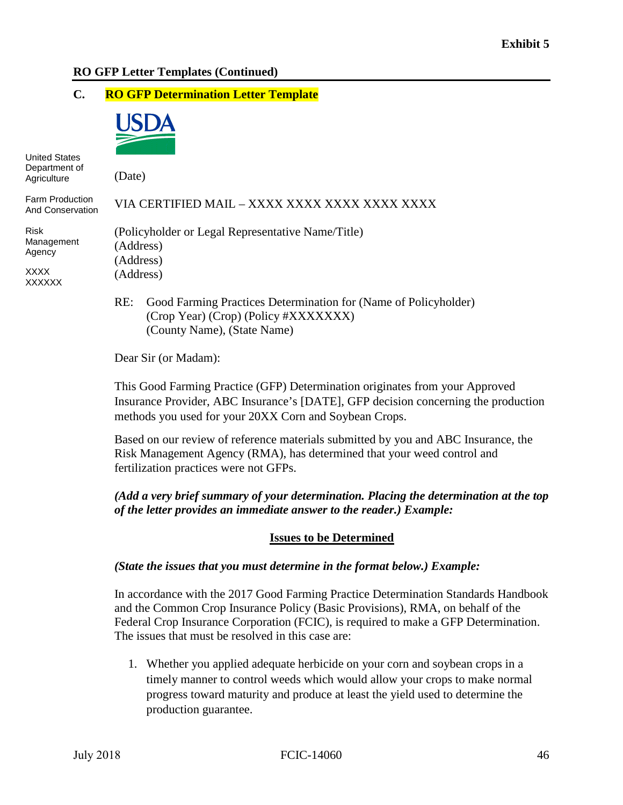#### **C. RO GFP Determination Letter Template**



United States Department of **Agriculture** 

(Date)

| Agriculture                                           | (Date)                                                                                                         |
|-------------------------------------------------------|----------------------------------------------------------------------------------------------------------------|
| <b>Farm Production</b><br><b>And Conservation</b>     | VIA CERTIFIED MAIL – XXXX XXXX XXXX XXXX XXXX                                                                  |
| <b>Risk</b><br>Management<br>Agency<br>XXXX<br>XXXXXX | (Policyholder or Legal Representative Name/Title)<br>(Address)<br>(Address)<br>(Address)                       |
|                                                       | Good Farming Practices Determination for (Name of Policyholder)<br>RE:<br>(Crop Year) (Crop) (Policy #XXXXXXX) |

(County Name), (State Name)

Dear Sir (or Madam):

 This Good Farming Practice (GFP) Determination originates from your Approved Insurance Provider, ABC Insurance's [DATE], GFP decision concerning the production methods you used for your 20XX Corn and Soybean Crops.

 Risk Management Agency (RMA), has determined that your weed control and fertilization practices were not GFPs. Based on our review of reference materials submitted by you and ABC Insurance, the

#### *of the letter provides an immediate answer to the reader.) Example: (Add a very brief summary of your determination. Placing the determination at the top*

#### **Issues to be Determined**

#### *(State the issues that you must determine in the format below.) Example:*

 Federal Crop Insurance Corporation (FCIC), is required to make a GFP Determination. The issues that must be resolved in this case are: In accordance with the 2017 Good Farming Practice Determination Standards Handbook and the Common Crop Insurance Policy (Basic Provisions), RMA, on behalf of the

 progress toward maturity and produce at least the yield used to determine the 1. Whether you applied adequate herbicide on your corn and soybean crops in a timely manner to control weeds which would allow your crops to make normal production guarantee.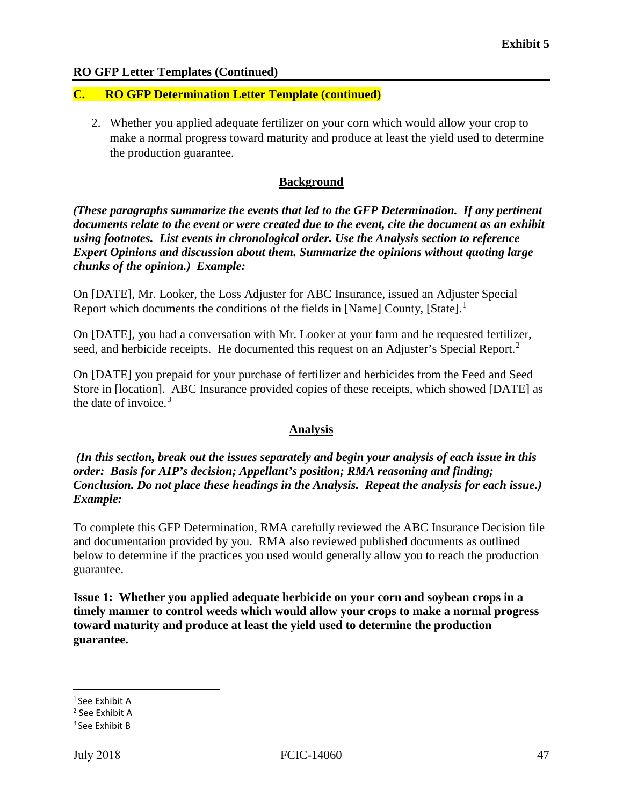#### **C. RO GFP Determination Letter Template (continued)**

2. Whether you applied adequate fertilizer on your corn which would allow your crop to make a normal progress toward maturity and produce at least the yield used to determine the production guarantee.

#### **Background**

 *Expert Opinions and discussion about them. Summarize the opinions without quoting large chunks of the opinion.) Example: (These paragraphs summarize the events that led to the GFP Determination. If any pertinent documents relate to the event or were created due to the event, cite the document as an exhibit using footnotes. List events in chronological order. Use the Analysis section to reference* 

Report which documents the conditions of the fields in [Name] County, [State].<sup>1</sup> On [DATE], Mr. Looker, the Loss Adjuster for ABC Insurance, issued an Adjuster Special

 On [DATE], you had a conversation with Mr. Looker at your farm and he requested fertilizer, seed, and herbicide receipts. He documented this request on an Adjuster's Special Report.<sup>[2](#page-53-1)</sup>

the date of invoice.<sup>3</sup> On [DATE] you prepaid for your purchase of fertilizer and herbicides from the Feed and Seed Store in [location]. ABC Insurance provided copies of these receipts, which showed [DATE] as

#### **Analysis**

 *Conclusion. Do not place these headings in the Analysis. Repeat the analysis for each issue.) Example:* Example: *(In this section, break out the issues separately and begin your analysis of each issue in this order: Basis for AIP's decision; Appellant's position; RMA reasoning and finding;* 

 To complete this GFP Determination, RMA carefully reviewed the ABC Insurance Decision file and documentation provided by you. RMA also reviewed published documents as outlined guarantee. below to determine if the practices you used would generally allow you to reach the production

**Issue 1: Whether you applied adequate herbicide on your corn and soybean crops in a timely manner to control weeds which would allow your crops to make a normal progress toward maturity and produce at least the yield used to determine the production guarantee.** 

<span id="page-53-0"></span><sup>1</sup> See Exhibit A

<span id="page-53-1"></span><sup>2</sup> See Exhibit A

<span id="page-53-2"></span><sup>3</sup> See Exhibit B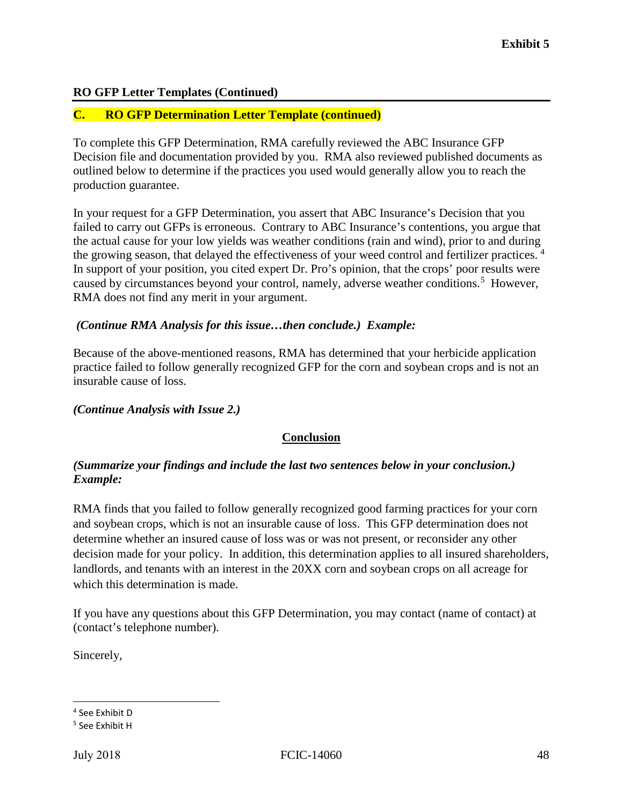#### **C. RO GFP Determination Letter Template (continued)**

 To complete this GFP Determination, RMA carefully reviewed the ABC Insurance GFP outlined below to determine if the practices you used would generally allow you to reach the Decision file and documentation provided by you. RMA also reviewed published documents as production guarantee.

 In your request for a GFP Determination, you assert that ABC Insurance's Decision that you the actual cause for your low yields was weather conditions (rain and wind), prior to and during the growing season, that delayed the effectiveness of your weed control and fertilizer practices.<sup>4</sup> failed to carry out GFPs is erroneous. Contrary to ABC Insurance's contentions, you argue that In support of your position, you cited expert Dr. Pro's opinion, that the crops' poor results were caused by circumstances beyond your control, namely, adverse weather conditions.<sup>[5](#page-54-1)</sup> However, RMA does not find any merit in your argument.

#### *(Continue RMA Analysis for this issue…then conclude.) Example:*

Because of the above-mentioned reasons, RMA has determined that your herbicide application practice failed to follow generally recognized GFP for the corn and soybean crops and is not an insurable cause of loss.

#### *(Continue Analysis with Issue 2.)*

#### **Conclusion**

#### *(Summarize your findings and include the last two sentences below in your conclusion.) Example:* Example:

RMA finds that you failed to follow generally recognized good farming practices for your corn and soybean crops, which is not an insurable cause of loss. This GFP determination does not determine whether an insured cause of loss was or was not present, or reconsider any other decision made for your policy. In addition, this determination applies to all insured shareholders, landlords, and tenants with an interest in the 20XX corn and soybean crops on all acreage for which this determination is made.

If you have any questions about this GFP Determination, you may contact (name of contact) at (contact's telephone number).

Sincerely,

<span id="page-54-0"></span><sup>4</sup> See Exhibit D

<span id="page-54-1"></span><sup>5</sup> See Exhibit H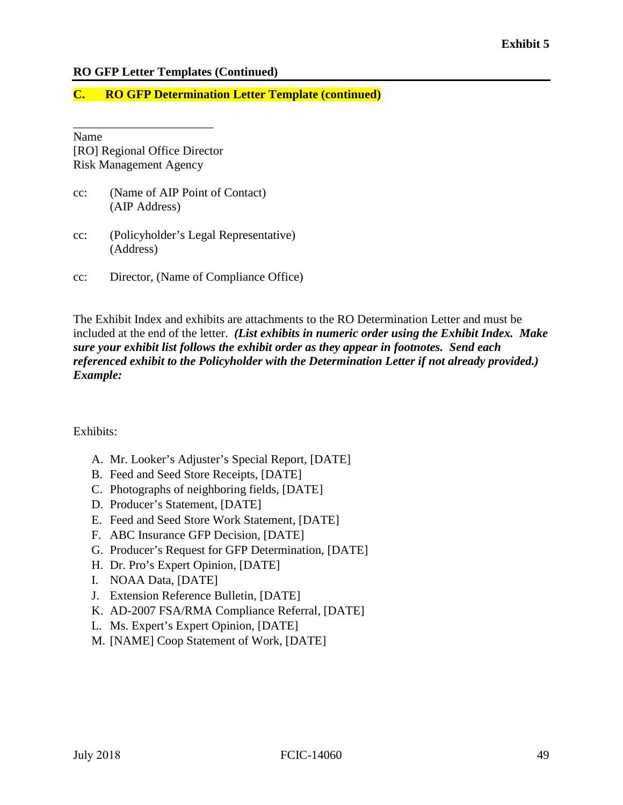#### **C. RO GFP Determination Letter Template (continued)**

Name [RO] Regional Office Director Risk Management Agency

\_\_\_\_\_\_\_\_\_\_\_\_\_\_\_\_\_\_\_\_\_\_\_

- cc: (Name of AIP Point of Contact) (AIP Address)
- cc: (Policyholder's Legal Representative) (Address)
- cc: Director, (Name of Compliance Office)

 *Example:* The Exhibit Index and exhibits are attachments to the RO Determination Letter and must be included at the end of the letter. *(List exhibits in numeric order using the Exhibit Index. Make sure your exhibit list follows the exhibit order as they appear in footnotes. Send each referenced exhibit to the Policyholder with the Determination Letter if not already provided.)* 

Exhibits:

- A. Mr. Looker's Adjuster's Special Report, [DATE]
- B. Feed and Seed Store Receipts, [DATE]
- C. Photographs of neighboring fields, [DATE]
- D. Producer's Statement, [DATE]
- E. Feed and Seed Store Work Statement, [DATE]
- F. ABC Insurance GFP Decision, [DATE]
- G. Producer's Request for GFP Determination, [DATE]
- H. Dr. Pro's Expert Opinion, [DATE]
- I. NOAA Data, [DATE]
- J. Extension Reference Bulletin, [DATE]
- K. AD-2007 FSA/RMA Compliance Referral, [DATE]
- L. Ms. Expert's Expert Opinion, [DATE]
- M. [NAME] Coop Statement of Work, [DATE]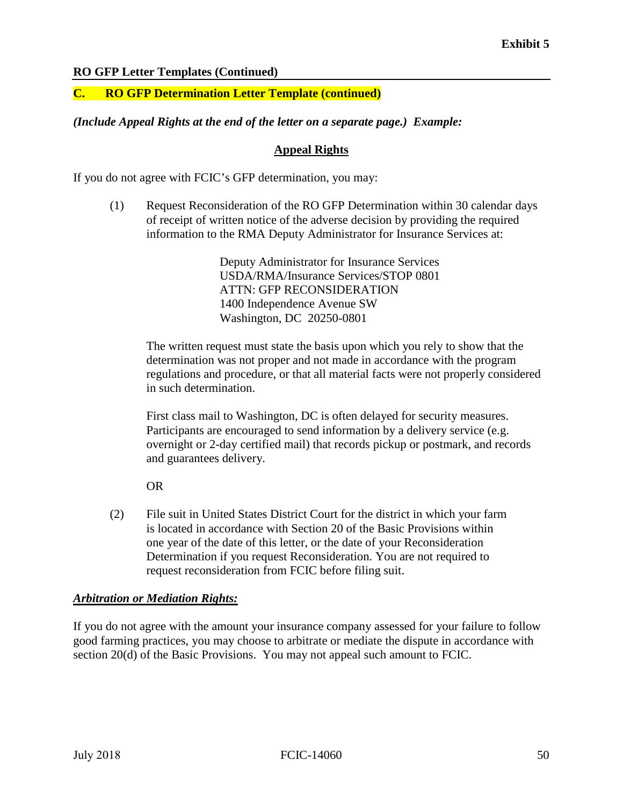#### **C. RO GFP Determination Letter Template (continued)**

#### *(Include Appeal Rights at the end of the letter on a separate page.) Example:*

#### **Appeal Rights**

If you do not agree with FCIC's GFP determination, you may:

(1) Request Reconsideration of the RO GFP Determination within 30 calendar days of receipt of written notice of the adverse decision by providing the required information to the RMA Deputy Administrator for Insurance Services at:

> Deputy Administrator for Insurance Services USDA/RMA/Insurance Services/STOP 0801 ATTN: GFP RECONSIDERATION 1400 Independence Avenue SW Washington, DC 20250-0801

The written request must state the basis upon which you rely to show that the determination was not proper and not made in accordance with the program regulations and procedure, or that all material facts were not properly considered in such determination.

 First class mail to Washington, DC is often delayed for security measures. Participants are encouraged to send information by a delivery service (e.g. overnight or 2-day certified mail) that records pickup or postmark, and records and guarantees delivery.

 $OR$ 

(2) File suit in United States District Court for the district in which your farm is located in accordance with Section 20 of the Basic Provisions within one year of the date of this letter, or the date of your Reconsideration Determination if you request Reconsideration. You are not required to request reconsideration from FCIC before filing suit.

#### *Arbitration or Mediation Rights:*

If you do not agree with the amount your insurance company assessed for your failure to follow good farming practices, you may choose to arbitrate or mediate the dispute in accordance with section 20(d) of the Basic Provisions. You may not appeal such amount to FCIC.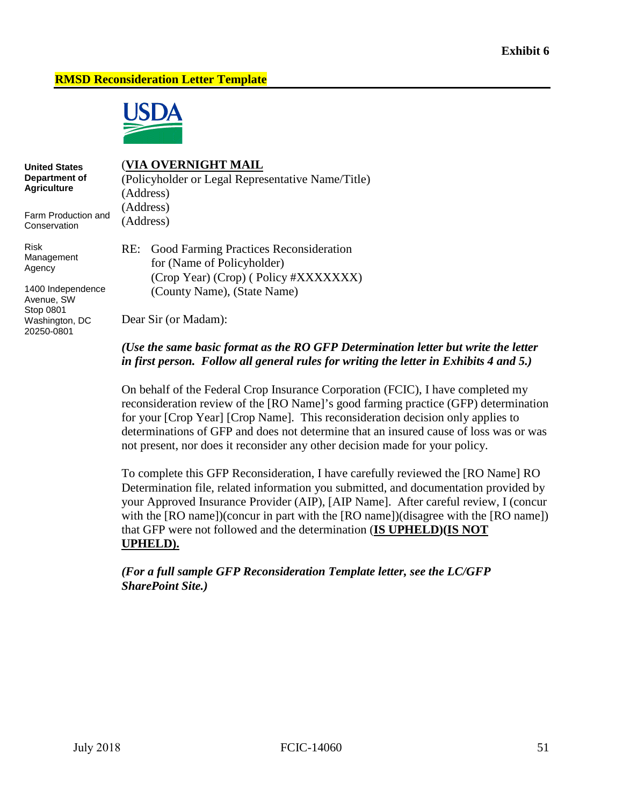#### **RMSD Reconsideration Letter Template**



**United States Department of Agriculture** 

#### (**VIA OVERNIGHT MAIL**

(Policyholder or Legal Representative Name/Title) (Address) (Address) (Address)

Farm Production and **Conservation** 

Risk Management Agency

1400 Independence Avenue, SW Stop 0801 Washington, DC 20250-0801

for (Name of Policyholder) RE: Good Farming Practices Reconsideration (Crop Year) (Crop) ( Policy #XXXXXXX) (County Name), (State Name)

Dear Sir (or Madam):

#### *in first person. Follow all general rules for writing the letter in Exhibits 4 and 5.) (Use the same basic format as the RO GFP Determination letter but write the letter*

 reconsideration review of the [RO Name]'s good farming practice (GFP) determination not present, nor does it reconsider any other decision made for your policy. On behalf of the Federal Crop Insurance Corporation (FCIC), I have completed my for your [Crop Year] [Crop Name]. This reconsideration decision only applies to determinations of GFP and does not determine that an insured cause of loss was or was

To complete this GFP Reconsideration, I have carefully reviewed the [RO Name] RO Determination file, related information you submitted, and documentation provided by your Approved Insurance Provider (AIP), [AIP Name]. After careful review, I (concur with the [RO name])(concur in part with the [RO name])(disagree with the [RO name]) that GFP were not followed and the determination (**IS UPHELD)(IS NOT UPHELD).** 

 *SharePoint Site.) (For a full sample GFP Reconsideration Template letter, see the LC/GFP*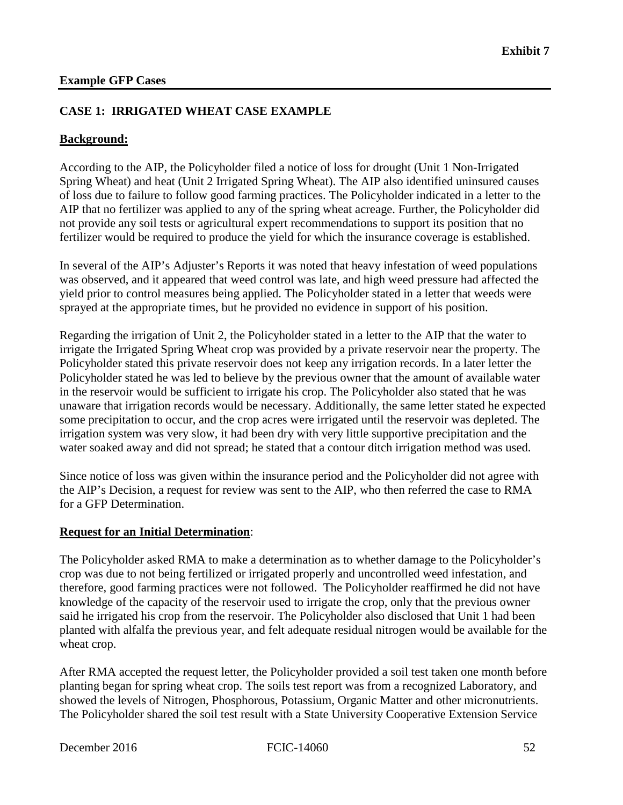#### **CASE 1: IRRIGATED WHEAT CASE EXAMPLE**

#### **Background:**

According to the AIP, the Policyholder filed a notice of loss for drought (Unit 1 Non-Irrigated Spring Wheat) and heat (Unit 2 Irrigated Spring Wheat). The AIP also identified uninsured causes of loss due to failure to follow good farming practices. The Policyholder indicated in a letter to the AIP that no fertilizer was applied to any of the spring wheat acreage. Further, the Policyholder did not provide any soil tests or agricultural expert recommendations to support its position that no fertilizer would be required to produce the yield for which the insurance coverage is established.

 was observed, and it appeared that weed control was late, and high weed pressure had affected the In several of the AIP's Adjuster's Reports it was noted that heavy infestation of weed populations yield prior to control measures being applied. The Policyholder stated in a letter that weeds were sprayed at the appropriate times, but he provided no evidence in support of his position.

 Regarding the irrigation of Unit 2, the Policyholder stated in a letter to the AIP that the water to irrigate the Irrigated Spring Wheat crop was provided by a private reservoir near the property. The Policyholder stated this private reservoir does not keep any irrigation records. In a later letter the Policyholder stated he was led to believe by the previous owner that the amount of available water in the reservoir would be sufficient to irrigate his crop. The Policyholder also stated that he was unaware that irrigation records would be necessary. Additionally, the same letter stated he expected some precipitation to occur, and the crop acres were irrigated until the reservoir was depleted. The irrigation system was very slow, it had been dry with very little supportive precipitation and the water soaked away and did not spread; he stated that a contour ditch irrigation method was used.

Since notice of loss was given within the insurance period and the Policyholder did not agree with the AIP's Decision, a request for review was sent to the AIP, who then referred the case to RMA for a GFP Determination.

#### **Request for an Initial Determination**:

 therefore, good farming practices were not followed. The Policyholder reaffirmed he did not have knowledge of the capacity of the reservoir used to irrigate the crop, only that the previous owner The Policyholder asked RMA to make a determination as to whether damage to the Policyholder's crop was due to not being fertilized or irrigated properly and uncontrolled weed infestation, and said he irrigated his crop from the reservoir. The Policyholder also disclosed that Unit 1 had been planted with alfalfa the previous year, and felt adequate residual nitrogen would be available for the wheat crop.

After RMA accepted the request letter, the Policyholder provided a soil test taken one month before planting began for spring wheat crop. The soils test report was from a recognized Laboratory, and showed the levels of Nitrogen, Phosphorous, Potassium, Organic Matter and other micronutrients. The Policyholder shared the soil test result with a State University Cooperative Extension Service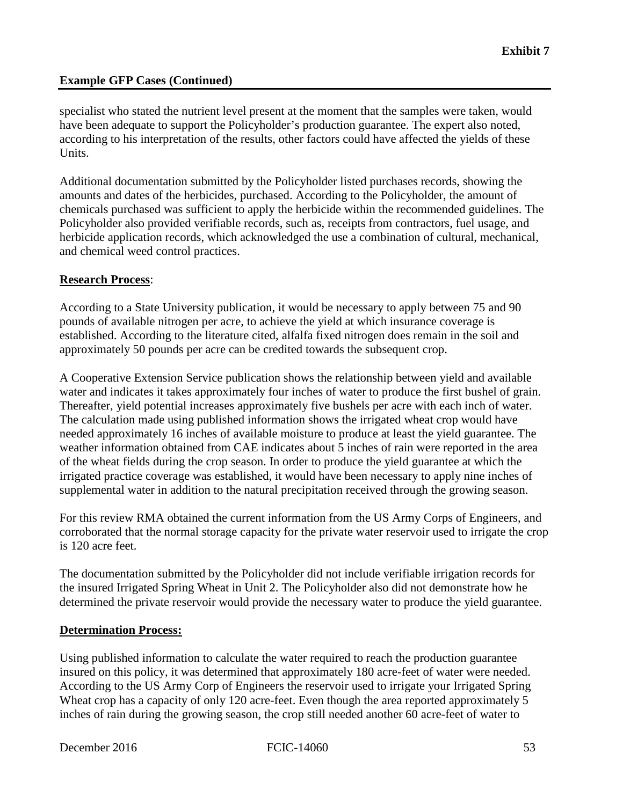according to his interpretation of the results, other factors could have affected the yields of these specialist who stated the nutrient level present at the moment that the samples were taken, would have been adequate to support the Policyholder's production guarantee. The expert also noted, Units.

Additional documentation submitted by the Policyholder listed purchases records, showing the amounts and dates of the herbicides, purchased. According to the Policyholder, the amount of chemicals purchased was sufficient to apply the herbicide within the recommended guidelines. The Policyholder also provided verifiable records, such as, receipts from contractors, fuel usage, and herbicide application records, which acknowledged the use a combination of cultural, mechanical, and chemical weed control practices.

#### **Research Process**:

 approximately 50 pounds per acre can be credited towards the subsequent crop. According to a State University publication, it would be necessary to apply between 75 and 90 pounds of available nitrogen per acre, to achieve the yield at which insurance coverage is established. According to the literature cited, alfalfa fixed nitrogen does remain in the soil and

A Cooperative Extension Service publication shows the relationship between yield and available water and indicates it takes approximately four inches of water to produce the first bushel of grain. Thereafter, yield potential increases approximately five bushels per acre with each inch of water. The calculation made using published information shows the irrigated wheat crop would have needed approximately 16 inches of available moisture to produce at least the yield guarantee. The weather information obtained from CAE indicates about 5 inches of rain were reported in the area of the wheat fields during the crop season. In order to produce the yield guarantee at which the irrigated practice coverage was established, it would have been necessary to apply nine inches of supplemental water in addition to the natural precipitation received through the growing season.

For this review RMA obtained the current information from the US Army Corps of Engineers, and corroborated that the normal storage capacity for the private water reservoir used to irrigate the crop is 120 acre feet.

The documentation submitted by the Policyholder did not include verifiable irrigation records for the insured Irrigated Spring Wheat in Unit 2. The Policyholder also did not demonstrate how he determined the private reservoir would provide the necessary water to produce the yield guarantee.

#### **Determination Process:**

 insured on this policy, it was determined that approximately 180 acre-feet of water were needed. According to the US Army Corp of Engineers the reservoir used to irrigate your Irrigated Spring Wheat crop has a capacity of only 120 acre-feet. Even though the area reported approximately 5 Using published information to calculate the water required to reach the production guarantee inches of rain during the growing season, the crop still needed another 60 acre-feet of water to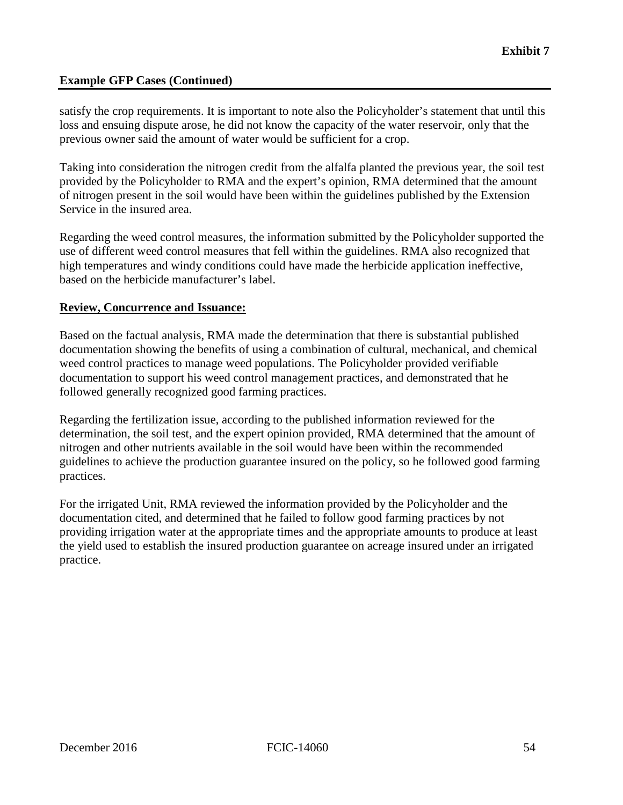satisfy the crop requirements. It is important to note also the Policyholder's statement that until this loss and ensuing dispute arose, he did not know the capacity of the water reservoir, only that the previous owner said the amount of water would be sufficient for a crop.

 Taking into consideration the nitrogen credit from the alfalfa planted the previous year, the soil test provided by the Policyholder to RMA and the expert's opinion, RMA determined that the amount of nitrogen present in the soil would have been within the guidelines published by the Extension Service in the insured area.

Regarding the weed control measures, the information submitted by the Policyholder supported the use of different weed control measures that fell within the guidelines. RMA also recognized that high temperatures and windy conditions could have made the herbicide application ineffective, based on the herbicide manufacturer's label.

#### **Review, Concurrence and Issuance:**

Based on the factual analysis, RMA made the determination that there is substantial published documentation showing the benefits of using a combination of cultural, mechanical, and chemical weed control practices to manage weed populations. The Policyholder provided verifiable documentation to support his weed control management practices, and demonstrated that he followed generally recognized good farming practices.

Regarding the fertilization issue, according to the published information reviewed for the determination, the soil test, and the expert opinion provided, RMA determined that the amount of nitrogen and other nutrients available in the soil would have been within the recommended guidelines to achieve the production guarantee insured on the policy, so he followed good farming practices.

 For the irrigated Unit, RMA reviewed the information provided by the Policyholder and the documentation cited, and determined that he failed to follow good farming practices by not providing irrigation water at the appropriate times and the appropriate amounts to produce at least the yield used to establish the insured production guarantee on acreage insured under an irrigated practice.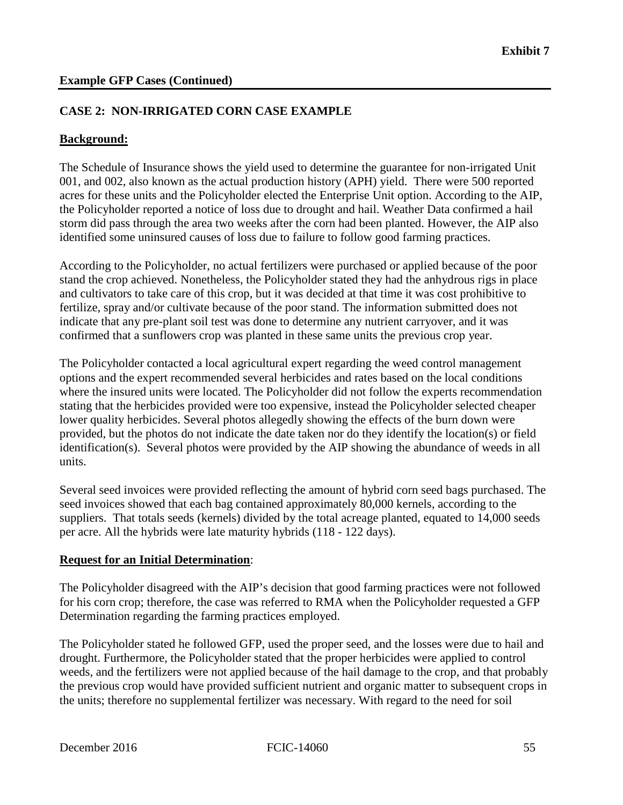#### **CASE 2: NON-IRRIGATED CORN CASE EXAMPLE**

#### **Background:**

The Schedule of Insurance shows the yield used to determine the guarantee for non-irrigated Unit 001, and 002, also known as the actual production history (APH) yield. There were 500 reported acres for these units and the Policyholder elected the Enterprise Unit option. According to the AIP, the Policyholder reported a notice of loss due to drought and hail. Weather Data confirmed a hail storm did pass through the area two weeks after the corn had been planted. However, the AIP also identified some uninsured causes of loss due to failure to follow good farming practices.

According to the Policyholder, no actual fertilizers were purchased or applied because of the poor stand the crop achieved. Nonetheless, the Policyholder stated they had the anhydrous rigs in place and cultivators to take care of this crop, but it was decided at that time it was cost prohibitive to fertilize, spray and/or cultivate because of the poor stand. The information submitted does not indicate that any pre-plant soil test was done to determine any nutrient carryover, and it was confirmed that a sunflowers crop was planted in these same units the previous crop year.

 lower quality herbicides. Several photos allegedly showing the effects of the burn down were identification(s). Several photos were provided by the AIP showing the abundance of weeds in all The Policyholder contacted a local agricultural expert regarding the weed control management options and the expert recommended several herbicides and rates based on the local conditions where the insured units were located. The Policyholder did not follow the experts recommendation stating that the herbicides provided were too expensive, instead the Policyholder selected cheaper provided, but the photos do not indicate the date taken nor do they identify the location(s) or field units.

 per acre. All the hybrids were late maturity hybrids (118 - 122 days). Several seed invoices were provided reflecting the amount of hybrid corn seed bags purchased. The seed invoices showed that each bag contained approximately 80,000 kernels, according to the suppliers. That totals seeds (kernels) divided by the total acreage planted, equated to 14,000 seeds

#### **Request for an Initial Determination**:

 for his corn crop; therefore, the case was referred to RMA when the Policyholder requested a GFP The Policyholder disagreed with the AIP's decision that good farming practices were not followed Determination regarding the farming practices employed.

 drought. Furthermore, the Policyholder stated that the proper herbicides were applied to control the previous crop would have provided sufficient nutrient and organic matter to subsequent crops in the units; therefore no supplemental fertilizer was necessary. With regard to the need for soil<br>December 2016 FCIC-14060 55 The Policyholder stated he followed GFP, used the proper seed, and the losses were due to hail and weeds, and the fertilizers were not applied because of the hail damage to the crop, and that probably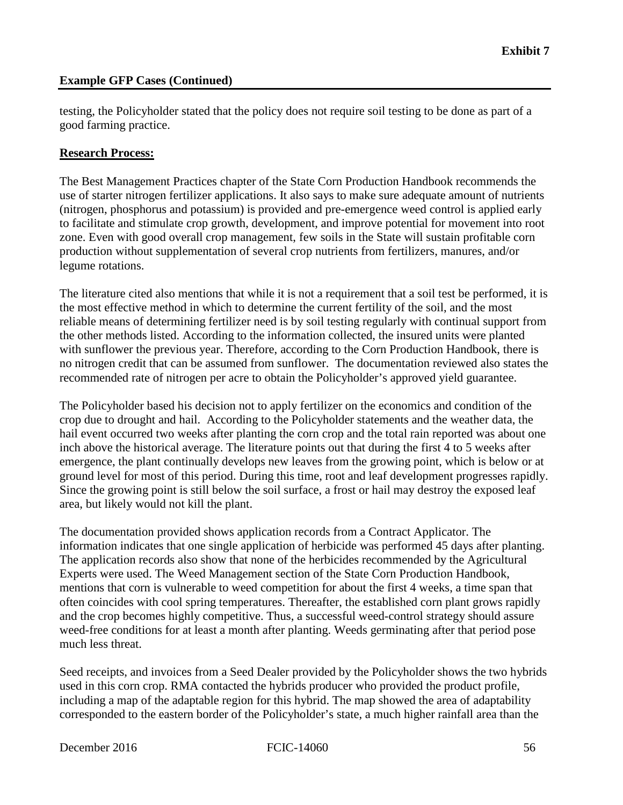testing, the Policyholder stated that the policy does not require soil testing to be done as part of a good farming practice.

#### **Research Process:**

The Best Management Practices chapter of the State Corn Production Handbook recommends the use of starter nitrogen fertilizer applications. It also says to make sure adequate amount of nutrients (nitrogen, phosphorus and potassium) is provided and pre-emergence weed control is applied early to facilitate and stimulate crop growth, development, and improve potential for movement into root zone. Even with good overall crop management, few soils in the State will sustain profitable corn production without supplementation of several crop nutrients from fertilizers, manures, and/or legume rotations.

 The literature cited also mentions that while it is not a requirement that a soil test be performed, it is the most effective method in which to determine the current fertility of the soil, and the most reliable means of determining fertilizer need is by soil testing regularly with continual support from the other methods listed. According to the information collected, the insured units were planted with sunflower the previous year. Therefore, according to the Corn Production Handbook, there is no nitrogen credit that can be assumed from sunflower. The documentation reviewed also states the recommended rate of nitrogen per acre to obtain the Policyholder's approved yield guarantee.

The Policyholder based his decision not to apply fertilizer on the economics and condition of the crop due to drought and hail. According to the Policyholder statements and the weather data, the hail event occurred two weeks after planting the corn crop and the total rain reported was about one inch above the historical average. The literature points out that during the first 4 to 5 weeks after emergence, the plant continually develops new leaves from the growing point, which is below or at ground level for most of this period. During this time, root and leaf development progresses rapidly. Since the growing point is still below the soil surface, a frost or hail may destroy the exposed leaf area, but likely would not kill the plant.

The documentation provided shows application records from a Contract Applicator. The information indicates that one single application of herbicide was performed 45 days after planting. The application records also show that none of the herbicides recommended by the Agricultural Experts were used. The Weed Management section of the State Corn Production Handbook, mentions that corn is vulnerable to weed competition for about the first 4 weeks, a time span that often coincides with cool spring temperatures. Thereafter, the established corn plant grows rapidly and the crop becomes highly competitive. Thus, a successful weed-control strategy should assure weed-free conditions for at least a month after planting. Weeds germinating after that period pose much less threat.

 including a map of the adaptable region for this hybrid. The map showed the area of adaptability Seed receipts, and invoices from a Seed Dealer provided by the Policyholder shows the two hybrids used in this corn crop. RMA contacted the hybrids producer who provided the product profile, corresponded to the eastern border of the Policyholder's state, a much higher rainfall area than the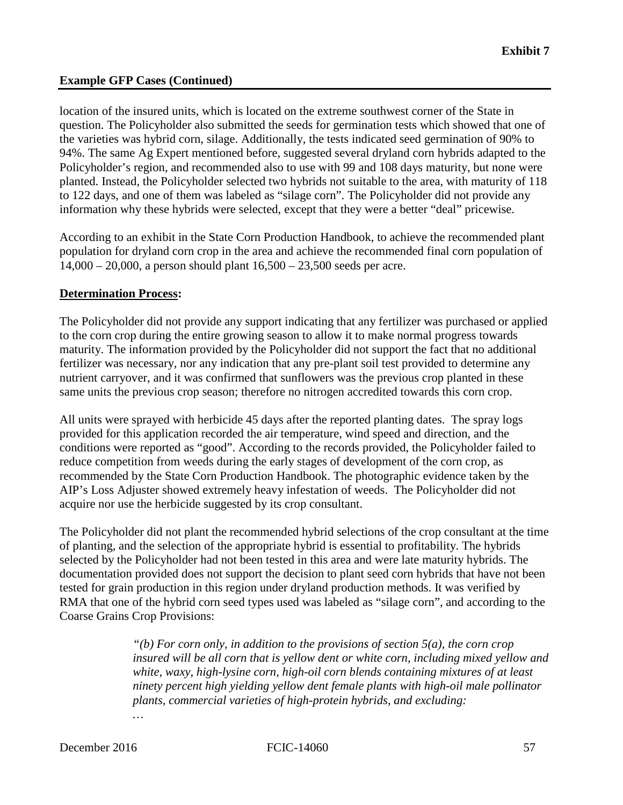to 122 days, and one of them was labeled as "silage corn". The Policyholder did not provide any information why these hybrids were selected, except that they were a better "deal" pricewise. location of the insured units, which is located on the extreme southwest corner of the State in question. The Policyholder also submitted the seeds for germination tests which showed that one of the varieties was hybrid corn, silage. Additionally, the tests indicated seed germination of 90% to 94%. The same Ag Expert mentioned before, suggested several dryland corn hybrids adapted to the Policyholder's region, and recommended also to use with 99 and 108 days maturity, but none were planted. Instead, the Policyholder selected two hybrids not suitable to the area, with maturity of 118

According to an exhibit in the State Corn Production Handbook, to achieve the recommended plant population for dryland corn crop in the area and achieve the recommended final corn population of 14,000 – 20,000, a person should plant 16,500 – 23,500 seeds per acre.

#### **Determination Process:**

 The Policyholder did not provide any support indicating that any fertilizer was purchased or applied to the corn crop during the entire growing season to allow it to make normal progress towards maturity. The information provided by the Policyholder did not support the fact that no additional fertilizer was necessary, nor any indication that any pre-plant soil test provided to determine any nutrient carryover, and it was confirmed that sunflowers was the previous crop planted in these same units the previous crop season; therefore no nitrogen accredited towards this corn crop.

 AIP's Loss Adjuster showed extremely heavy infestation of weeds. The Policyholder did not All units were sprayed with herbicide 45 days after the reported planting dates. The spray logs provided for this application recorded the air temperature, wind speed and direction, and the conditions were reported as "good". According to the records provided, the Policyholder failed to reduce competition from weeds during the early stages of development of the corn crop, as recommended by the State Corn Production Handbook. The photographic evidence taken by the acquire nor use the herbicide suggested by its crop consultant.

 Coarse Grains Crop Provisions: The Policyholder did not plant the recommended hybrid selections of the crop consultant at the time of planting, and the selection of the appropriate hybrid is essential to profitability. The hybrids selected by the Policyholder had not been tested in this area and were late maturity hybrids. The documentation provided does not support the decision to plant seed corn hybrids that have not been tested for grain production in this region under dryland production methods. It was verified by RMA that one of the hybrid corn seed types used was labeled as "silage corn", and according to the

> *plants, commercial varieties of high-protein hybrids, and excluding: … "(b) For corn only, in addition to the provisions of section 5(a), the corn crop insured will be all corn that is yellow dent or white corn, including mixed yellow and white, waxy, high-lysine corn, high-oil corn blends containing mixtures of at least ninety percent high yielding yellow dent female plants with high-oil male pollinator*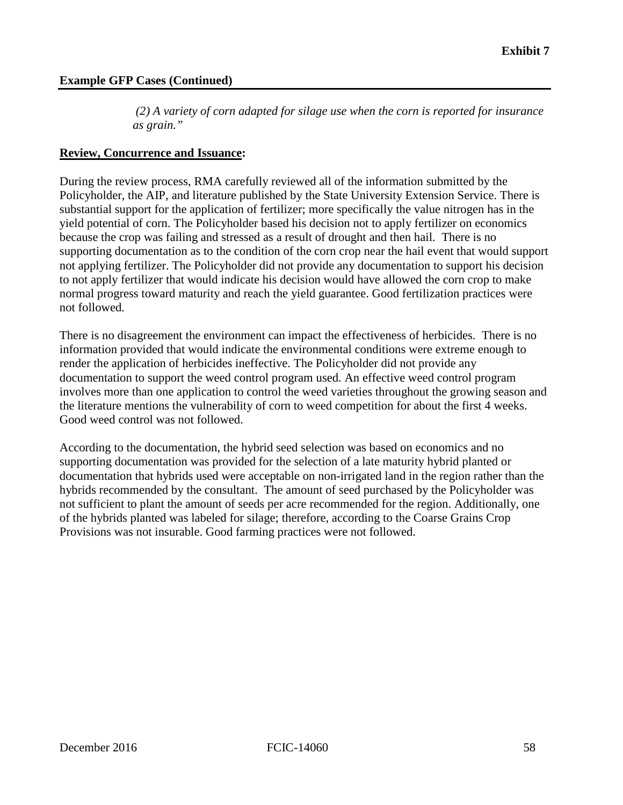*(2) A variety of corn adapted for silage use when the corn is reported for insurance as grain."* 

#### **Review, Concurrence and Issuance:**

 yield potential of corn. The Policyholder based his decision not to apply fertilizer on economics During the review process, RMA carefully reviewed all of the information submitted by the Policyholder, the AIP, and literature published by the State University Extension Service. There is substantial support for the application of fertilizer; more specifically the value nitrogen has in the because the crop was failing and stressed as a result of drought and then hail. There is no supporting documentation as to the condition of the corn crop near the hail event that would support not applying fertilizer. The Policyholder did not provide any documentation to support his decision to not apply fertilizer that would indicate his decision would have allowed the corn crop to make normal progress toward maturity and reach the yield guarantee. Good fertilization practices were not followed.

There is no disagreement the environment can impact the effectiveness of herbicides. There is no information provided that would indicate the environmental conditions were extreme enough to render the application of herbicides ineffective. The Policyholder did not provide any documentation to support the weed control program used. An effective weed control program involves more than one application to control the weed varieties throughout the growing season and the literature mentions the vulnerability of corn to weed competition for about the first 4 weeks. Good weed control was not followed.

 hybrids recommended by the consultant. The amount of seed purchased by the Policyholder was According to the documentation, the hybrid seed selection was based on economics and no supporting documentation was provided for the selection of a late maturity hybrid planted or documentation that hybrids used were acceptable on non-irrigated land in the region rather than the not sufficient to plant the amount of seeds per acre recommended for the region. Additionally, one of the hybrids planted was labeled for silage; therefore, according to the Coarse Grains Crop Provisions was not insurable. Good farming practices were not followed.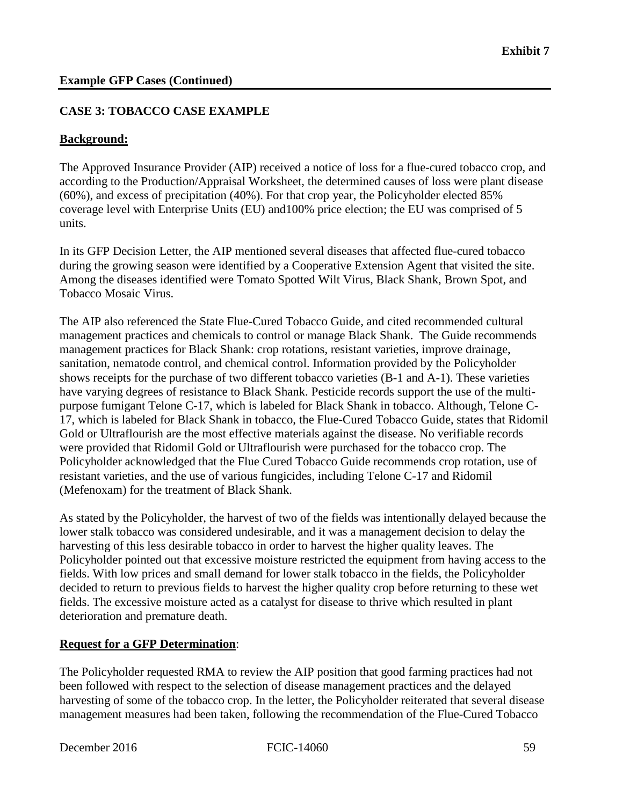#### **CASE 3: TOBACCO CASE EXAMPLE**

#### **Background:**

The Approved Insurance Provider (AIP) received a notice of loss for a flue-cured tobacco crop, and according to the Production/Appraisal Worksheet, the determined causes of loss were plant disease (60%), and excess of precipitation (40%). For that crop year, the Policyholder elected 85% coverage level with Enterprise Units (EU) and100% price election; the EU was comprised of 5 units.

 In its GFP Decision Letter, the AIP mentioned several diseases that affected flue-cured tobacco during the growing season were identified by a Cooperative Extension Agent that visited the site. Among the diseases identified were Tomato Spotted Wilt Virus, Black Shank, Brown Spot, and Tobacco Mosaic Virus.

 management practices for Black Shank: crop rotations, resistant varieties, improve drainage, sanitation, nematode control, and chemical control. Information provided by the Policyholder have varying degrees of resistance to Black Shank. Pesticide records support the use of the multi-The AIP also referenced the State Flue-Cured Tobacco Guide, and cited recommended cultural management practices and chemicals to control or manage Black Shank. The Guide recommends shows receipts for the purchase of two different tobacco varieties (B-1 and A-1). These varieties purpose fumigant Telone C-17, which is labeled for Black Shank in tobacco. Although, Telone C-17, which is labeled for Black Shank in tobacco, the Flue-Cured Tobacco Guide, states that Ridomil Gold or Ultraflourish are the most effective materials against the disease. No verifiable records were provided that Ridomil Gold or Ultraflourish were purchased for the tobacco crop. The Policyholder acknowledged that the Flue Cured Tobacco Guide recommends crop rotation, use of resistant varieties, and the use of various fungicides, including Telone C-17 and Ridomil (Mefenoxam) for the treatment of Black Shank.

 Policyholder pointed out that excessive moisture restricted the equipment from having access to the decided to return to previous fields to harvest the higher quality crop before returning to these wet As stated by the Policyholder, the harvest of two of the fields was intentionally delayed because the lower stalk tobacco was considered undesirable, and it was a management decision to delay the harvesting of this less desirable tobacco in order to harvest the higher quality leaves. The fields. With low prices and small demand for lower stalk tobacco in the fields, the Policyholder fields. The excessive moisture acted as a catalyst for disease to thrive which resulted in plant deterioration and premature death.

#### **Request for a GFP Determination**:

 The Policyholder requested RMA to review the AIP position that good farming practices had not been followed with respect to the selection of disease management practices and the delayed harvesting of some of the tobacco crop. In the letter, the Policyholder reiterated that several disease management measures had been taken, following the recommendation of the Flue-Cured Tobacco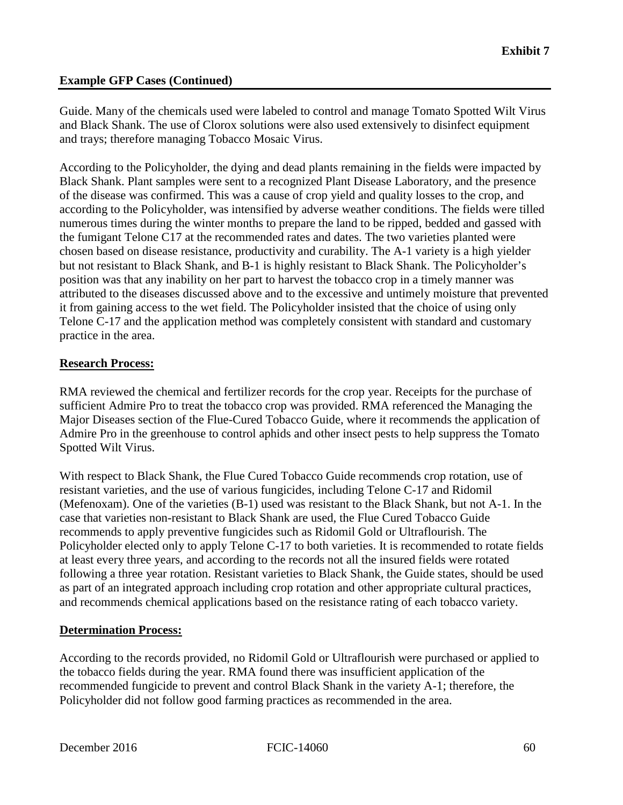and trays; therefore managing Tobacco Mosaic Virus. Guide. Many of the chemicals used were labeled to control and manage Tomato Spotted Wilt Virus and Black Shank. The use of Clorox solutions were also used extensively to disinfect equipment

 of the disease was confirmed. This was a cause of crop yield and quality losses to the crop, and according to the Policyholder, was intensified by adverse weather conditions. The fields were tilled chosen based on disease resistance, productivity and curability. The A-1 variety is a high yielder According to the Policyholder, the dying and dead plants remaining in the fields were impacted by Black Shank. Plant samples were sent to a recognized Plant Disease Laboratory, and the presence numerous times during the winter months to prepare the land to be ripped, bedded and gassed with the fumigant Telone C17 at the recommended rates and dates. The two varieties planted were but not resistant to Black Shank, and B-1 is highly resistant to Black Shank. The Policyholder's position was that any inability on her part to harvest the tobacco crop in a timely manner was attributed to the diseases discussed above and to the excessive and untimely moisture that prevented it from gaining access to the wet field. The Policyholder insisted that the choice of using only Telone C-17 and the application method was completely consistent with standard and customary practice in the area.

#### **Research Process:**

**Spotted Wilt Virus.** RMA reviewed the chemical and fertilizer records for the crop year. Receipts for the purchase of sufficient Admire Pro to treat the tobacco crop was provided. RMA referenced the Managing the Major Diseases section of the Flue-Cured Tobacco Guide, where it recommends the application of Admire Pro in the greenhouse to control aphids and other insect pests to help suppress the Tomato

 following a three year rotation. Resistant varieties to Black Shank, the Guide states, should be used With respect to Black Shank, the Flue Cured Tobacco Guide recommends crop rotation, use of resistant varieties, and the use of various fungicides, including Telone C-17 and Ridomil (Mefenoxam). One of the varieties (B-1) used was resistant to the Black Shank, but not A-1. In the case that varieties non-resistant to Black Shank are used, the Flue Cured Tobacco Guide recommends to apply preventive fungicides such as Ridomil Gold or Ultraflourish. The Policyholder elected only to apply Telone C-17 to both varieties. It is recommended to rotate fields at least every three years, and according to the records not all the insured fields were rotated as part of an integrated approach including crop rotation and other appropriate cultural practices, and recommends chemical applications based on the resistance rating of each tobacco variety.

#### **Determination Process:**

 the tobacco fields during the year. RMA found there was insufficient application of the According to the records provided, no Ridomil Gold or Ultraflourish were purchased or applied to recommended fungicide to prevent and control Black Shank in the variety A-1; therefore, the Policyholder did not follow good farming practices as recommended in the area.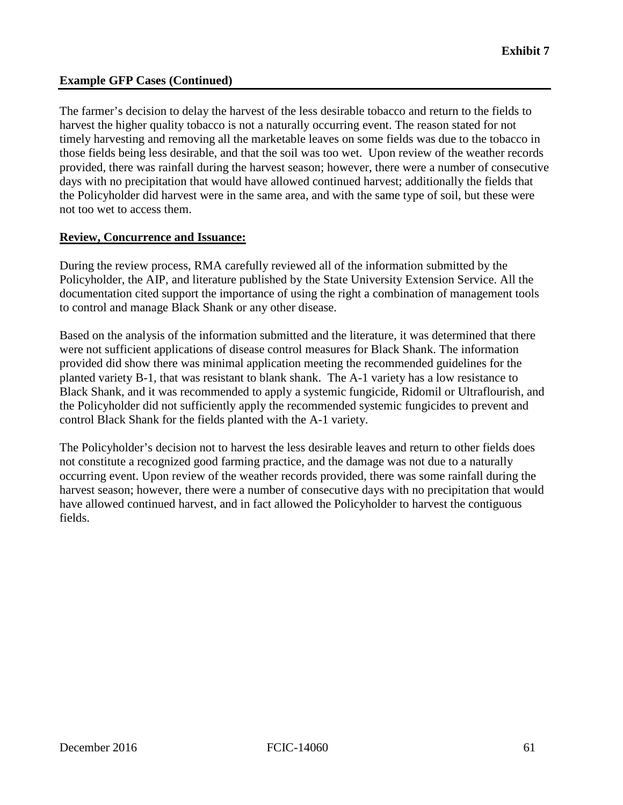harvest the higher quality tobacco is not a naturally occurring event. The reason stated for not timely harvesting and removing all the marketable leaves on some fields was due to the tobacco in provided, there was rainfall during the harvest season; however, there were a number of consecutive The farmer's decision to delay the harvest of the less desirable tobacco and return to the fields to those fields being less desirable, and that the soil was too wet. Upon review of the weather records days with no precipitation that would have allowed continued harvest; additionally the fields that the Policyholder did harvest were in the same area, and with the same type of soil, but these were not too wet to access them.

#### **Review, Concurrence and Issuance:**

During the review process, RMA carefully reviewed all of the information submitted by the Policyholder, the AIP, and literature published by the State University Extension Service. All the documentation cited support the importance of using the right a combination of management tools to control and manage Black Shank or any other disease.

 the Policyholder did not sufficiently apply the recommended systemic fungicides to prevent and Based on the analysis of the information submitted and the literature, it was determined that there were not sufficient applications of disease control measures for Black Shank. The information provided did show there was minimal application meeting the recommended guidelines for the planted variety B-1, that was resistant to blank shank. The A-1 variety has a low resistance to Black Shank, and it was recommended to apply a systemic fungicide, Ridomil or Ultraflourish, and control Black Shank for the fields planted with the A-1 variety.

 harvest season; however, there were a number of consecutive days with no precipitation that would The Policyholder's decision not to harvest the less desirable leaves and return to other fields does not constitute a recognized good farming practice, and the damage was not due to a naturally occurring event. Upon review of the weather records provided, there was some rainfall during the have allowed continued harvest, and in fact allowed the Policyholder to harvest the contiguous fields.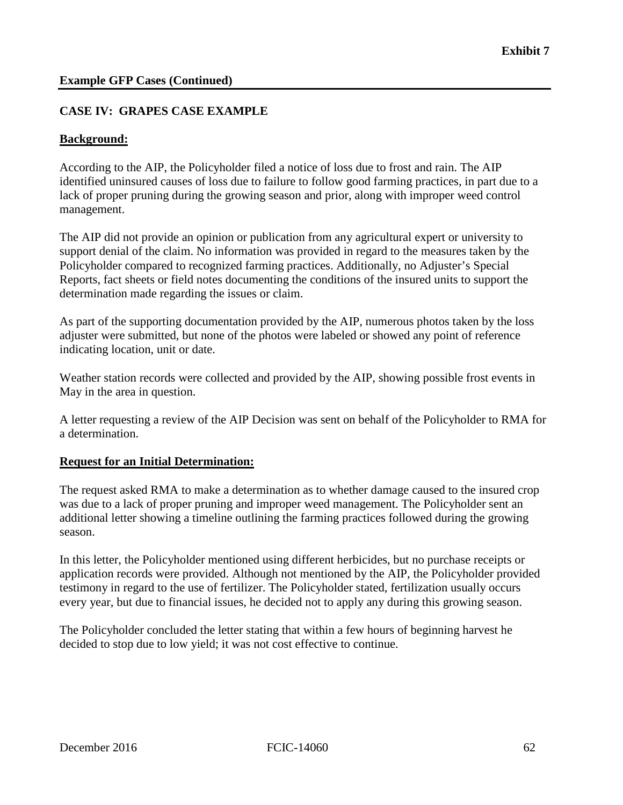#### **CASE IV: GRAPES CASE EXAMPLE**

#### **Background:**

According to the AIP, the Policyholder filed a notice of loss due to frost and rain. The AIP identified uninsured causes of loss due to failure to follow good farming practices, in part due to a lack of proper pruning during the growing season and prior, along with improper weed control management.

The AIP did not provide an opinion or publication from any agricultural expert or university to support denial of the claim. No information was provided in regard to the measures taken by the Policyholder compared to recognized farming practices. Additionally, no Adjuster's Special Reports, fact sheets or field notes documenting the conditions of the insured units to support the determination made regarding the issues or claim.

As part of the supporting documentation provided by the AIP, numerous photos taken by the loss adjuster were submitted, but none of the photos were labeled or showed any point of reference indicating location, unit or date.

 Weather station records were collected and provided by the AIP, showing possible frost events in May in the area in question.

 A letter requesting a review of the AIP Decision was sent on behalf of the Policyholder to RMA for a determination.

#### **Request for an Initial Determination:**

The request asked RMA to make a determination as to whether damage caused to the insured crop was due to a lack of proper pruning and improper weed management. The Policyholder sent an additional letter showing a timeline outlining the farming practices followed during the growing season.

 In this letter, the Policyholder mentioned using different herbicides, but no purchase receipts or application records were provided. Although not mentioned by the AIP, the Policyholder provided testimony in regard to the use of fertilizer. The Policyholder stated, fertilization usually occurs every year, but due to financial issues, he decided not to apply any during this growing season.

The Policyholder concluded the letter stating that within a few hours of beginning harvest he decided to stop due to low yield; it was not cost effective to continue.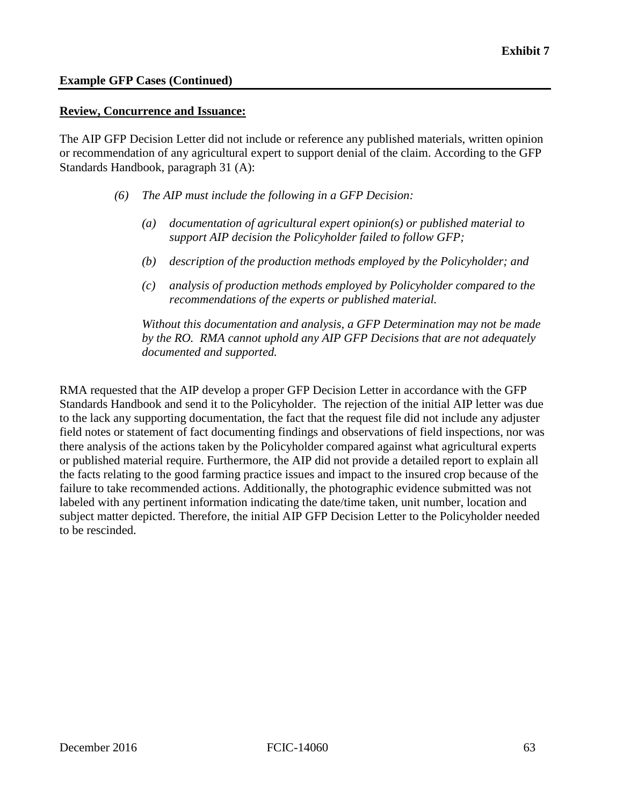#### **Review, Concurrence and Issuance:**

The AIP GFP Decision Letter did not include or reference any published materials, written opinion or recommendation of any agricultural expert to support denial of the claim. According to the GFP Standards Handbook, paragraph 31 (A):

- *The AIP must include the following in a GFP Decision:*
- *(6) The AIP must include the following in a GFP Decision: (a) documentation of agricultural expert opinion(s) or published material to support AIP decision the Policyholder failed to follow GFP;* 
	- *(b) description of the production methods employed by the Policyholder; and*
	- *(c) analysis of production methods employed by Policyholder compared to the recommendations of the experts or published material.*

 *by the RO. RMA cannot uphold any AIP GFP Decisions that are not adequately Without this documentation and analysis, a GFP Determination may not be made documented and supported.* 

 Standards Handbook and send it to the Policyholder. The rejection of the initial AIP letter was due RMA requested that the AIP develop a proper GFP Decision Letter in accordance with the GFP to the lack any supporting documentation, the fact that the request file did not include any adjuster field notes or statement of fact documenting findings and observations of field inspections, nor was there analysis of the actions taken by the Policyholder compared against what agricultural experts or published material require. Furthermore, the AIP did not provide a detailed report to explain all the facts relating to the good farming practice issues and impact to the insured crop because of the failure to take recommended actions. Additionally, the photographic evidence submitted was not labeled with any pertinent information indicating the date/time taken, unit number, location and subject matter depicted. Therefore, the initial AIP GFP Decision Letter to the Policyholder needed to be rescinded.